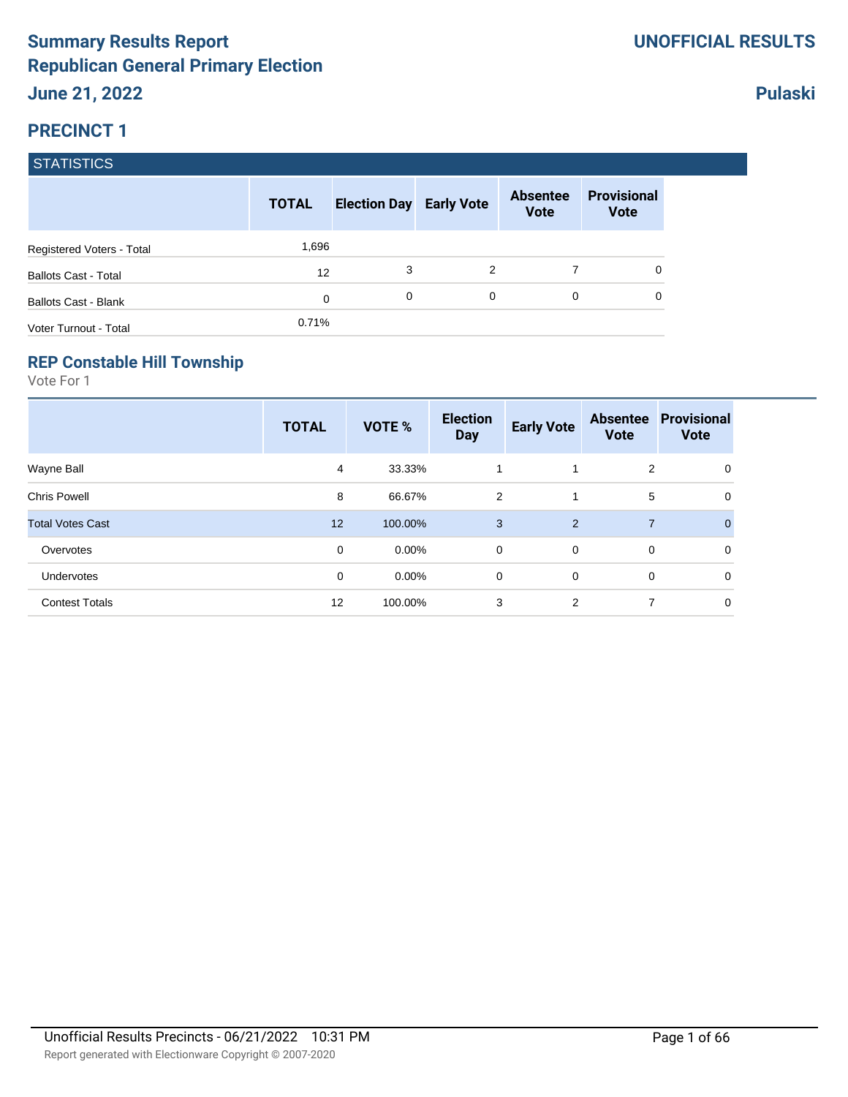### **Pulaski**

### **PRECINCT 1**

#### **STATISTICS**

|                             | <b>TOTAL</b> | <b>Election Day Early Vote</b> |   | <b>Absentee</b><br><b>Vote</b> | <b>Provisional</b><br><b>Vote</b> |
|-----------------------------|--------------|--------------------------------|---|--------------------------------|-----------------------------------|
| Registered Voters - Total   | 1,696        |                                |   |                                |                                   |
| <b>Ballots Cast - Total</b> | 12           | 3                              | 2 |                                |                                   |
| Ballots Cast - Blank        | 0            | 0                              | 0 | $\Omega$                       | 0                                 |
| Voter Turnout - Total       | 0.71%        |                                |   |                                |                                   |

#### **REP Constable Hill Township**

|                         | <b>TOTAL</b> | VOTE %   | <b>Election</b><br><b>Day</b> | <b>Early Vote</b> | <b>Absentee</b><br><b>Vote</b> | <b>Provisional</b><br><b>Vote</b> |
|-------------------------|--------------|----------|-------------------------------|-------------------|--------------------------------|-----------------------------------|
| Wayne Ball              | 4            | 33.33%   | 1                             |                   | $\overline{2}$                 | 0                                 |
| <b>Chris Powell</b>     | 8            | 66.67%   | $\overline{2}$                | 1                 | 5                              | 0                                 |
| <b>Total Votes Cast</b> | 12           | 100.00%  | 3                             | 2                 | $\overline{7}$                 | $\Omega$                          |
| Overvotes               | 0            | $0.00\%$ | 0                             | $\overline{0}$    | 0                              | 0                                 |
| Undervotes              | 0            | $0.00\%$ | 0                             | $\mathbf 0$       | 0                              | 0                                 |
| <b>Contest Totals</b>   | 12           | 100.00%  | 3                             | 2                 | 7                              | 0                                 |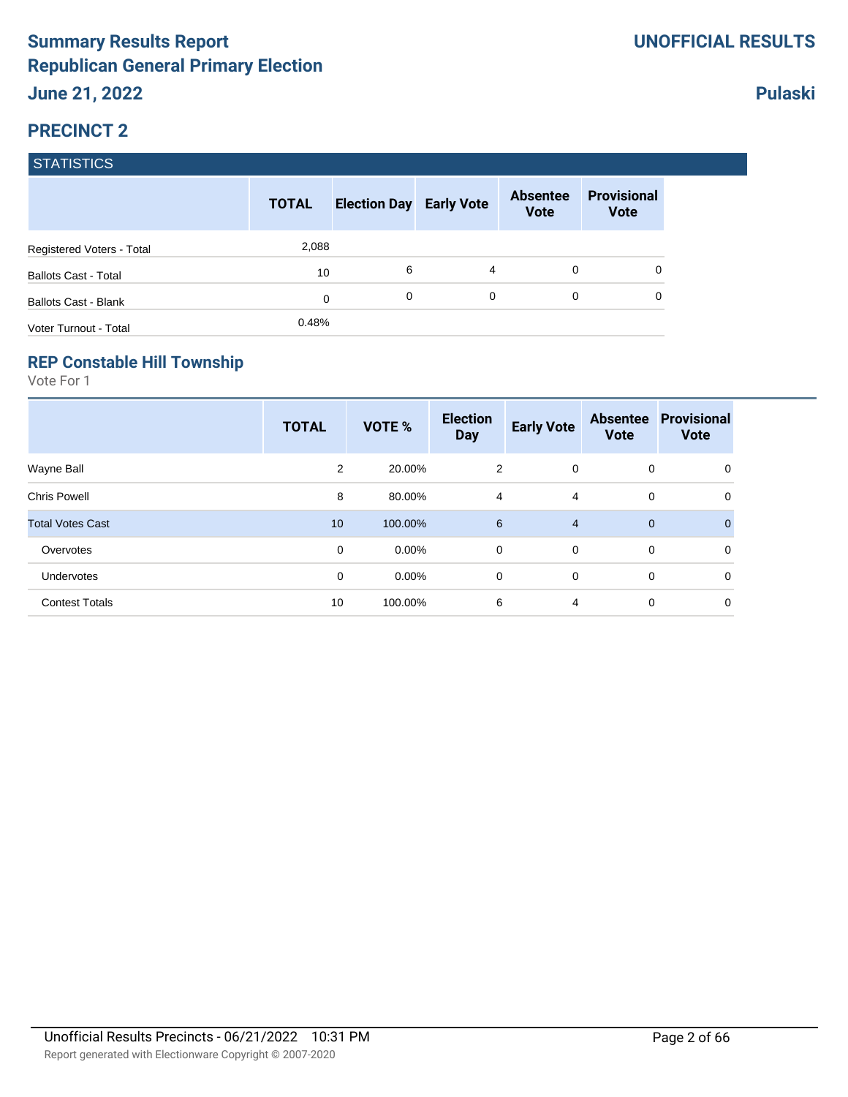### **Pulaski**

#### **PRECINCT 2**

#### **STATISTICS**

|                             | <b>TOTAL</b> | <b>Election Day Early Vote</b> |          | <b>Absentee</b><br><b>Vote</b> | <b>Provisional</b><br><b>Vote</b> |
|-----------------------------|--------------|--------------------------------|----------|--------------------------------|-----------------------------------|
| Registered Voters - Total   | 2,088        |                                |          |                                |                                   |
| <b>Ballots Cast - Total</b> | 10           | 6                              | 4        | $\Omega$                       | 0                                 |
| Ballots Cast - Blank        | 0            | 0                              | $\Omega$ | 0                              | 0                                 |
| Voter Turnout - Total       | 0.48%        |                                |          |                                |                                   |

#### **REP Constable Hill Township**

|                         | <b>TOTAL</b> | VOTE %   | <b>Election</b><br><b>Day</b> | <b>Early Vote</b> | <b>Absentee</b><br><b>Vote</b> | <b>Provisional</b><br><b>Vote</b> |
|-------------------------|--------------|----------|-------------------------------|-------------------|--------------------------------|-----------------------------------|
| Wayne Ball              | 2            | 20.00%   | 2                             | $\overline{0}$    | 0                              | 0                                 |
| <b>Chris Powell</b>     | 8            | 80.00%   | $\overline{4}$                | 4                 | 0                              | 0                                 |
| <b>Total Votes Cast</b> | 10           | 100.00%  | 6                             | $\overline{4}$    | $\mathbf{0}$                   | $\Omega$                          |
| Overvotes               | 0            | $0.00\%$ | $\mathbf 0$                   | $\mathbf{0}$      | 0                              | 0                                 |
| Undervotes              | 0            | $0.00\%$ | 0                             | 0                 | 0                              | 0                                 |
| <b>Contest Totals</b>   | 10           | 100.00%  | 6                             | $\overline{4}$    | 0                              | 0                                 |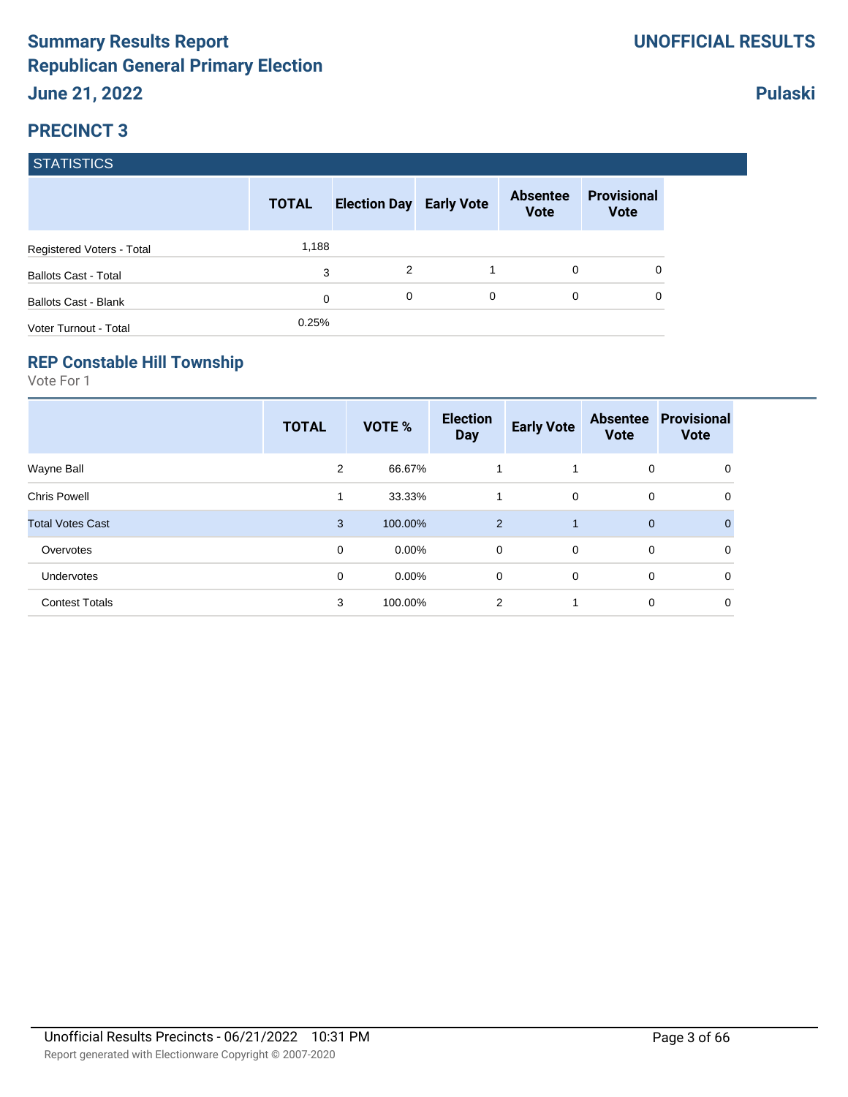### **Pulaski**

### **PRECINCT 3**

#### **STATISTICS**

|                             | <b>TOTAL</b> | <b>Election Day Early Vote</b> |   | <b>Absentee</b><br><b>Vote</b> | <b>Provisional</b><br><b>Vote</b> |
|-----------------------------|--------------|--------------------------------|---|--------------------------------|-----------------------------------|
| Registered Voters - Total   | 1,188        |                                |   |                                |                                   |
| <b>Ballots Cast - Total</b> | 3            | 2                              |   | 0                              |                                   |
| Ballots Cast - Blank        | 0            | 0                              | 0 | $\Omega$                       | 0                                 |
| Voter Turnout - Total       | 0.25%        |                                |   |                                |                                   |

#### **REP Constable Hill Township**

|                         | <b>TOTAL</b> | VOTE %   | <b>Election</b><br><b>Day</b> | <b>Early Vote</b> | <b>Absentee</b><br><b>Vote</b> | <b>Provisional</b><br><b>Vote</b> |
|-------------------------|--------------|----------|-------------------------------|-------------------|--------------------------------|-----------------------------------|
| Wayne Ball              | 2            | 66.67%   |                               | 1                 | 0                              | 0                                 |
| <b>Chris Powell</b>     | 1            | 33.33%   | 1                             | $\mathbf 0$       | 0                              | 0                                 |
| <b>Total Votes Cast</b> | 3            | 100.00%  | 2                             | 1                 | $\mathbf{0}$                   | 0                                 |
| Overvotes               | 0            | $0.00\%$ | 0                             | $\mathbf 0$       | 0                              | 0                                 |
| <b>Undervotes</b>       | 0            | $0.00\%$ | 0                             | $\mathbf 0$       | 0                              | $\mathbf 0$                       |
| <b>Contest Totals</b>   | 3            | 100.00%  | 2                             | 1                 | 0                              | 0                                 |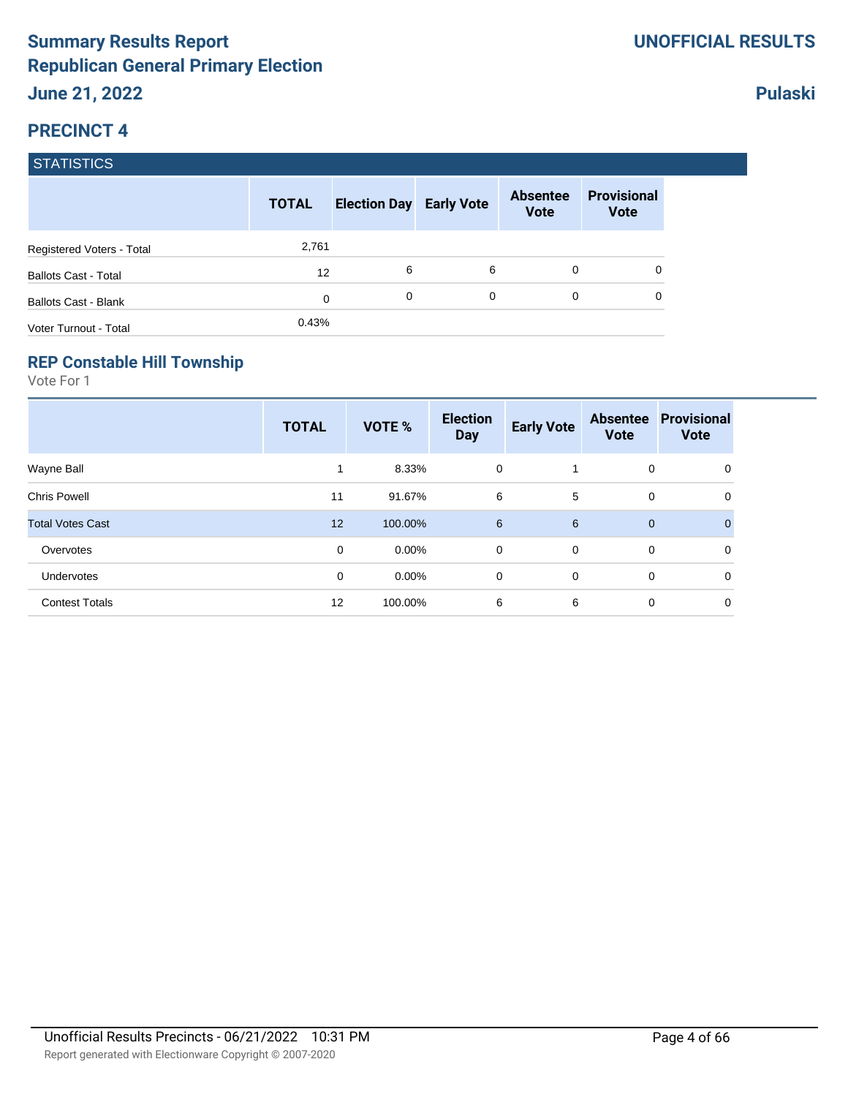### **Pulaski**

#### **PRECINCT 4**

#### **STATISTICS**

|                             | <b>TOTAL</b> | <b>Election Day Early Vote</b> |   | <b>Absentee</b><br><b>Vote</b> | <b>Provisional</b><br><b>Vote</b> |
|-----------------------------|--------------|--------------------------------|---|--------------------------------|-----------------------------------|
| Registered Voters - Total   | 2,761        |                                |   |                                |                                   |
| <b>Ballots Cast - Total</b> | 12           | 6                              | 6 | 0                              | 0                                 |
| Ballots Cast - Blank        | 0            | 0                              | 0 | $\Omega$                       | 0                                 |
| Voter Turnout - Total       | 0.43%        |                                |   |                                |                                   |

#### **REP Constable Hill Township**

|                         | <b>TOTAL</b> | VOTE %   | <b>Election</b><br><b>Day</b> | <b>Early Vote</b> | <b>Absentee</b><br><b>Vote</b> | <b>Provisional</b><br><b>Vote</b> |
|-------------------------|--------------|----------|-------------------------------|-------------------|--------------------------------|-----------------------------------|
| Wayne Ball              |              | 8.33%    | 0                             |                   | 0                              | 0                                 |
| <b>Chris Powell</b>     | 11           | 91.67%   | 6                             | 5                 | 0                              | 0                                 |
| <b>Total Votes Cast</b> | 12           | 100.00%  | 6                             | 6                 | $\mathbf 0$                    | $\Omega$                          |
| Overvotes               | 0            | $0.00\%$ | 0                             | $\mathbf 0$       | 0                              | 0                                 |
| Undervotes              | 0            | $0.00\%$ | 0                             | 0                 | 0                              | 0                                 |
| <b>Contest Totals</b>   | 12           | 100.00%  | 6                             | 6                 | 0                              | 0                                 |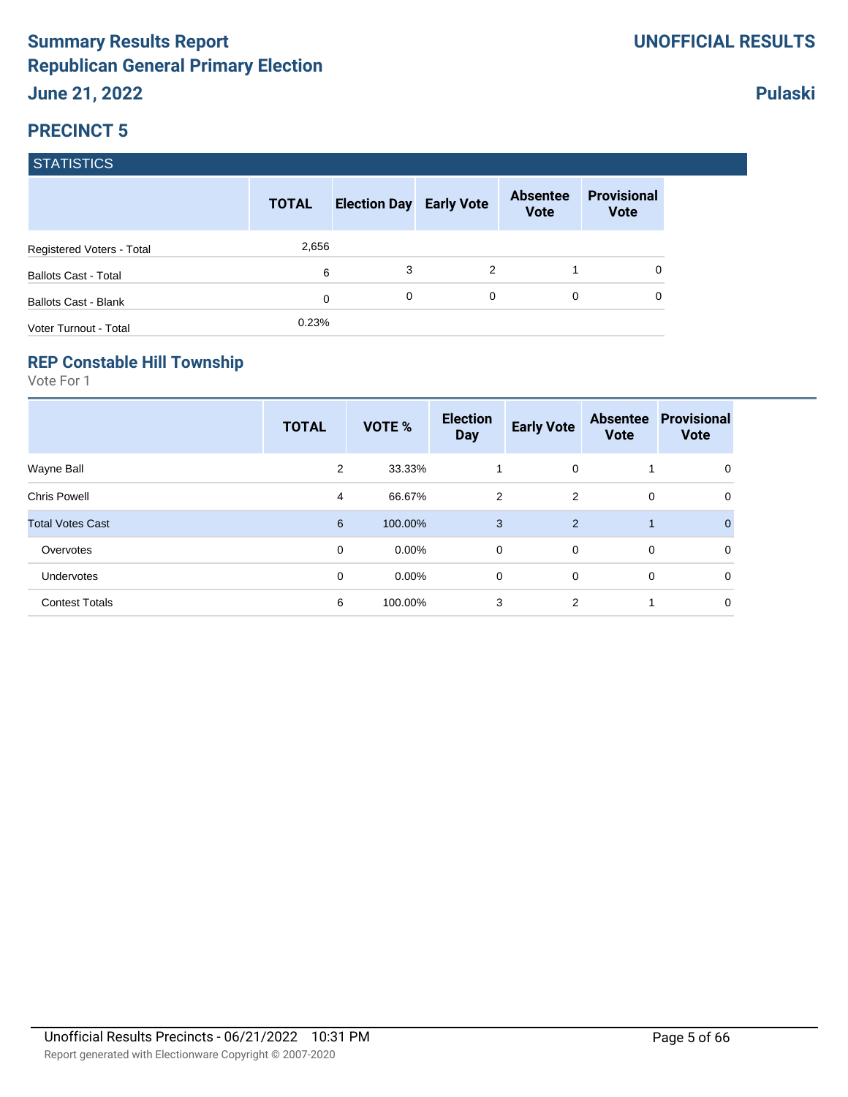**Pulaski**

### **PRECINCT 5**

#### **STATISTICS**

|                             | <b>TOTAL</b> | <b>Election Day Early Vote</b> |          | <b>Absentee</b><br><b>Vote</b> | <b>Provisional</b><br><b>Vote</b> |
|-----------------------------|--------------|--------------------------------|----------|--------------------------------|-----------------------------------|
| Registered Voters - Total   | 2,656        |                                |          |                                |                                   |
| <b>Ballots Cast - Total</b> | 6            | 3                              | 2        |                                | 0                                 |
| Ballots Cast - Blank        | 0            | 0                              | $\Omega$ | 0                              | 0                                 |
| Voter Turnout - Total       | 0.23%        |                                |          |                                |                                   |

#### **REP Constable Hill Township**

|                         | <b>TOTAL</b>   | VOTE %   | <b>Election</b><br><b>Day</b> | <b>Early Vote</b> | <b>Absentee</b><br><b>Vote</b> | <b>Provisional</b><br><b>Vote</b> |
|-------------------------|----------------|----------|-------------------------------|-------------------|--------------------------------|-----------------------------------|
| Wayne Ball              | 2              | 33.33%   | 1                             | $\mathbf 0$       |                                | 0                                 |
| <b>Chris Powell</b>     | $\overline{4}$ | 66.67%   | $\overline{2}$                | 2                 | 0                              | 0                                 |
| <b>Total Votes Cast</b> | 6              | 100.00%  | 3                             | 2                 | $\mathbf 1$                    | $\Omega$                          |
| Overvotes               | 0              | $0.00\%$ | $\mathbf 0$                   | $\overline{0}$    | 0                              | 0                                 |
| Undervotes              | 0              | $0.00\%$ | 0                             | $\mathbf 0$       | 0                              | 0                                 |
| <b>Contest Totals</b>   | 6              | 100.00%  | 3                             | 2                 |                                | 0                                 |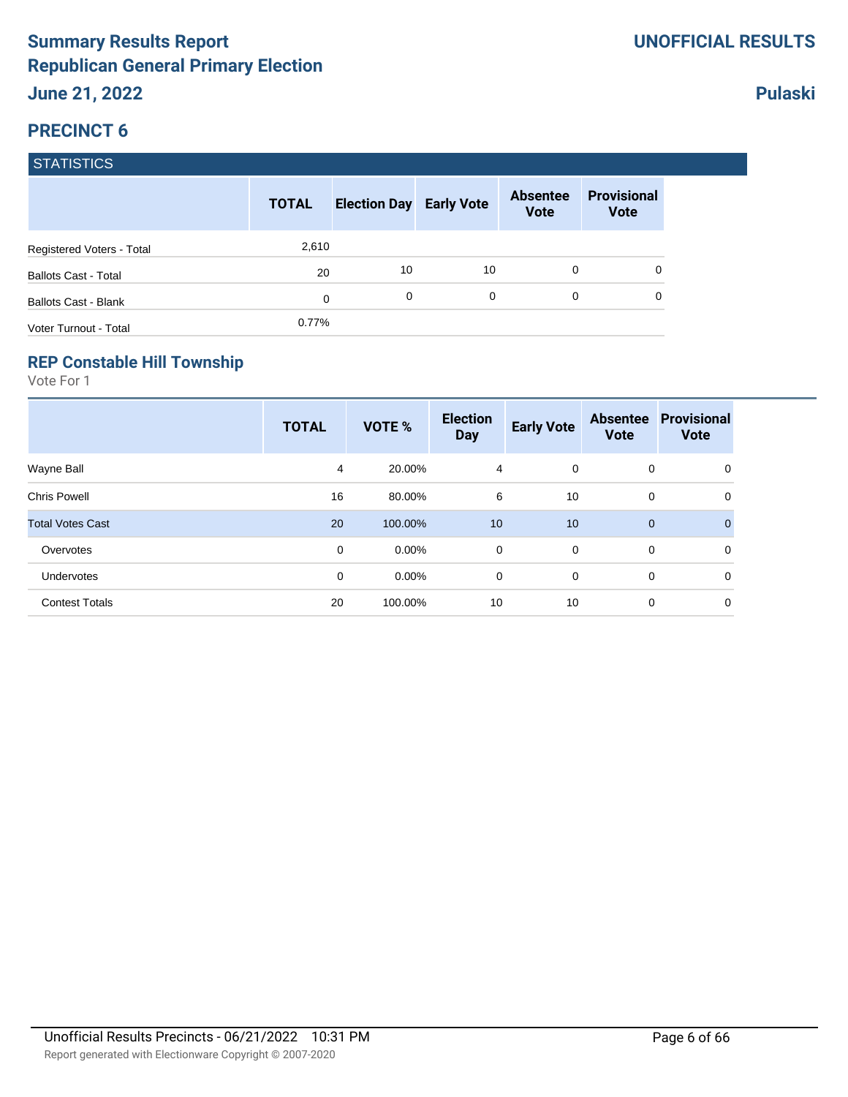### **Pulaski**

### **PRECINCT 6**

#### **STATISTICS**

|                             | <b>TOTAL</b> | <b>Election Day Early Vote</b> |          | <b>Absentee</b><br><b>Vote</b> | <b>Provisional</b><br><b>Vote</b> |
|-----------------------------|--------------|--------------------------------|----------|--------------------------------|-----------------------------------|
| Registered Voters - Total   | 2,610        |                                |          |                                |                                   |
| <b>Ballots Cast - Total</b> | 20           | 10                             | 10       | 0                              | 0                                 |
| Ballots Cast - Blank        | 0            | 0                              | $\Omega$ | 0                              | 0                                 |
| Voter Turnout - Total       | 0.77%        |                                |          |                                |                                   |

#### **REP Constable Hill Township**

|                         | <b>TOTAL</b> | VOTE %   | <b>Election</b><br><b>Day</b> | <b>Early Vote</b> | <b>Absentee</b><br><b>Vote</b> | <b>Provisional</b><br><b>Vote</b> |
|-------------------------|--------------|----------|-------------------------------|-------------------|--------------------------------|-----------------------------------|
| Wayne Ball              | 4            | 20.00%   | $\overline{4}$                | $\overline{0}$    | 0                              | 0                                 |
| <b>Chris Powell</b>     | 16           | 80.00%   | 6                             | 10                | 0                              | 0                                 |
| <b>Total Votes Cast</b> | 20           | 100.00%  | 10                            | 10                | $\mathbf{0}$                   | $\Omega$                          |
| Overvotes               | 0            | $0.00\%$ | 0                             | $\overline{0}$    | 0                              | 0                                 |
| Undervotes              | 0            | $0.00\%$ | 0                             | 0                 | 0                              | 0                                 |
| <b>Contest Totals</b>   | 20           | 100.00%  | 10                            | 10                | 0                              | 0                                 |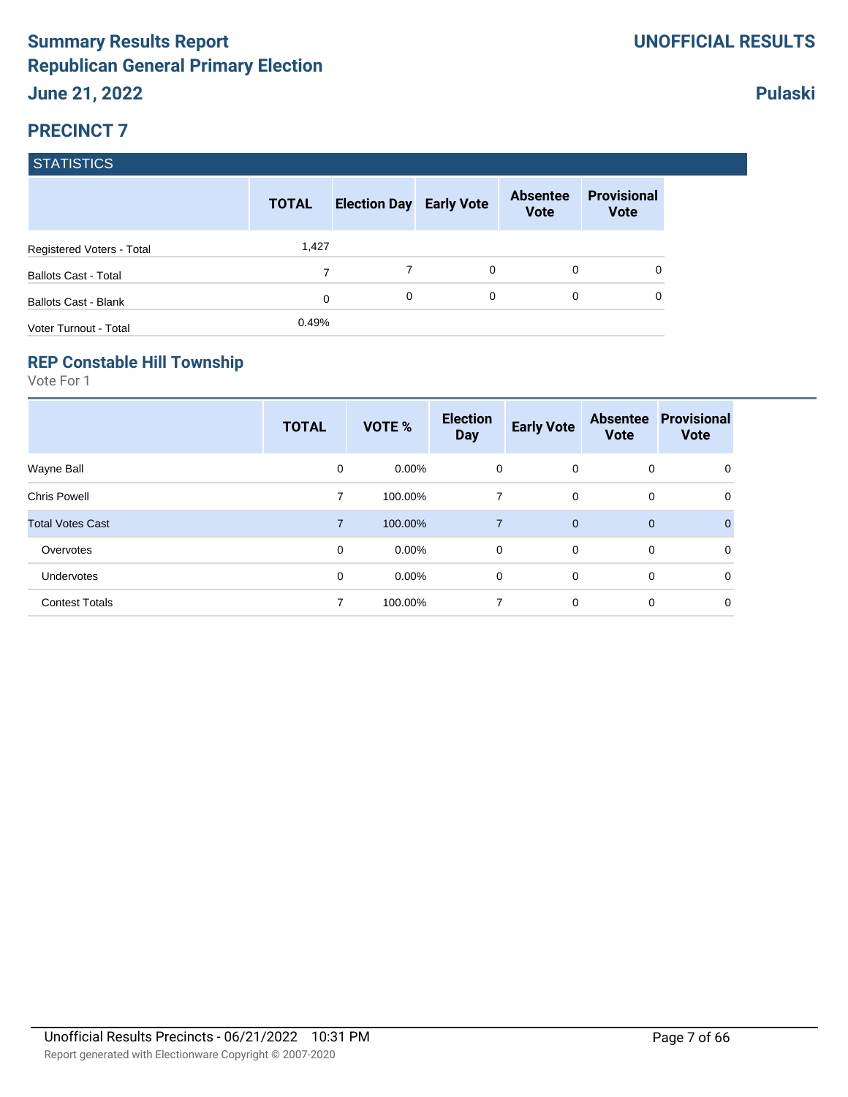### **Pulaski**

### **PRECINCT 7**

#### **STATISTICS**

|                             | <b>TOTAL</b> | <b>Election Day Early Vote</b> |          | <b>Absentee</b><br><b>Vote</b> | <b>Provisional</b><br><b>Vote</b> |
|-----------------------------|--------------|--------------------------------|----------|--------------------------------|-----------------------------------|
| Registered Voters - Total   | 1,427        |                                |          |                                |                                   |
| <b>Ballots Cast - Total</b> | 7            | 7                              | $\Omega$ | $\Omega$                       | 0                                 |
| Ballots Cast - Blank        | 0            | 0                              | $\Omega$ | 0                              | 0                                 |
| Voter Turnout - Total       | 0.49%        |                                |          |                                |                                   |

#### **REP Constable Hill Township**

|                         | <b>TOTAL</b>   | VOTE %   | <b>Election</b><br><b>Day</b> | <b>Early Vote</b> | <b>Absentee</b><br><b>Vote</b> | <b>Provisional</b><br><b>Vote</b> |
|-------------------------|----------------|----------|-------------------------------|-------------------|--------------------------------|-----------------------------------|
| Wayne Ball              | 0              | $0.00\%$ | 0                             | $\mathbf 0$       | 0                              | 0                                 |
| <b>Chris Powell</b>     | 7              | 100.00%  | 7                             | $\mathbf 0$       | 0                              | 0                                 |
| <b>Total Votes Cast</b> | $\overline{7}$ | 100.00%  | $\overline{7}$                | $\overline{0}$    | $\mathbf{0}$                   | $\Omega$                          |
| Overvotes               | 0              | $0.00\%$ | 0                             | $\mathbf 0$       | 0                              | $\mathbf 0$                       |
| Undervotes              | 0              | $0.00\%$ | 0                             | 0                 | 0                              | 0                                 |
| <b>Contest Totals</b>   | 7              | 100.00%  | 7                             | 0                 | 0                              | 0                                 |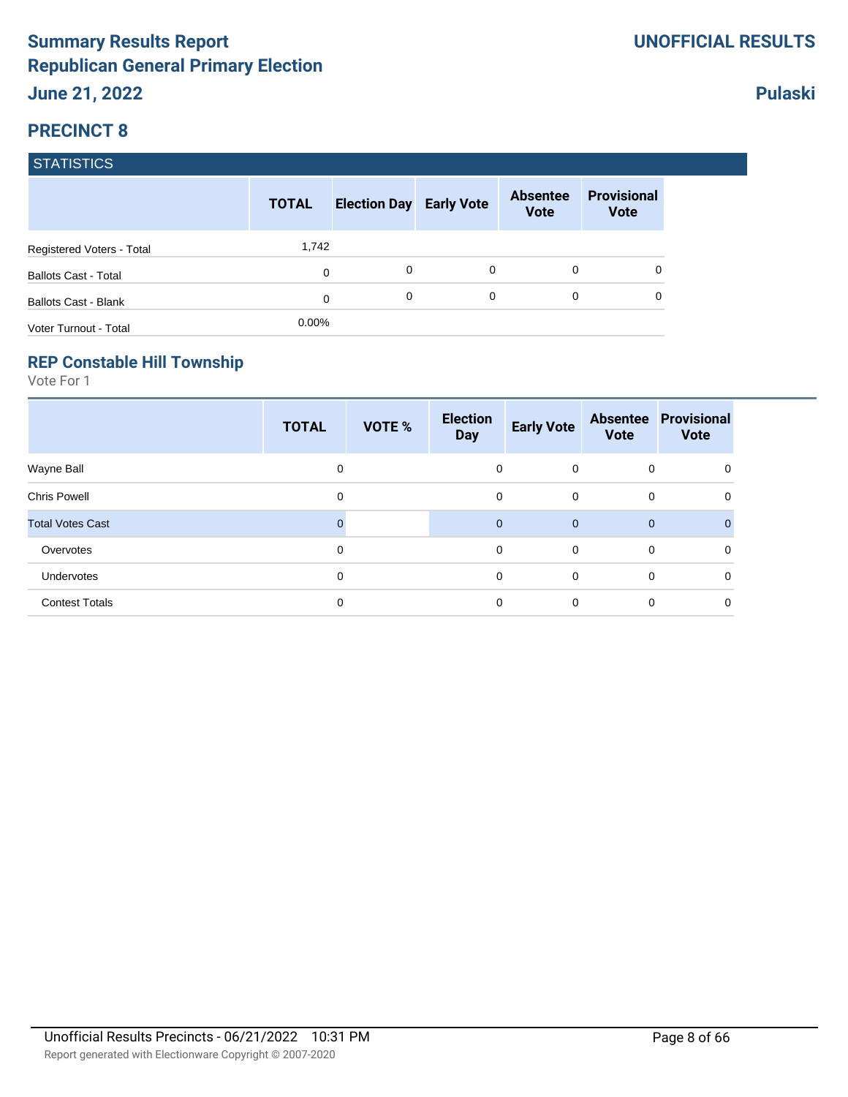**Pulaski**

### **PRECINCT 8**

#### **STATISTICS**

|                             | <b>TOTAL</b> | <b>Election Day Early Vote</b> |   | <b>Absentee</b><br><b>Vote</b> | <b>Provisional</b><br><b>Vote</b> |
|-----------------------------|--------------|--------------------------------|---|--------------------------------|-----------------------------------|
| Registered Voters - Total   | 1,742        |                                |   |                                |                                   |
| <b>Ballots Cast - Total</b> | 0            | 0                              | 0 | 0                              | 0                                 |
| Ballots Cast - Blank        | 0            | 0                              | 0 | 0                              | 0                                 |
| Voter Turnout - Total       | $0.00\%$     |                                |   |                                |                                   |

#### **REP Constable Hill Township**

|                         | <b>TOTAL</b> | VOTE % | <b>Election</b><br><b>Day</b> | <b>Early Vote</b> | <b>Vote</b> | <b>Absentee Provisional</b><br><b>Vote</b> |
|-------------------------|--------------|--------|-------------------------------|-------------------|-------------|--------------------------------------------|
| Wayne Ball              | 0            |        | $\mathbf 0$                   | $\mathbf{0}$      | 0           | 0                                          |
| <b>Chris Powell</b>     | 0            |        | 0                             | $\mathbf 0$       | 0           | 0                                          |
| <b>Total Votes Cast</b> | 0            |        | $\mathbf{0}$                  | $\mathbf{0}$      | $\mathbf 0$ | $\Omega$                                   |
| Overvotes               | 0            |        | 0                             | $\overline{0}$    | 0           | 0                                          |
| Undervotes              | 0            |        | 0                             | $\Omega$          | 0           | $\Omega$                                   |
| <b>Contest Totals</b>   | $\mathbf 0$  |        | 0                             | $\mathbf 0$       | 0           | 0                                          |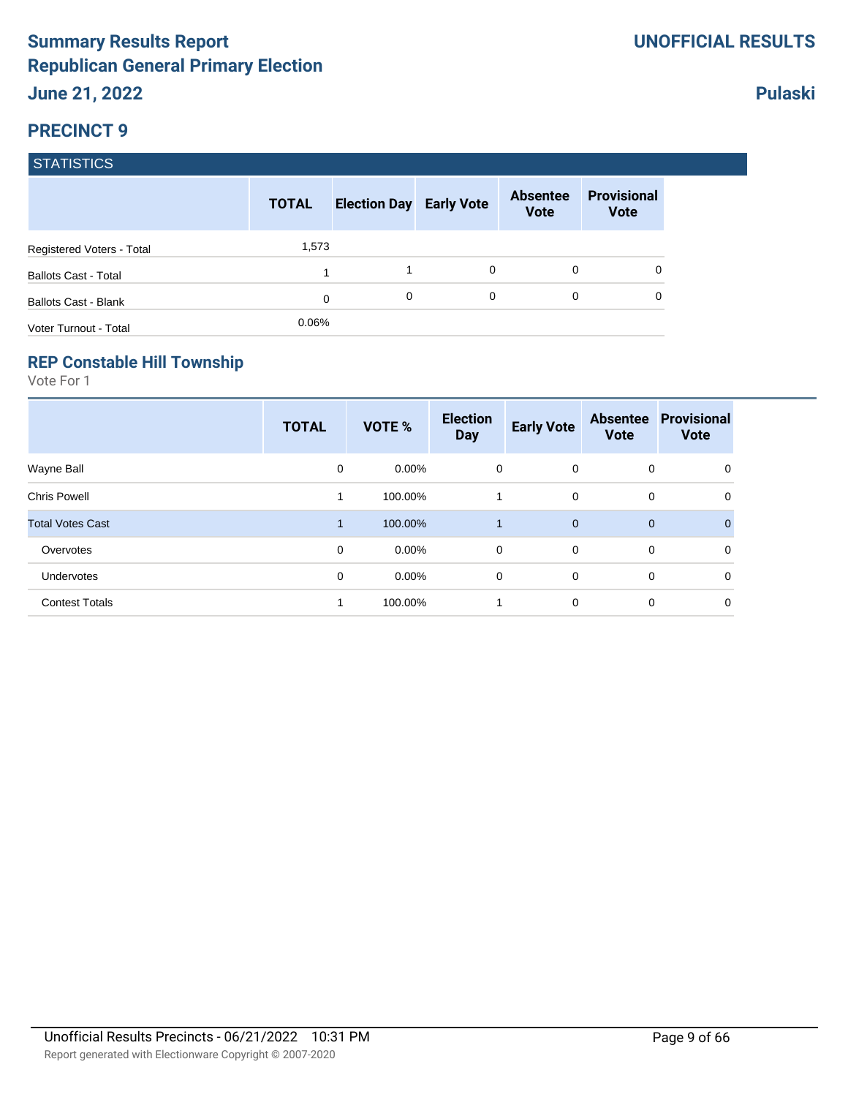### **Pulaski**

#### **PRECINCT 9**

#### **STATISTICS**

|                             | <b>TOTAL</b> | <b>Election Day Early Vote</b> |          | <b>Absentee</b><br><b>Vote</b> | <b>Provisional</b><br><b>Vote</b> |
|-----------------------------|--------------|--------------------------------|----------|--------------------------------|-----------------------------------|
| Registered Voters - Total   | 1,573        |                                |          |                                |                                   |
| <b>Ballots Cast - Total</b> |              |                                | 0        | 0                              | 0                                 |
| Ballots Cast - Blank        | 0            | 0                              | $\Omega$ | 0                              | 0                                 |
| Voter Turnout - Total       | 0.06%        |                                |          |                                |                                   |

#### **REP Constable Hill Township**

|                         | <b>TOTAL</b>         | VOTE %   | <b>Election</b><br><b>Day</b> | <b>Early Vote</b> | <b>Absentee</b><br><b>Vote</b> | <b>Provisional</b><br><b>Vote</b> |
|-------------------------|----------------------|----------|-------------------------------|-------------------|--------------------------------|-----------------------------------|
| Wayne Ball              | 0                    | $0.00\%$ | 0                             | $\mathbf 0$       | 0                              | 0                                 |
| <b>Chris Powell</b>     |                      | 100.00%  |                               | 0                 | 0                              | 0                                 |
| <b>Total Votes Cast</b> | $\blacktriangleleft$ | 100.00%  | 1                             | $\overline{0}$    | $\mathbf{0}$                   |                                   |
| Overvotes               | 0                    | $0.00\%$ | 0                             | $\mathbf 0$       | 0                              | $\mathbf 0$                       |
| Undervotes              | 0                    | $0.00\%$ | 0                             | 0                 | 0                              | $\mathbf 0$                       |
| <b>Contest Totals</b>   | 1                    | 100.00%  | 1                             | $\mathbf 0$       | 0                              | 0                                 |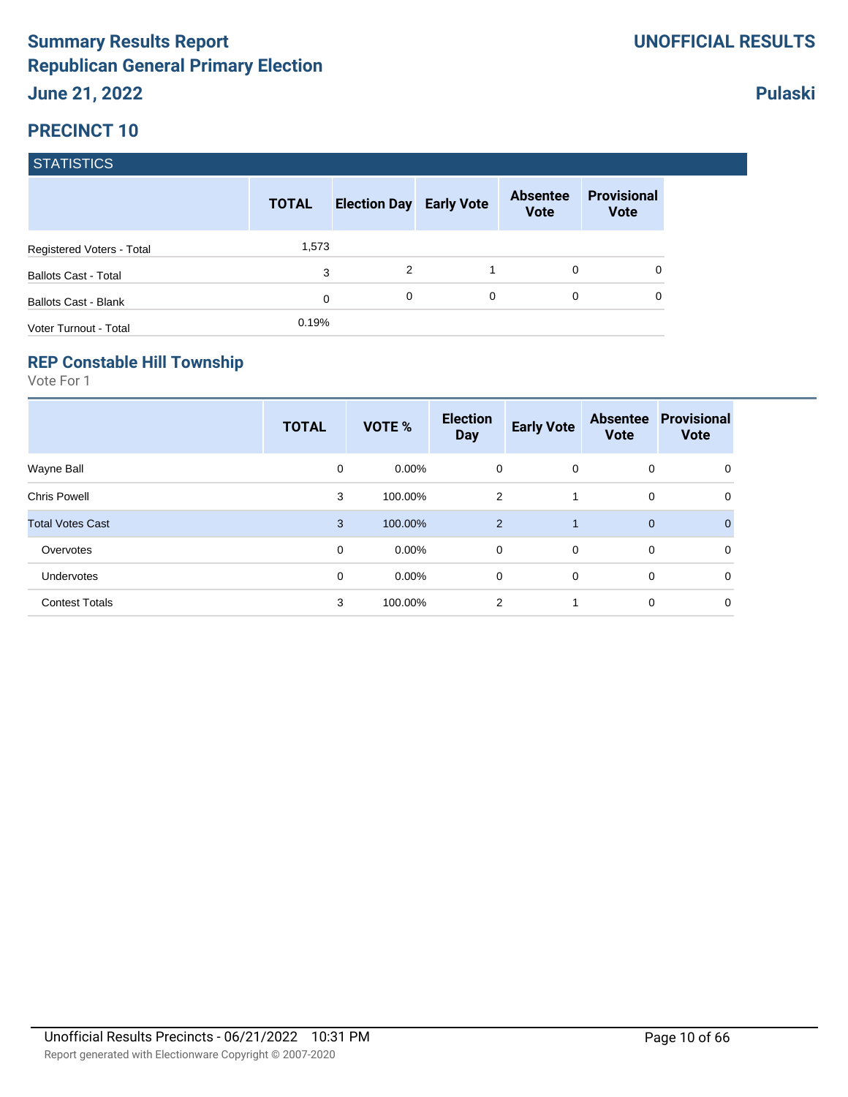|                             | <b>TOTAL</b> | <b>Election Day Early Vote</b> |   | <b>Absentee</b><br><b>Vote</b> | <b>Provisional</b><br><b>Vote</b> |
|-----------------------------|--------------|--------------------------------|---|--------------------------------|-----------------------------------|
| Registered Voters - Total   | 1,573        |                                |   |                                |                                   |
| <b>Ballots Cast - Total</b> | 3            | 2                              |   | 0                              |                                   |
| <b>Ballots Cast - Blank</b> | 0            | 0                              | 0 | 0                              |                                   |
| Voter Turnout - Total       | 0.19%        |                                |   |                                |                                   |

#### **REP Constable Hill Township**

Vote For 1

|                         | <b>TOTAL</b> | VOTE %   | <b>Election</b><br><b>Day</b> | <b>Early Vote</b> | <b>Absentee</b><br><b>Vote</b> | <b>Provisional</b><br><b>Vote</b> |
|-------------------------|--------------|----------|-------------------------------|-------------------|--------------------------------|-----------------------------------|
| Wayne Ball              | 0            | $0.00\%$ | 0                             | $\mathbf{0}$      | 0                              | 0                                 |
| <b>Chris Powell</b>     | 3            | 100.00%  | 2                             |                   | 0                              | 0                                 |
| <b>Total Votes Cast</b> | 3            | 100.00%  | $\overline{2}$                | 1                 | $\mathbf 0$                    | $\Omega$                          |
| Overvotes               | 0            | $0.00\%$ | $\mathbf 0$                   | $\overline{0}$    | 0                              | 0                                 |
| Undervotes              | 0            | $0.00\%$ | 0                             | $\mathbf 0$       | 0                              | 0                                 |
| <b>Contest Totals</b>   | 3            | 100.00%  | 2                             | 1                 | 0                              | 0                                 |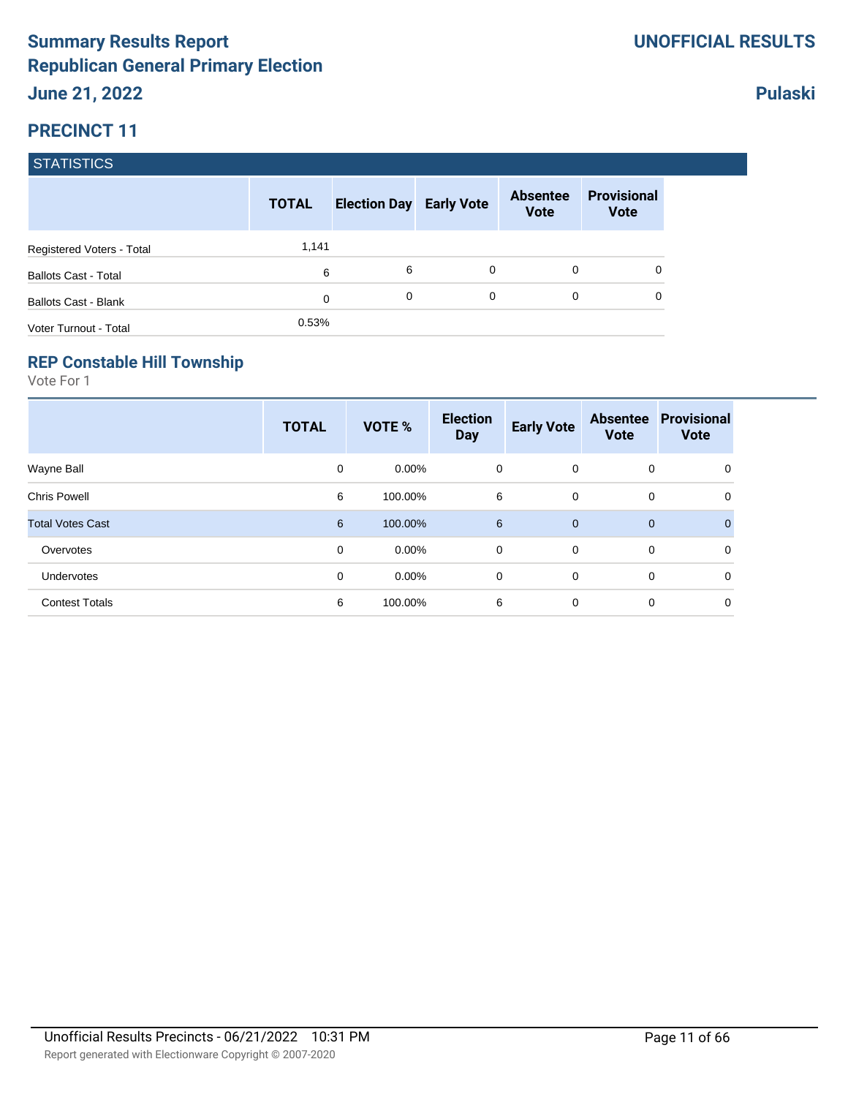|                             | <b>TOTAL</b> | <b>Election Day Early Vote</b> |   | <b>Absentee</b><br><b>Vote</b> | <b>Provisional</b><br><b>Vote</b> |
|-----------------------------|--------------|--------------------------------|---|--------------------------------|-----------------------------------|
| Registered Voters - Total   | 1,141        |                                |   |                                |                                   |
| <b>Ballots Cast - Total</b> | 6            | 6                              | 0 | 0                              | 0                                 |
| <b>Ballots Cast - Blank</b> | $\mathbf 0$  | 0                              | 0 | $\Omega$                       | 0                                 |
| Voter Turnout - Total       | 0.53%        |                                |   |                                |                                   |

#### **REP Constable Hill Township**

Vote For 1

|                         | <b>TOTAL</b> | VOTE %   | <b>Election</b><br><b>Day</b> | <b>Early Vote</b> | <b>Absentee</b><br><b>Vote</b> | <b>Provisional</b><br><b>Vote</b> |
|-------------------------|--------------|----------|-------------------------------|-------------------|--------------------------------|-----------------------------------|
| Wayne Ball              | 0            | $0.00\%$ | 0                             | $\mathbf{0}$      | 0                              | 0                                 |
| <b>Chris Powell</b>     | 6            | 100.00%  | 6                             | $\mathbf 0$       | 0                              | 0                                 |
| <b>Total Votes Cast</b> | 6            | 100.00%  | 6                             | $\overline{0}$    | $\mathbf 0$                    | $\mathbf{0}$                      |
| Overvotes               | 0            | $0.00\%$ | $\mathbf 0$                   | $\Omega$          | 0                              | 0                                 |
| Undervotes              | 0            | $0.00\%$ | 0                             | $\mathbf 0$       | 0                              | 0                                 |
| <b>Contest Totals</b>   | 6            | 100.00%  | 6                             | $\mathbf 0$       | 0                              | 0                                 |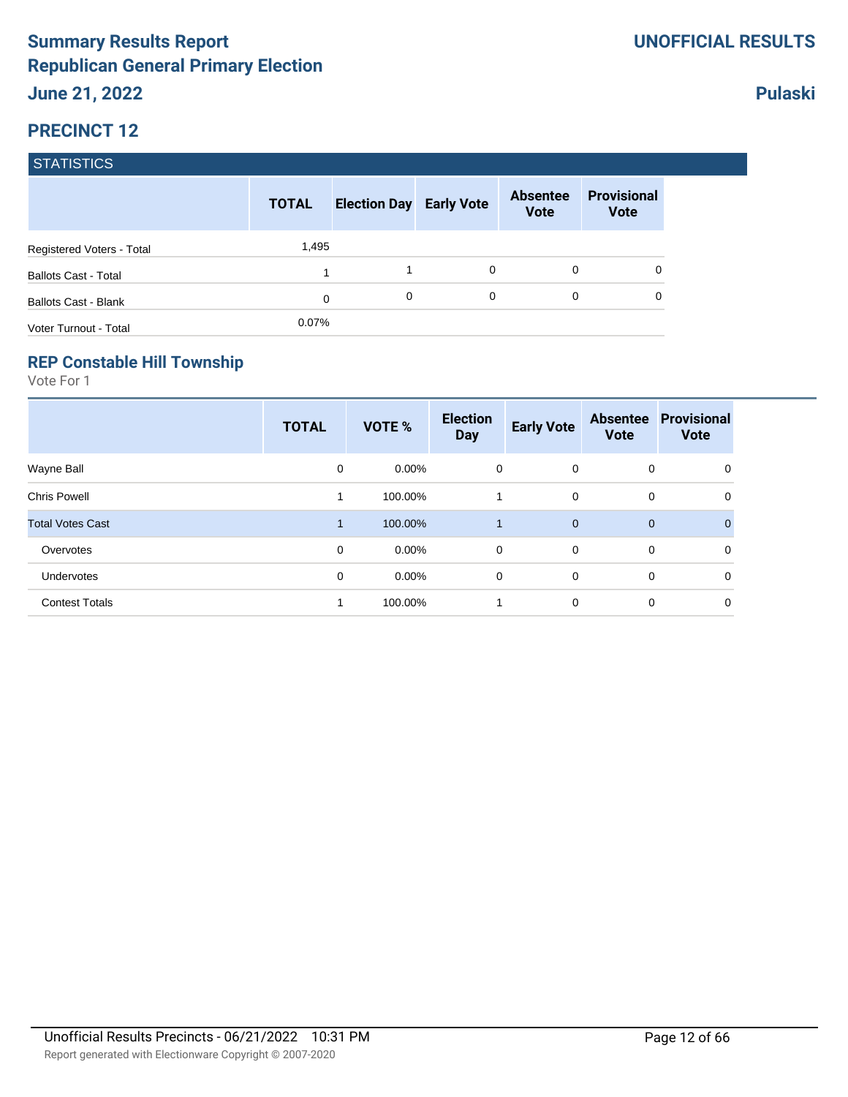|                             | <b>TOTAL</b> | <b>Election Day Early Vote</b> |   | <b>Absentee</b><br><b>Vote</b> | <b>Provisional</b><br><b>Vote</b> |
|-----------------------------|--------------|--------------------------------|---|--------------------------------|-----------------------------------|
| Registered Voters - Total   | 1,495        |                                |   |                                |                                   |
| <b>Ballots Cast - Total</b> |              |                                | 0 | 0                              | 0                                 |
| Ballots Cast - Blank        | 0            | 0                              | 0 | $\Omega$                       | 0                                 |
| Voter Turnout - Total       | 0.07%        |                                |   |                                |                                   |

#### **REP Constable Hill Township**

Vote For 1

|                         | <b>TOTAL</b> | VOTE %   | <b>Election</b><br><b>Day</b> | <b>Early Vote</b> | <b>Absentee</b><br><b>Vote</b> | <b>Provisional</b><br><b>Vote</b> |
|-------------------------|--------------|----------|-------------------------------|-------------------|--------------------------------|-----------------------------------|
| Wayne Ball              | 0            | $0.00\%$ | 0                             | $\overline{0}$    | 0                              | 0                                 |
| <b>Chris Powell</b>     | 1            | 100.00%  | 1                             | $\mathbf 0$       | 0                              | 0                                 |
| <b>Total Votes Cast</b> | 1            | 100.00%  | 1                             | $\mathbf{0}$      | $\mathbf 0$                    | $\Omega$                          |
| Overvotes               | $\mathbf 0$  | $0.00\%$ | $\mathbf 0$                   | $\Omega$          | 0                              | 0                                 |
| Undervotes              | 0            | $0.00\%$ | 0                             | $\mathbf 0$       | 0                              | 0                                 |
| <b>Contest Totals</b>   | 1            | 100.00%  | 1                             | $\mathbf 0$       | 0                              | 0                                 |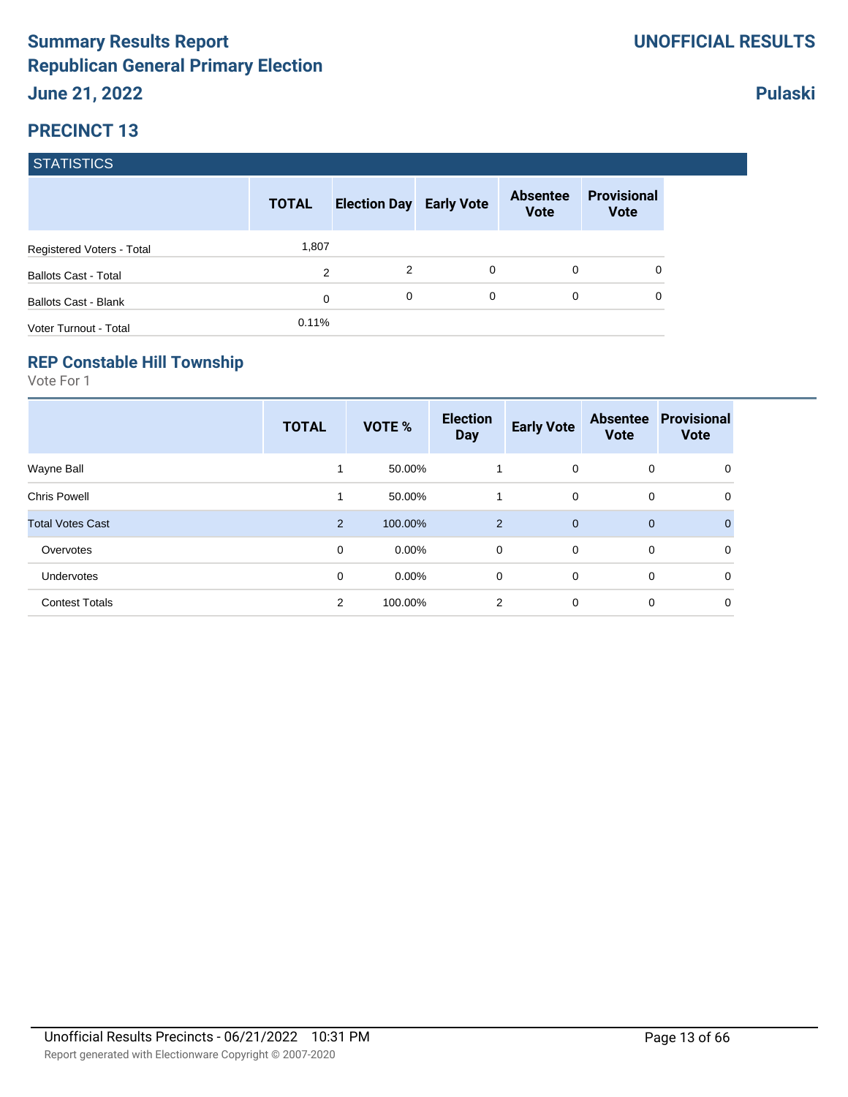|                             | <b>TOTAL</b>   | <b>Election Day Early Vote</b> |          | <b>Absentee</b><br><b>Vote</b> | <b>Provisional</b><br><b>Vote</b> |
|-----------------------------|----------------|--------------------------------|----------|--------------------------------|-----------------------------------|
| Registered Voters - Total   | 1,807          |                                |          |                                |                                   |
| <b>Ballots Cast - Total</b> | $\overline{2}$ | 2                              | $\Omega$ | 0                              | 0                                 |
| <b>Ballots Cast - Blank</b> | 0              | 0                              | $\Omega$ | $\Omega$                       | 0                                 |
| Voter Turnout - Total       | 0.11%          |                                |          |                                |                                   |

#### **REP Constable Hill Township**

Vote For 1

|                         | <b>TOTAL</b>   | <b>VOTE %</b> | <b>Election</b><br><b>Day</b> | <b>Early Vote</b> | <b>Absentee</b><br><b>Vote</b> | <b>Provisional</b><br><b>Vote</b> |
|-------------------------|----------------|---------------|-------------------------------|-------------------|--------------------------------|-----------------------------------|
| Wayne Ball              | 1              | 50.00%        | 1                             | $\mathbf 0$       | 0                              | 0                                 |
| <b>Chris Powell</b>     | 1              | 50.00%        | 1                             | $\mathbf 0$       | 0                              | 0                                 |
| <b>Total Votes Cast</b> | $\overline{2}$ | 100.00%       | $\overline{2}$                | $\mathbf{0}$      | $\mathbf 0$                    | $\mathbf{0}$                      |
| Overvotes               | 0              | $0.00\%$      | 0                             | $\mathbf 0$       | 0                              | 0                                 |
| Undervotes              | 0              | $0.00\%$      | 0                             | 0                 | 0                              | 0                                 |
| <b>Contest Totals</b>   | $\overline{2}$ | 100.00%       | 2                             | 0                 | 0                              | 0                                 |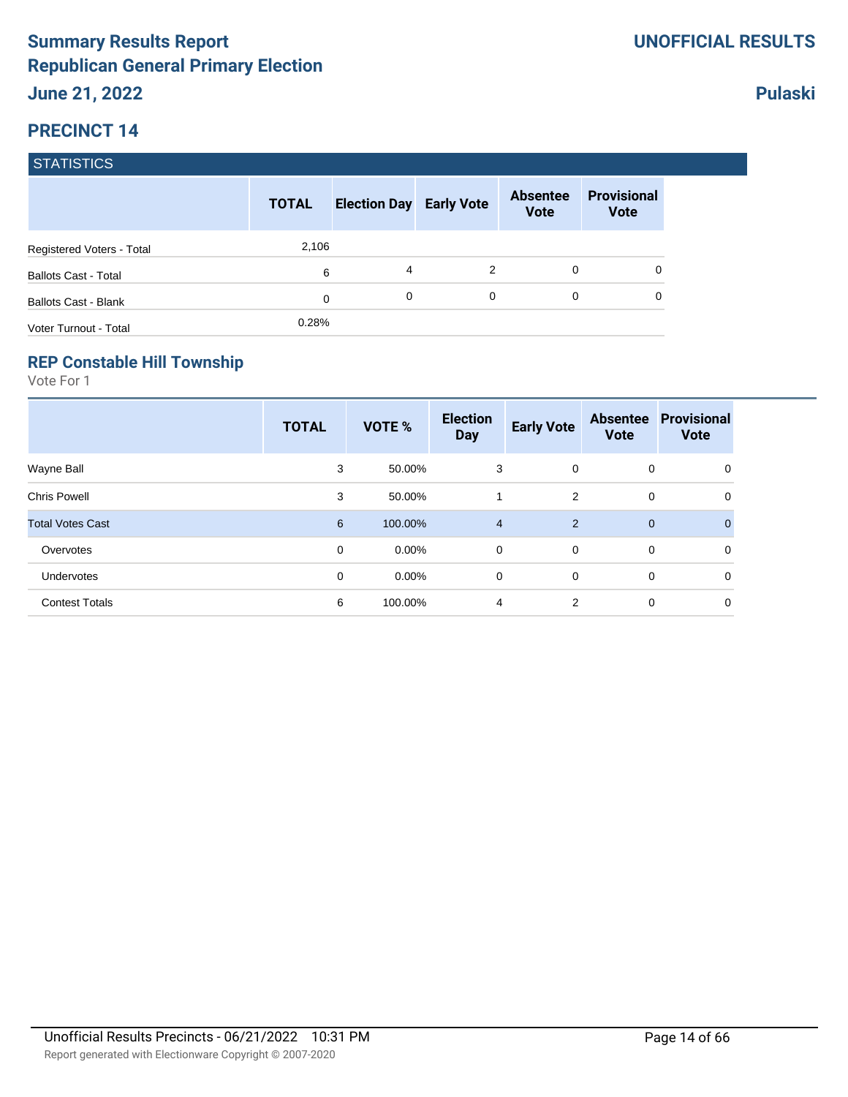|                             | <b>TOTAL</b> | <b>Election Day Early Vote</b> |             | <b>Absentee</b><br><b>Vote</b> | <b>Provisional</b><br><b>Vote</b> |
|-----------------------------|--------------|--------------------------------|-------------|--------------------------------|-----------------------------------|
| Registered Voters - Total   | 2,106        |                                |             |                                |                                   |
| <b>Ballots Cast - Total</b> | 6            | 4                              | 2           | $\Omega$                       | 0                                 |
| <b>Ballots Cast - Blank</b> | $\mathbf 0$  | 0                              | $\mathbf 0$ | $\Omega$                       | 0                                 |
| Voter Turnout - Total       | 0.28%        |                                |             |                                |                                   |

#### **REP Constable Hill Township**

Vote For 1

|                         | <b>TOTAL</b>   | VOTE %   | <b>Election</b><br><b>Day</b> | <b>Early Vote</b> | <b>Absentee</b><br><b>Vote</b> | <b>Provisional</b><br><b>Vote</b> |
|-------------------------|----------------|----------|-------------------------------|-------------------|--------------------------------|-----------------------------------|
| Wayne Ball              | 3              | 50.00%   | 3                             | $\mathbf{0}$      | 0                              | 0                                 |
| <b>Chris Powell</b>     | 3              | 50.00%   | 1                             | 2                 | 0                              | 0                                 |
| <b>Total Votes Cast</b> | $6\phantom{1}$ | 100.00%  | $\overline{4}$                | $\overline{2}$    | $\mathbf 0$                    | $\mathbf{0}$                      |
| Overvotes               | 0              | $0.00\%$ | $\mathbf 0$                   | $\mathbf 0$       | 0                              | 0                                 |
| Undervotes              | 0              | $0.00\%$ | 0                             | $\mathbf 0$       | 0                              | 0                                 |
| <b>Contest Totals</b>   | 6              | 100.00%  | $\overline{4}$                | $\overline{2}$    | 0                              | 0                                 |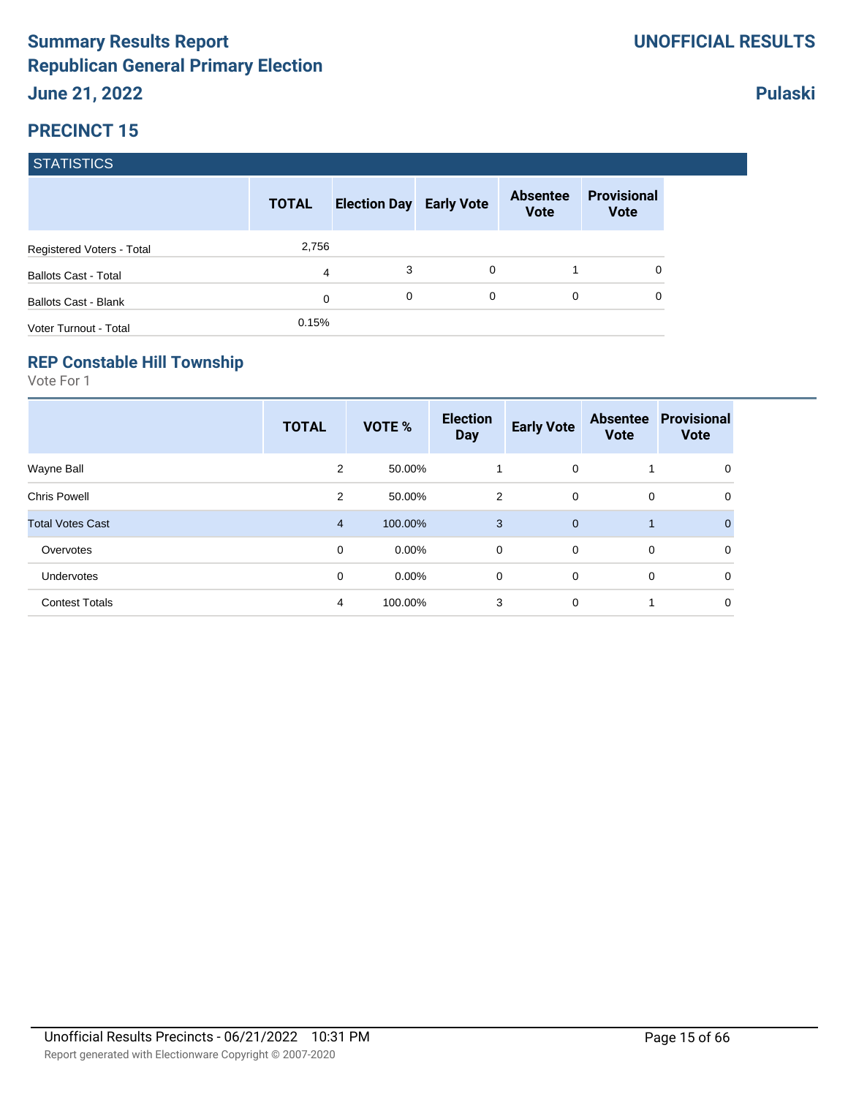|                             | <b>TOTAL</b> | <b>Election Day Early Vote</b> |          | <b>Absentee</b><br><b>Vote</b> | <b>Provisional</b><br><b>Vote</b> |
|-----------------------------|--------------|--------------------------------|----------|--------------------------------|-----------------------------------|
| Registered Voters - Total   | 2,756        |                                |          |                                |                                   |
| <b>Ballots Cast - Total</b> | 4            | 3                              | $\Omega$ |                                | 0                                 |
| <b>Ballots Cast - Blank</b> | 0            | 0                              | 0        | 0                              | 0                                 |
| Voter Turnout - Total       | 0.15%        |                                |          |                                |                                   |

#### **REP Constable Hill Township**

Vote For 1

|                         | <b>TOTAL</b> | VOTE %   | <b>Election</b><br><b>Day</b> | <b>Early Vote</b> | <b>Absentee</b><br><b>Vote</b> | <b>Provisional</b><br><b>Vote</b> |
|-------------------------|--------------|----------|-------------------------------|-------------------|--------------------------------|-----------------------------------|
| Wayne Ball              | 2            | 50.00%   | 1                             | $\overline{0}$    |                                | 0                                 |
| <b>Chris Powell</b>     | 2            | 50.00%   | $\overline{2}$                | $\mathbf 0$       | 0                              | 0                                 |
| <b>Total Votes Cast</b> | 4            | 100.00%  | 3                             | $\overline{0}$    | $\mathbf 1$                    | $\Omega$                          |
| Overvotes               | 0            | $0.00\%$ | 0                             | $\overline{0}$    | 0                              | 0                                 |
| Undervotes              | 0            | $0.00\%$ | 0                             | $\mathbf 0$       | 0                              | 0                                 |
| <b>Contest Totals</b>   | 4            | 100.00%  | 3                             | $\mathbf 0$       | 1                              | 0                                 |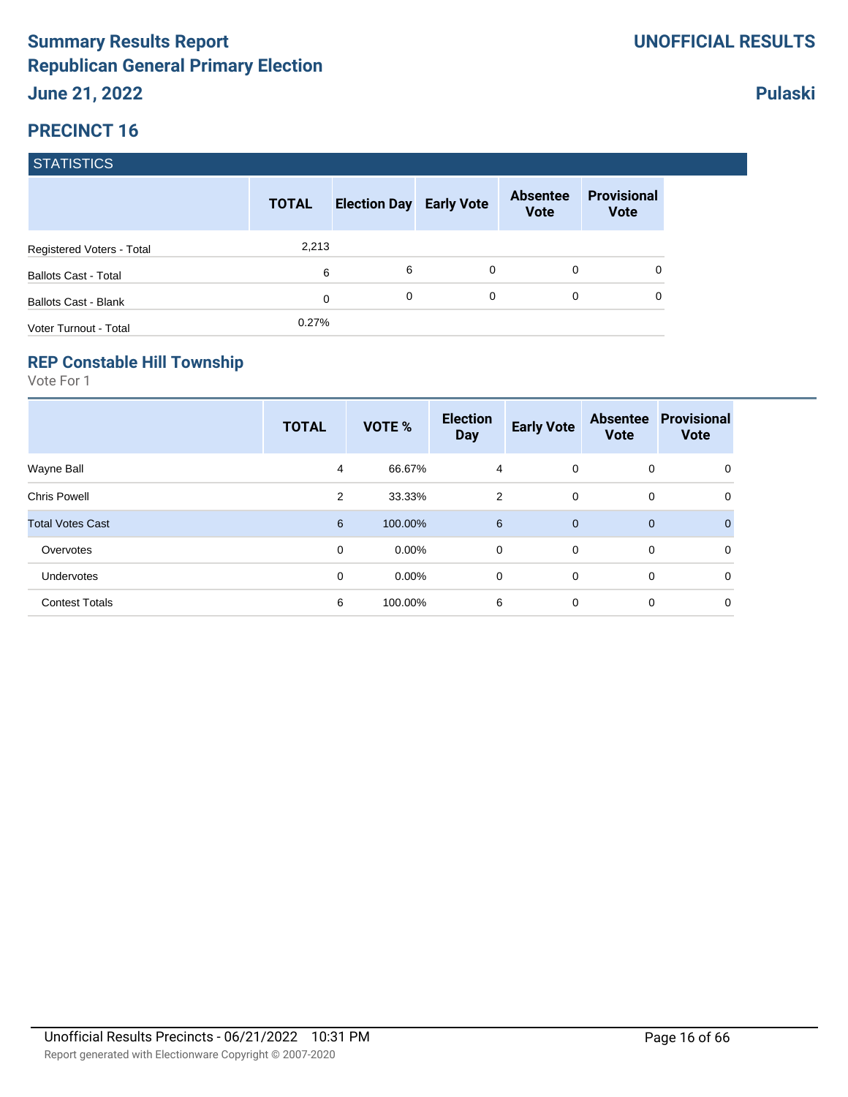|                             | <b>TOTAL</b> | <b>Election Day Early Vote</b> |   | <b>Absentee</b><br><b>Vote</b> | <b>Provisional</b><br><b>Vote</b> |
|-----------------------------|--------------|--------------------------------|---|--------------------------------|-----------------------------------|
| Registered Voters - Total   | 2,213        |                                |   |                                |                                   |
| <b>Ballots Cast - Total</b> | 6            | 6                              | 0 | 0                              | 0                                 |
| Ballots Cast - Blank        | 0            | 0                              | 0 | $\Omega$                       | 0                                 |
| Voter Turnout - Total       | 0.27%        |                                |   |                                |                                   |

#### **REP Constable Hill Township**

Vote For 1

|                         | <b>TOTAL</b> | VOTE %   | <b>Election</b><br><b>Day</b> | <b>Early Vote</b> | <b>Absentee</b><br><b>Vote</b> | <b>Provisional</b><br><b>Vote</b> |
|-------------------------|--------------|----------|-------------------------------|-------------------|--------------------------------|-----------------------------------|
| Wayne Ball              | 4            | 66.67%   | 4                             | $\mathbf{0}$      | 0                              | 0                                 |
| <b>Chris Powell</b>     | 2            | 33.33%   | 2                             | $\mathbf 0$       | 0                              | 0                                 |
| <b>Total Votes Cast</b> | 6            | 100.00%  | 6                             | $\overline{0}$    | $\mathbf 0$                    | $\Omega$                          |
| Overvotes               | 0            | $0.00\%$ | $\mathbf 0$                   | $\Omega$          | 0                              | 0                                 |
| Undervotes              | 0            | $0.00\%$ | 0                             | $\mathbf 0$       | 0                              | 0                                 |
| <b>Contest Totals</b>   | 6            | 100.00%  | 6                             | $\mathbf 0$       | 0                              | 0                                 |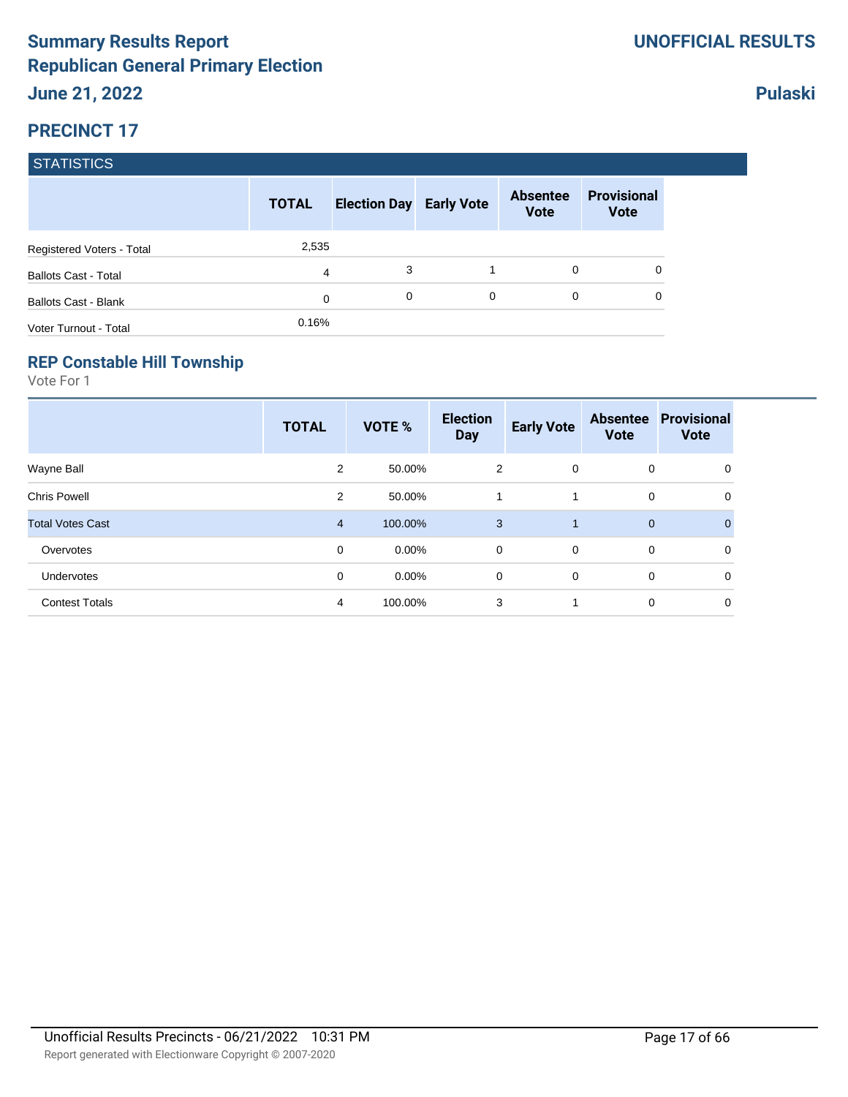|                             | <b>TOTAL</b> | <b>Election Day Early Vote</b> |   | <b>Absentee</b><br><b>Vote</b> | <b>Provisional</b><br><b>Vote</b> |
|-----------------------------|--------------|--------------------------------|---|--------------------------------|-----------------------------------|
| Registered Voters - Total   | 2,535        |                                |   |                                |                                   |
| <b>Ballots Cast - Total</b> | 4            | 3                              |   | 0                              | 0                                 |
| <b>Ballots Cast - Blank</b> | $\mathbf 0$  | 0                              | 0 | $\Omega$                       | 0                                 |
| Voter Turnout - Total       | 0.16%        |                                |   |                                |                                   |

#### **REP Constable Hill Township**

Vote For 1

|                         | <b>TOTAL</b>   | VOTE %   | <b>Election</b><br><b>Day</b> | <b>Early Vote</b> | <b>Absentee</b><br><b>Vote</b> | <b>Provisional</b><br><b>Vote</b> |
|-------------------------|----------------|----------|-------------------------------|-------------------|--------------------------------|-----------------------------------|
| Wayne Ball              | 2              | 50.00%   | 2                             | $\mathbf{0}$      | 0                              | 0                                 |
| <b>Chris Powell</b>     | 2              | 50.00%   | 1                             |                   | 0                              | 0                                 |
| <b>Total Votes Cast</b> | $\overline{4}$ | 100.00%  | 3                             | 1                 | $\mathbf 0$                    | $\mathbf{0}$                      |
| Overvotes               | 0              | $0.00\%$ | $\mathbf 0$                   | $\overline{0}$    | 0                              | 0                                 |
| Undervotes              | 0              | $0.00\%$ | 0                             | $\mathbf 0$       | 0                              | 0                                 |
| <b>Contest Totals</b>   | 4              | 100.00%  | 3                             | 1                 | 0                              | 0                                 |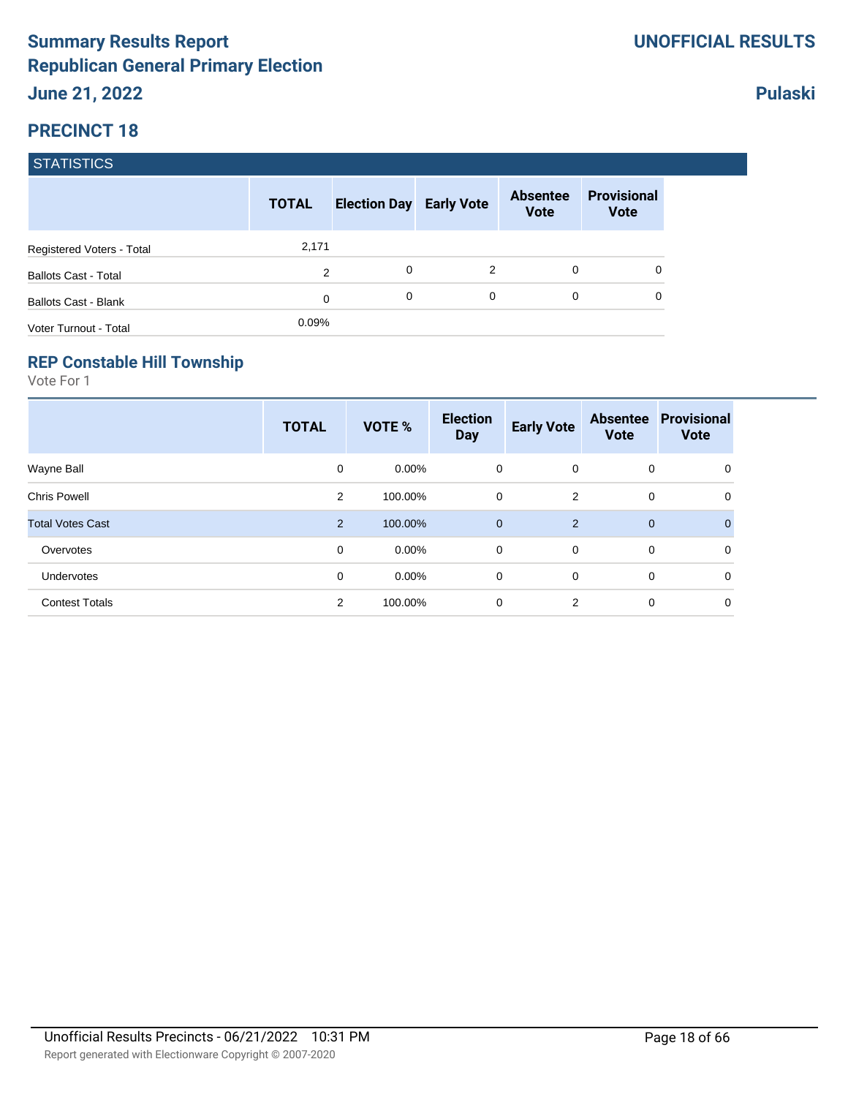|                             | <b>TOTAL</b> | <b>Election Day Early Vote</b> |   | <b>Absentee</b><br><b>Vote</b> | <b>Provisional</b><br><b>Vote</b> |
|-----------------------------|--------------|--------------------------------|---|--------------------------------|-----------------------------------|
| Registered Voters - Total   | 2,171        |                                |   |                                |                                   |
| <b>Ballots Cast - Total</b> | 2            | 0                              | 2 | $\Omega$                       |                                   |
| <b>Ballots Cast - Blank</b> | 0            | 0                              | 0 | $\Omega$                       |                                   |
| Voter Turnout - Total       | 0.09%        |                                |   |                                |                                   |

#### **REP Constable Hill Township**

Vote For 1

|                         | <b>TOTAL</b>   | VOTE %   | <b>Election</b><br><b>Day</b> | <b>Early Vote</b> | <b>Absentee</b><br><b>Vote</b> | <b>Provisional</b><br><b>Vote</b> |
|-------------------------|----------------|----------|-------------------------------|-------------------|--------------------------------|-----------------------------------|
| Wayne Ball              | 0              | $0.00\%$ | 0                             | $\mathbf{0}$      | 0                              | 0                                 |
| <b>Chris Powell</b>     | 2              | 100.00%  | 0                             | 2                 | 0                              | 0                                 |
| <b>Total Votes Cast</b> | $\overline{2}$ | 100.00%  | $\mathbf 0$                   | 2                 | $\mathbf{0}$                   | $\Omega$                          |
| Overvotes               | 0              | $0.00\%$ | 0                             | $\overline{0}$    | 0                              | 0                                 |
| Undervotes              | 0              | $0.00\%$ | 0                             | $\mathbf 0$       | 0                              | 0                                 |
| <b>Contest Totals</b>   | $\overline{2}$ | 100.00%  | 0                             | 2                 | 0                              | 0                                 |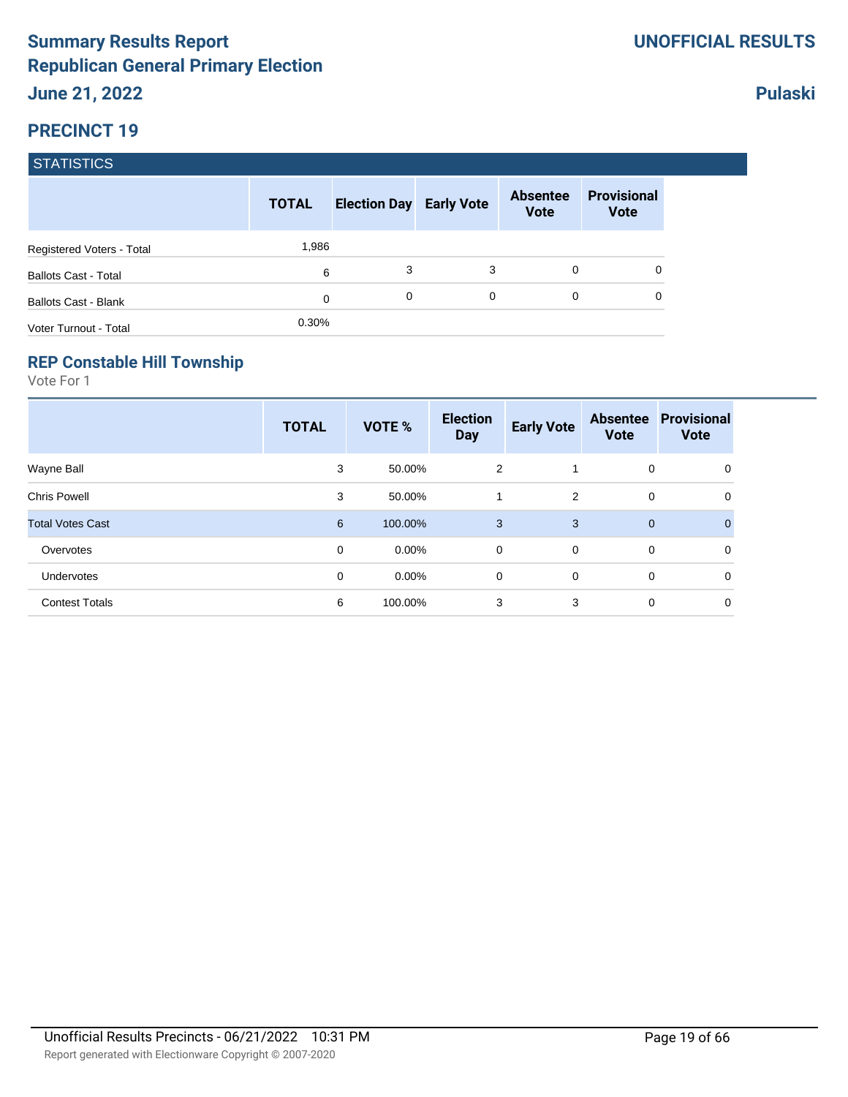|                             | <b>TOTAL</b> | <b>Election Day Early Vote</b> |   | <b>Absentee</b><br><b>Vote</b> | <b>Provisional</b><br><b>Vote</b> |
|-----------------------------|--------------|--------------------------------|---|--------------------------------|-----------------------------------|
| Registered Voters - Total   | 1,986        |                                |   |                                |                                   |
| <b>Ballots Cast - Total</b> | 6            | 3                              | 3 | 0                              | 0                                 |
| <b>Ballots Cast - Blank</b> | $\mathbf 0$  | 0                              | 0 | 0                              | 0                                 |
| Voter Turnout - Total       | 0.30%        |                                |   |                                |                                   |

#### **REP Constable Hill Township**

Vote For 1

|                         | <b>TOTAL</b> | VOTE %   | <b>Election</b><br><b>Day</b> | <b>Early Vote</b> | <b>Absentee</b><br><b>Vote</b> | <b>Provisional</b><br><b>Vote</b> |
|-------------------------|--------------|----------|-------------------------------|-------------------|--------------------------------|-----------------------------------|
| Wayne Ball              | 3            | 50.00%   | $\overline{2}$                |                   | 0                              | 0                                 |
| <b>Chris Powell</b>     | 3            | 50.00%   |                               | 2                 | 0                              | 0                                 |
| <b>Total Votes Cast</b> | 6            | 100.00%  | 3                             | 3                 | 0                              | $\Omega$                          |
| Overvotes               | 0            | $0.00\%$ | $\mathbf 0$                   | $\mathbf 0$       | $\mathbf 0$                    | 0                                 |
| Undervotes              | 0            | $0.00\%$ | 0                             | $\mathbf 0$       | 0                              | $\mathbf 0$                       |
| <b>Contest Totals</b>   | 6            | 100.00%  | 3                             | 3                 | 0                              | 0                                 |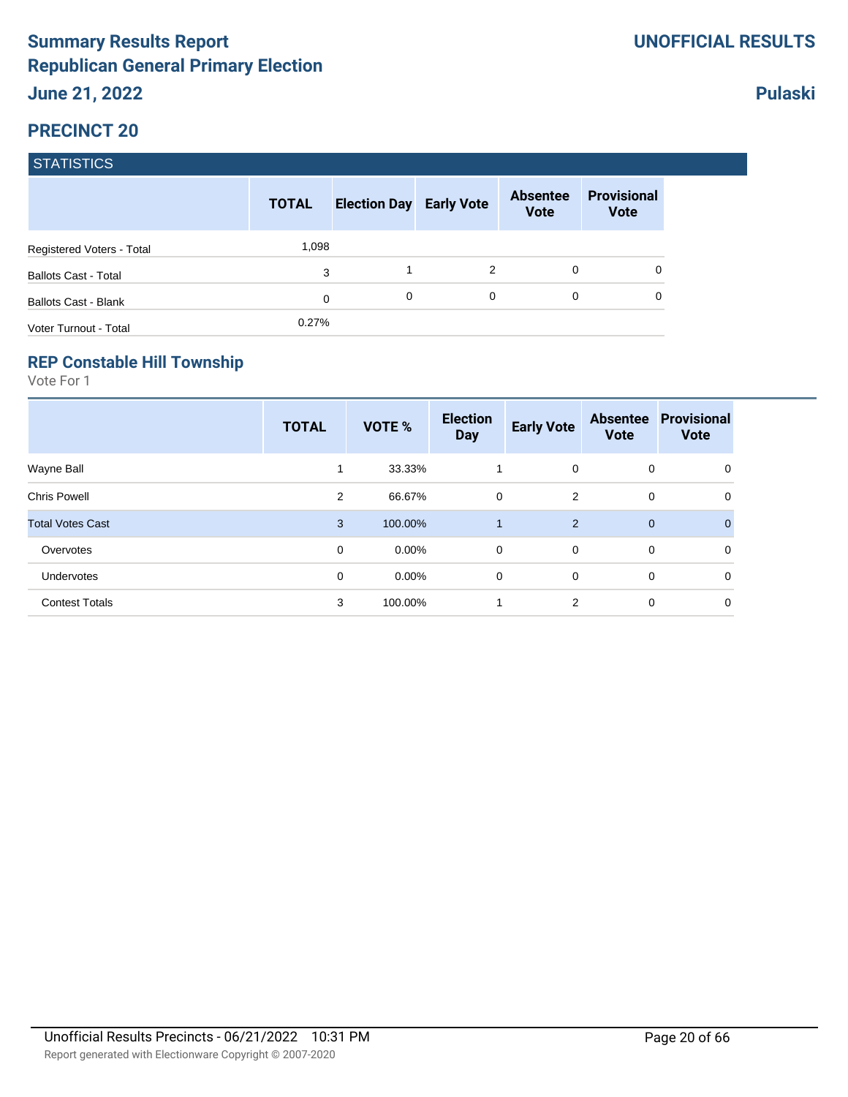|                             | <b>TOTAL</b> | <b>Election Day Early Vote</b> |   | <b>Absentee</b><br><b>Vote</b> | <b>Provisional</b><br><b>Vote</b> |
|-----------------------------|--------------|--------------------------------|---|--------------------------------|-----------------------------------|
| Registered Voters - Total   | 1,098        |                                |   |                                |                                   |
| <b>Ballots Cast - Total</b> | 3            |                                | 2 | $\Omega$                       |                                   |
| <b>Ballots Cast - Blank</b> | 0            | 0                              | 0 | 0                              |                                   |
| Voter Turnout - Total       | 0.27%        |                                |   |                                |                                   |

#### **REP Constable Hill Township**

Vote For 1

|                         | <b>TOTAL</b> | <b>VOTE %</b> | <b>Election</b><br><b>Day</b> | <b>Early Vote</b> | <b>Absentee</b><br><b>Vote</b> | <b>Provisional</b><br><b>Vote</b> |
|-------------------------|--------------|---------------|-------------------------------|-------------------|--------------------------------|-----------------------------------|
| Wayne Ball              | 1            | 33.33%        | 1                             | $\mathbf 0$       | 0                              | 0                                 |
| <b>Chris Powell</b>     | 2            | 66.67%        | 0                             | 2                 | 0                              | 0                                 |
| <b>Total Votes Cast</b> | 3            | 100.00%       | 1                             | 2                 | $\mathbf 0$                    | $\mathbf{0}$                      |
| Overvotes               | $\mathbf 0$  | $0.00\%$      | $\mathbf 0$                   | $\mathbf 0$       | 0                              | 0                                 |
| Undervotes              | 0            | $0.00\%$      | 0                             | 0                 | 0                              | 0                                 |
| <b>Contest Totals</b>   | 3            | 100.00%       | 1                             | 2                 | 0                              | 0                                 |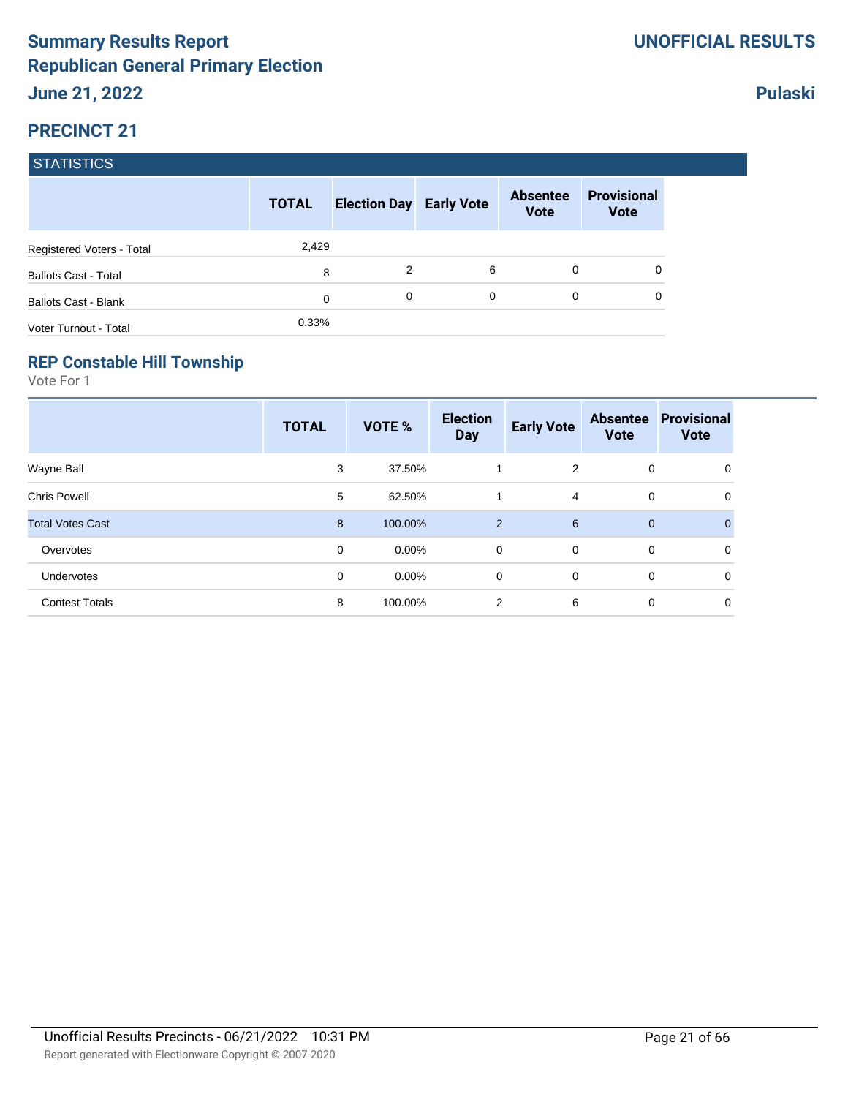|                             | <b>TOTAL</b> | <b>Election Day Early Vote</b> |   | <b>Absentee</b><br><b>Vote</b> | <b>Provisional</b><br><b>Vote</b> |
|-----------------------------|--------------|--------------------------------|---|--------------------------------|-----------------------------------|
| Registered Voters - Total   | 2,429        |                                |   |                                |                                   |
| <b>Ballots Cast - Total</b> | 8            | 2                              | 6 | 0                              | 0                                 |
| <b>Ballots Cast - Blank</b> | 0            | 0                              | 0 | 0                              | 0                                 |
| Voter Turnout - Total       | 0.33%        |                                |   |                                |                                   |

#### **REP Constable Hill Township**

Vote For 1

|                         | <b>TOTAL</b> | VOTE %   | <b>Election</b><br><b>Day</b> | <b>Early Vote</b> | <b>Absentee</b><br><b>Vote</b> | <b>Provisional</b><br><b>Vote</b> |
|-------------------------|--------------|----------|-------------------------------|-------------------|--------------------------------|-----------------------------------|
| Wayne Ball              | 3            | 37.50%   | 1                             | 2                 | 0                              | 0                                 |
| <b>Chris Powell</b>     | 5            | 62.50%   | 1                             | $\overline{4}$    | 0                              | 0                                 |
| <b>Total Votes Cast</b> | 8            | 100.00%  | $\overline{2}$                | 6                 | $\mathbf 0$                    | $\Omega$                          |
| Overvotes               | 0            | $0.00\%$ | $\mathbf 0$                   | $\Omega$          | 0                              | 0                                 |
| Undervotes              | 0            | $0.00\%$ | 0                             | $\mathbf 0$       | 0                              | 0                                 |
| <b>Contest Totals</b>   | 8            | 100.00%  | 2                             | 6                 | 0                              | 0                                 |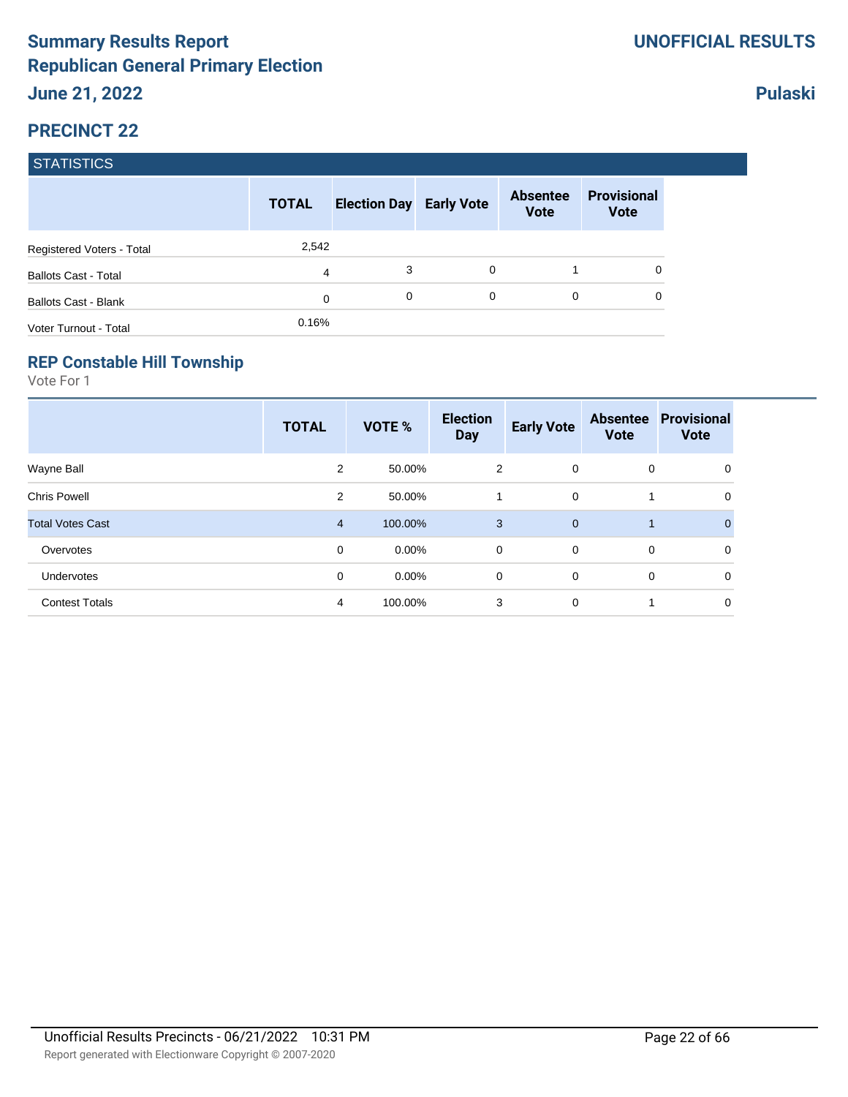|                             | <b>TOTAL</b> | <b>Election Day Early Vote</b> |   | <b>Absentee</b><br><b>Vote</b> | <b>Provisional</b><br><b>Vote</b> |
|-----------------------------|--------------|--------------------------------|---|--------------------------------|-----------------------------------|
| Registered Voters - Total   | 2,542        |                                |   |                                |                                   |
| <b>Ballots Cast - Total</b> | 4            | 3                              | 0 |                                |                                   |
| <b>Ballots Cast - Blank</b> | 0            | 0                              | 0 | 0                              |                                   |
| Voter Turnout - Total       | 0.16%        |                                |   |                                |                                   |

#### **REP Constable Hill Township**

Vote For 1

|                         | <b>TOTAL</b>   | <b>VOTE %</b> | <b>Election</b><br><b>Day</b> | <b>Early Vote</b> | <b>Absentee</b><br><b>Vote</b> | <b>Provisional</b><br><b>Vote</b> |
|-------------------------|----------------|---------------|-------------------------------|-------------------|--------------------------------|-----------------------------------|
| Wayne Ball              | $\overline{2}$ | 50.00%        | 2                             | $\overline{0}$    | 0                              | 0                                 |
| <b>Chris Powell</b>     | 2              | 50.00%        | 1                             | $\mathbf 0$       |                                | 0                                 |
| <b>Total Votes Cast</b> | $\overline{4}$ | 100.00%       | 3                             | $\mathbf{0}$      |                                | $\Omega$                          |
| Overvotes               | 0              | $0.00\%$      | $\mathbf 0$                   | $\overline{0}$    | $\mathbf 0$                    | $\mathbf 0$                       |
| Undervotes              | 0              | $0.00\%$      | 0                             | $\mathbf 0$       | 0                              | 0                                 |
| <b>Contest Totals</b>   | 4              | 100.00%       | 3                             | $\mathbf 0$       |                                | 0                                 |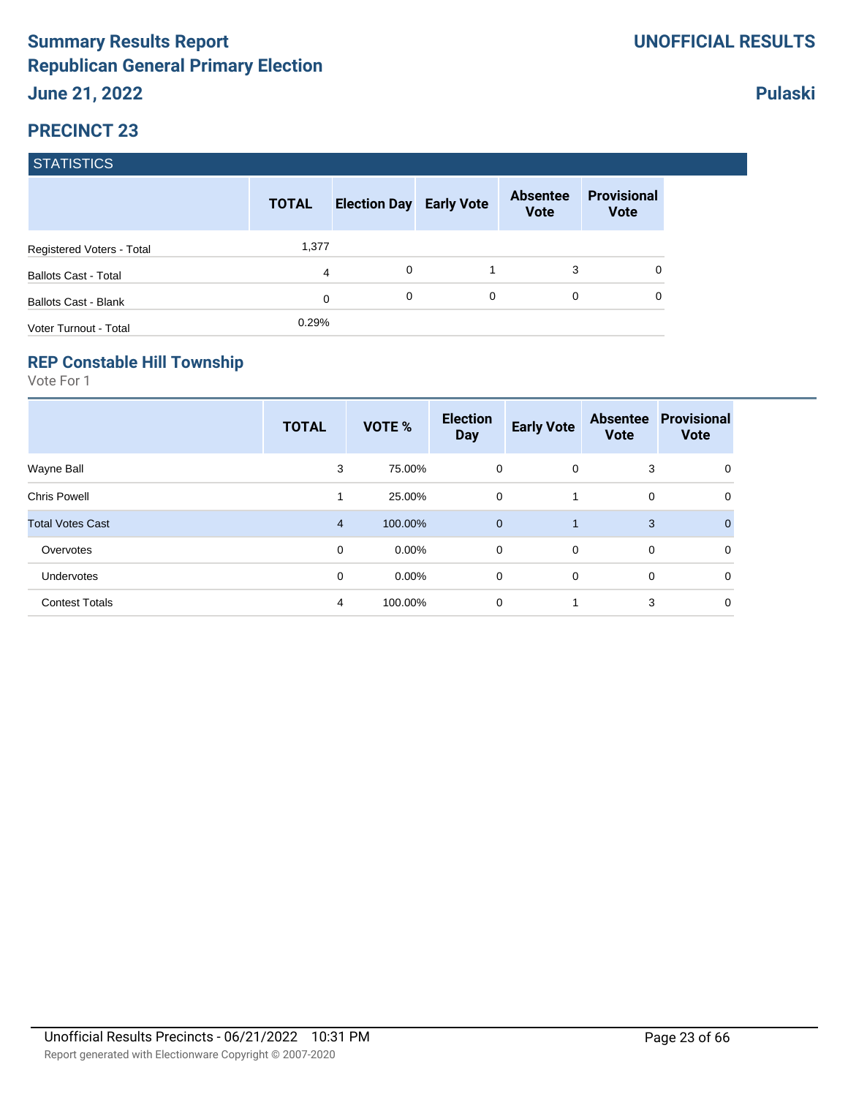|                             | <b>TOTAL</b>   | <b>Election Day Early Vote</b> |   | <b>Absentee</b><br><b>Vote</b> | <b>Provisional</b><br><b>Vote</b> |
|-----------------------------|----------------|--------------------------------|---|--------------------------------|-----------------------------------|
| Registered Voters - Total   | 1,377          |                                |   |                                |                                   |
| <b>Ballots Cast - Total</b> | $\overline{4}$ | 0                              |   | 3                              | 0                                 |
| <b>Ballots Cast - Blank</b> | $\mathbf 0$    | 0                              | 0 | 0                              | 0                                 |
| Voter Turnout - Total       | 0.29%          |                                |   |                                |                                   |

#### **REP Constable Hill Township**

Vote For 1

|                         | <b>TOTAL</b>   | VOTE %   | <b>Election</b><br><b>Day</b> | <b>Early Vote</b> | <b>Absentee</b><br><b>Vote</b> | <b>Provisional</b><br><b>Vote</b> |
|-------------------------|----------------|----------|-------------------------------|-------------------|--------------------------------|-----------------------------------|
| Wayne Ball              | 3              | 75.00%   | 0                             | $\mathbf{0}$      | 3                              | 0                                 |
| <b>Chris Powell</b>     | 1              | 25.00%   | 0                             |                   | 0                              | 0                                 |
| <b>Total Votes Cast</b> | $\overline{4}$ | 100.00%  | $\mathbf 0$                   | 1                 | 3                              | $\Omega$                          |
| Overvotes               | 0              | $0.00\%$ | $\mathbf 0$                   | $\overline{0}$    | 0                              | 0                                 |
| Undervotes              | 0              | $0.00\%$ | 0                             | $\mathbf 0$       | 0                              | 0                                 |
| <b>Contest Totals</b>   | 4              | 100.00%  | 0                             | 1                 | 3                              | 0                                 |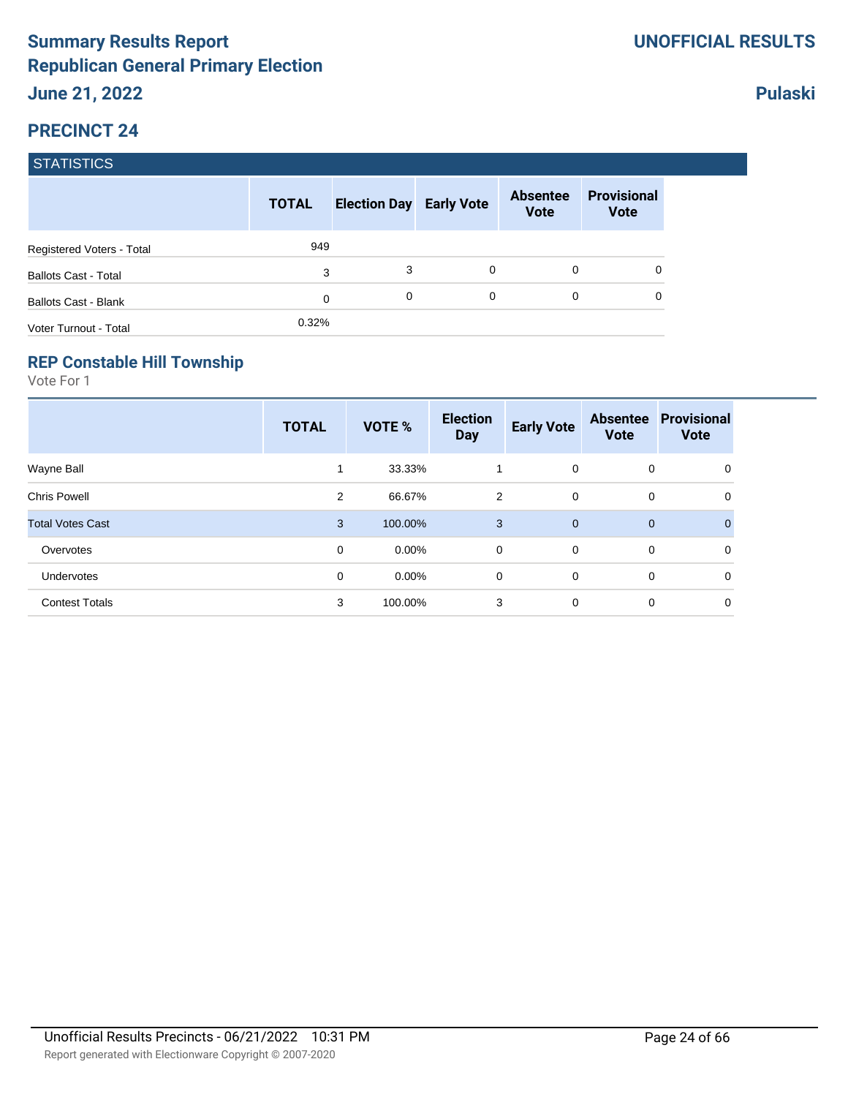|                             | <b>TOTAL</b> | <b>Election Day Early Vote</b> |   | <b>Absentee</b><br><b>Vote</b> | <b>Provisional</b><br><b>Vote</b> |
|-----------------------------|--------------|--------------------------------|---|--------------------------------|-----------------------------------|
| Registered Voters - Total   | 949          |                                |   |                                |                                   |
| <b>Ballots Cast - Total</b> | 3            | 3                              | 0 | 0                              |                                   |
| <b>Ballots Cast - Blank</b> | $\Omega$     | $\Omega$                       | 0 | 0                              |                                   |
| Voter Turnout - Total       | 0.32%        |                                |   |                                |                                   |

#### **REP Constable Hill Township**

Vote For 1

|                         | <b>TOTAL</b>   | <b>VOTE %</b> | <b>Election</b><br><b>Day</b> | <b>Early Vote</b> | <b>Absentee</b><br><b>Vote</b> | <b>Provisional</b><br><b>Vote</b> |
|-------------------------|----------------|---------------|-------------------------------|-------------------|--------------------------------|-----------------------------------|
| Wayne Ball              | 1              | 33.33%        | 1                             | $\mathbf 0$       | 0                              | 0                                 |
| <b>Chris Powell</b>     | $\overline{2}$ | 66.67%        | 2                             | $\mathbf 0$       | 0                              | 0                                 |
| <b>Total Votes Cast</b> | 3              | 100.00%       | 3                             | $\mathbf{0}$      | $\mathbf 0$                    | $\mathbf{0}$                      |
| Overvotes               | 0              | $0.00\%$      | 0                             | $\mathbf 0$       | 0                              | 0                                 |
| Undervotes              | 0              | $0.00\%$      | 0                             | 0                 | 0                              | 0                                 |
| <b>Contest Totals</b>   | 3              | 100.00%       | 3                             | 0                 | 0                              | 0                                 |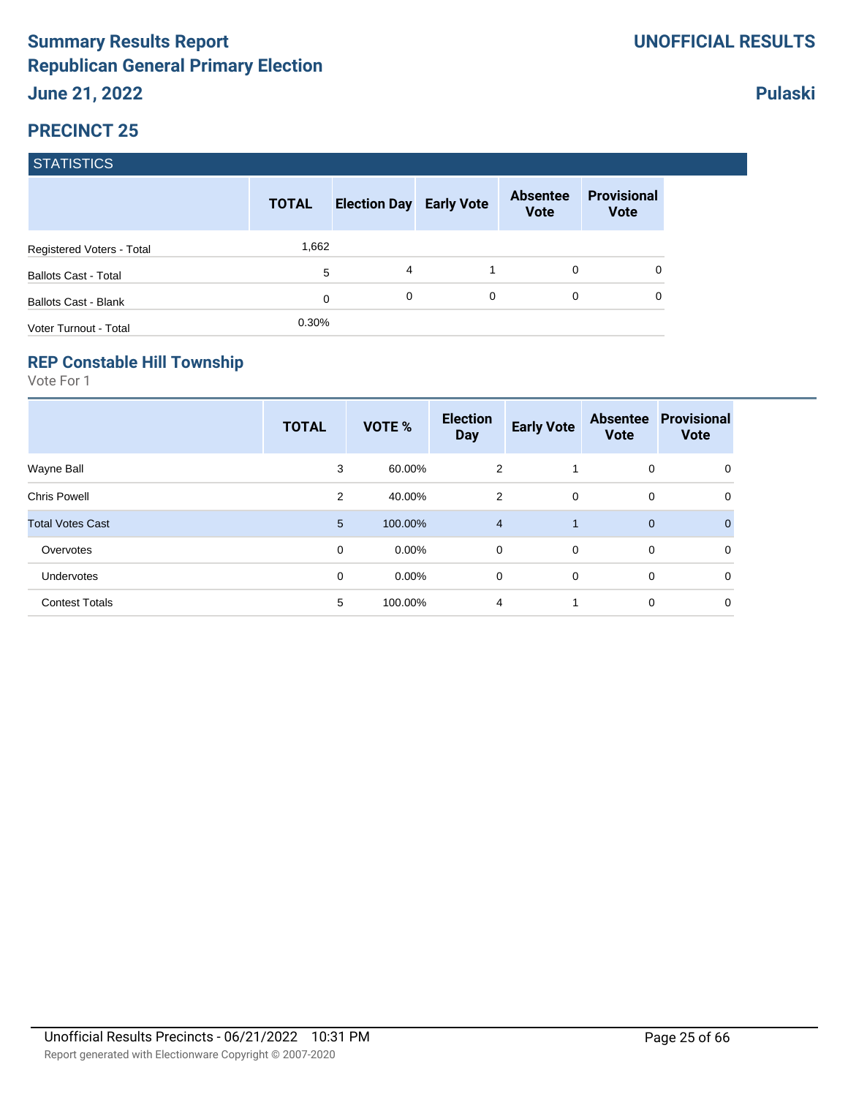|                             | <b>TOTAL</b> | <b>Election Day Early Vote</b> |   | <b>Absentee</b><br><b>Vote</b> | <b>Provisional</b><br><b>Vote</b> |
|-----------------------------|--------------|--------------------------------|---|--------------------------------|-----------------------------------|
| Registered Voters - Total   | 1,662        |                                |   |                                |                                   |
| <b>Ballots Cast - Total</b> | 5            | 4                              |   | 0                              |                                   |
| <b>Ballots Cast - Blank</b> | 0            | 0                              | 0 | 0                              |                                   |
| Voter Turnout - Total       | 0.30%        |                                |   |                                |                                   |

#### **REP Constable Hill Township**

Vote For 1

|                         | <b>TOTAL</b> | VOTE %   | <b>Election</b><br><b>Day</b> | <b>Early Vote</b> | <b>Absentee</b><br><b>Vote</b> | <b>Provisional</b><br><b>Vote</b> |
|-------------------------|--------------|----------|-------------------------------|-------------------|--------------------------------|-----------------------------------|
| Wayne Ball              | 3            | 60.00%   | $\overline{2}$                | -1                | 0                              | 0                                 |
| <b>Chris Powell</b>     | 2            | 40.00%   | $\overline{2}$                | $\mathbf 0$       | 0                              | 0                                 |
| <b>Total Votes Cast</b> | 5            | 100.00%  | $\overline{4}$                |                   | 0                              | 0                                 |
| Overvotes               | 0            | $0.00\%$ | $\mathbf 0$                   | $\mathbf 0$       | $\mathbf 0$                    | 0                                 |
| Undervotes              | 0            | $0.00\%$ | 0                             | $\mathbf 0$       | 0                              | $\mathbf 0$                       |
| <b>Contest Totals</b>   | 5            | 100.00%  | $\overline{4}$                | 1                 | 0                              | 0                                 |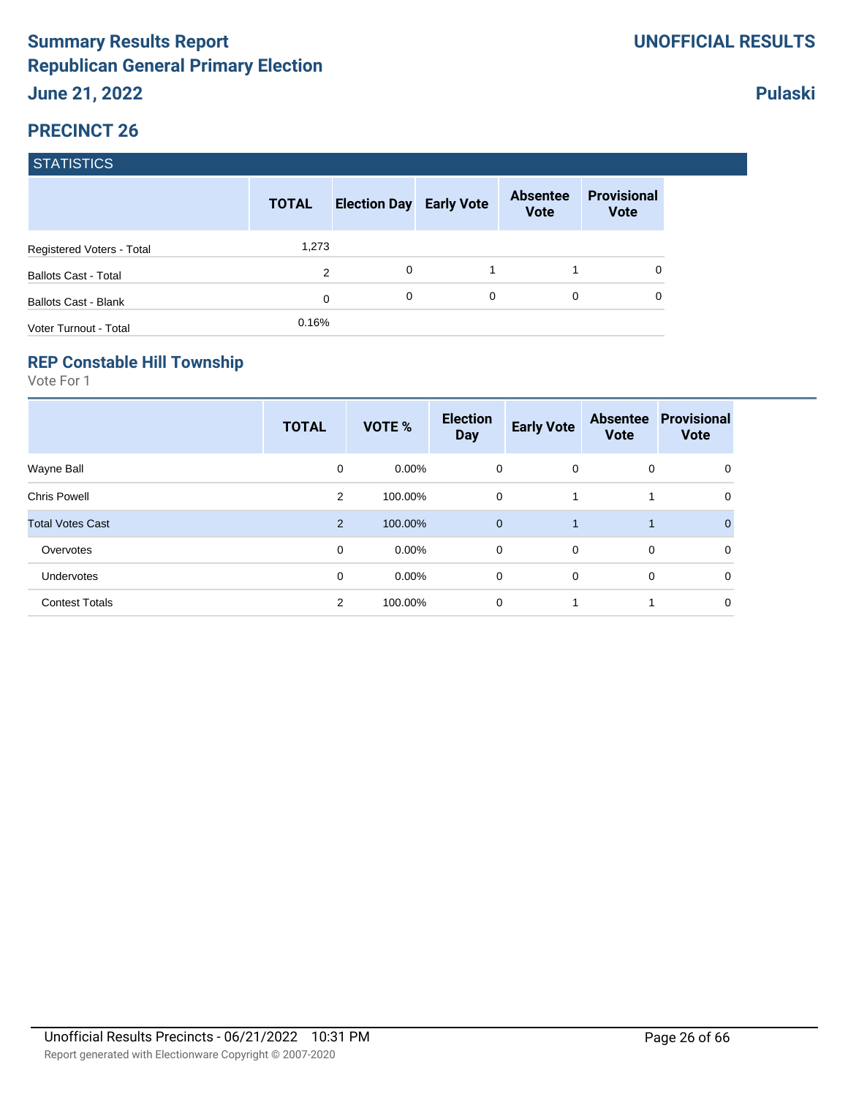|                             | <b>TOTAL</b> | <b>Election Day Early Vote</b> |   | <b>Absentee</b><br><b>Vote</b> | <b>Provisional</b><br><b>Vote</b> |
|-----------------------------|--------------|--------------------------------|---|--------------------------------|-----------------------------------|
| Registered Voters - Total   | 1,273        |                                |   |                                |                                   |
| <b>Ballots Cast - Total</b> | 2            | 0                              |   |                                | 0                                 |
| <b>Ballots Cast - Blank</b> | $\mathbf 0$  | 0                              | 0 | $\Omega$                       | 0                                 |
| Voter Turnout - Total       | 0.16%        |                                |   |                                |                                   |

#### **REP Constable Hill Township**

Vote For 1

|                         | <b>TOTAL</b>   | <b>VOTE %</b> | <b>Election</b><br><b>Day</b> | <b>Early Vote</b> | <b>Absentee</b><br><b>Vote</b> | <b>Provisional</b><br><b>Vote</b> |
|-------------------------|----------------|---------------|-------------------------------|-------------------|--------------------------------|-----------------------------------|
| Wayne Ball              | 0              | $0.00\%$      | 0                             | $\overline{0}$    | 0                              | 0                                 |
| <b>Chris Powell</b>     | $\overline{2}$ | 100.00%       | 0                             |                   |                                | 0                                 |
| <b>Total Votes Cast</b> | $\overline{2}$ | 100.00%       | $\mathbf{0}$                  |                   |                                | $\Omega$                          |
| Overvotes               | $\mathbf 0$    | $0.00\%$      | $\mathbf 0$                   | $\overline{0}$    | $\mathbf 0$                    | $\mathbf 0$                       |
| Undervotes              | 0              | $0.00\%$      | 0                             | $\mathbf 0$       | 0                              | 0                                 |
| <b>Contest Totals</b>   | $\overline{2}$ | 100.00%       | 0                             |                   |                                | 0                                 |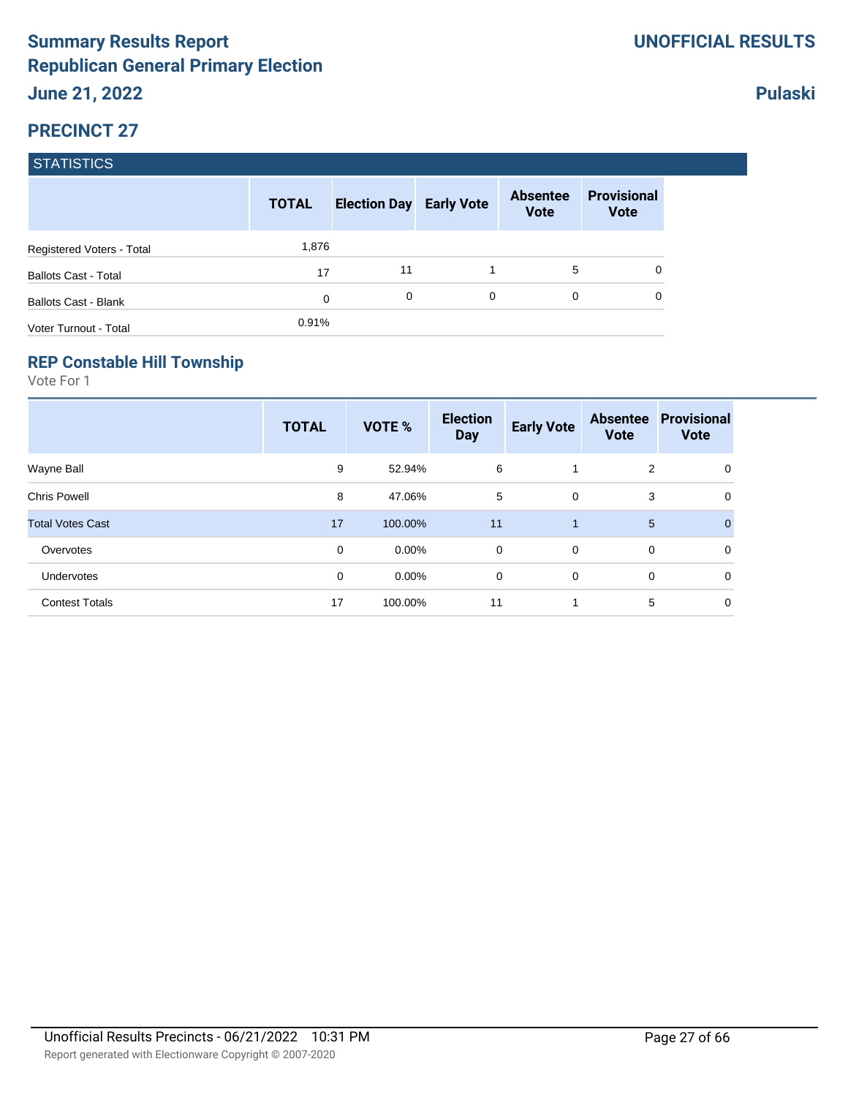|                             | <b>TOTAL</b> | <b>Election Day Early Vote</b> |   | <b>Absentee</b><br><b>Vote</b> | <b>Provisional</b><br><b>Vote</b> |
|-----------------------------|--------------|--------------------------------|---|--------------------------------|-----------------------------------|
| Registered Voters - Total   | 1,876        |                                |   |                                |                                   |
| <b>Ballots Cast - Total</b> | 17           | 11                             |   | 5                              |                                   |
| <b>Ballots Cast - Blank</b> | 0            | 0                              | 0 | $\Omega$                       |                                   |
| Voter Turnout - Total       | 0.91%        |                                |   |                                |                                   |

### **REP Constable Hill Township**

Vote For 1

|                         | <b>TOTAL</b> | VOTE %   | <b>Election</b><br><b>Day</b> | <b>Early Vote</b> | <b>Absentee</b><br><b>Vote</b> | <b>Provisional</b><br><b>Vote</b> |
|-------------------------|--------------|----------|-------------------------------|-------------------|--------------------------------|-----------------------------------|
| Wayne Ball              | 9            | 52.94%   | 6                             |                   | 2                              | 0                                 |
| <b>Chris Powell</b>     | 8            | 47.06%   | 5                             | $\mathbf 0$       | 3                              | 0                                 |
| <b>Total Votes Cast</b> | 17           | 100.00%  | 11                            | 1                 | 5                              | $\mathbf{0}$                      |
| Overvotes               | 0            | $0.00\%$ | $\mathbf 0$                   | $\overline{0}$    | 0                              | 0                                 |
| Undervotes              | 0            | $0.00\%$ | 0                             | $\mathbf 0$       | 0                              | 0                                 |
| <b>Contest Totals</b>   | 17           | 100.00%  | 11                            | 1                 | 5                              | 0                                 |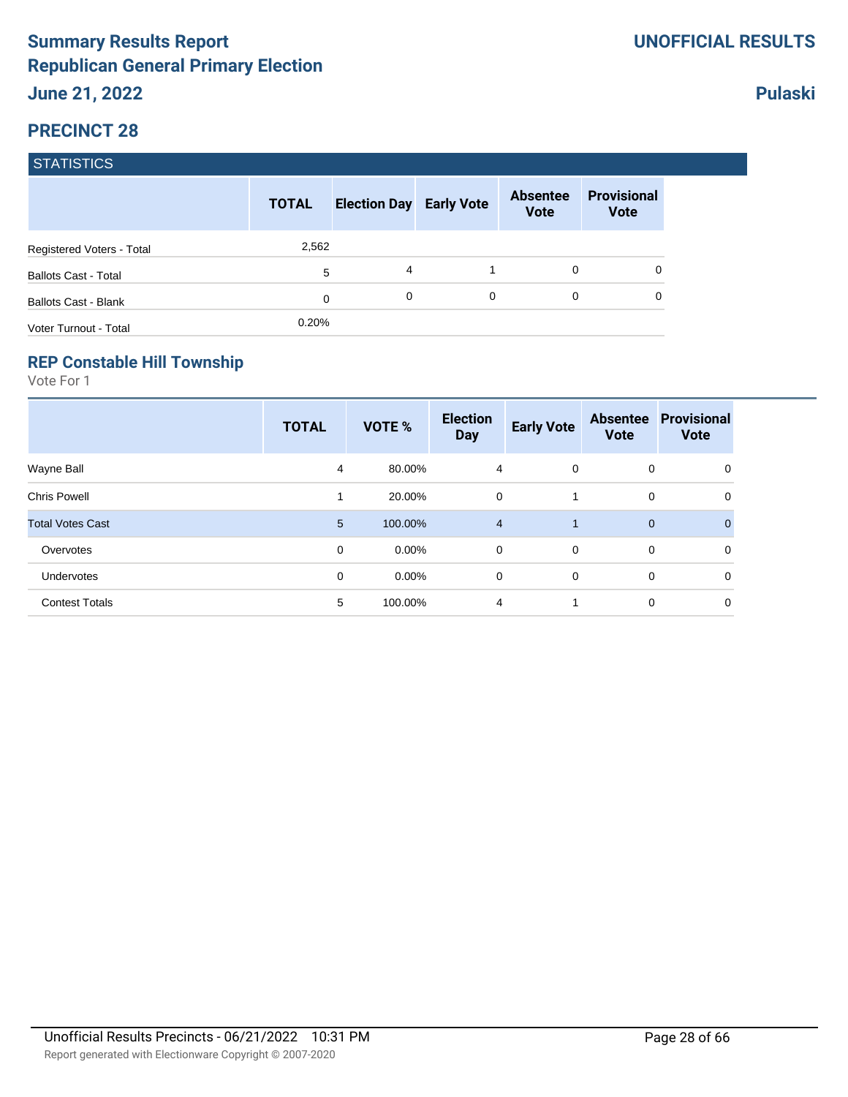|                             | <b>TOTAL</b> | <b>Election Day Early Vote</b> |   | <b>Absentee</b><br><b>Vote</b> | <b>Provisional</b><br><b>Vote</b> |
|-----------------------------|--------------|--------------------------------|---|--------------------------------|-----------------------------------|
| Registered Voters - Total   | 2,562        |                                |   |                                |                                   |
| <b>Ballots Cast - Total</b> | 5            | 4                              |   | 0                              | 0                                 |
| <b>Ballots Cast - Blank</b> | 0            | $\Omega$                       | 0 | 0                              | 0                                 |
| Voter Turnout - Total       | 0.20%        |                                |   |                                |                                   |

#### **REP Constable Hill Township**

Vote For 1

|                         | <b>TOTAL</b>    | <b>VOTE %</b> | <b>Election</b><br><b>Day</b> | <b>Early Vote</b> | <b>Absentee</b><br><b>Vote</b> | <b>Provisional</b><br><b>Vote</b> |
|-------------------------|-----------------|---------------|-------------------------------|-------------------|--------------------------------|-----------------------------------|
| Wayne Ball              | 4               | 80.00%        | 4                             | $\overline{0}$    | 0                              | 0                                 |
| <b>Chris Powell</b>     | 1               | 20.00%        | 0                             |                   | 0                              | 0                                 |
| <b>Total Votes Cast</b> | $5\overline{)}$ | 100.00%       | $\overline{4}$                |                   | $\mathbf 0$                    | $\Omega$                          |
| Overvotes               | 0               | $0.00\%$      | $\mathbf 0$                   | $\overline{0}$    | 0                              | 0                                 |
| Undervotes              | 0               | $0.00\%$      | 0                             | $\mathbf 0$       | 0                              | 0                                 |
| <b>Contest Totals</b>   | 5               | 100.00%       | 4                             |                   | 0                              | 0                                 |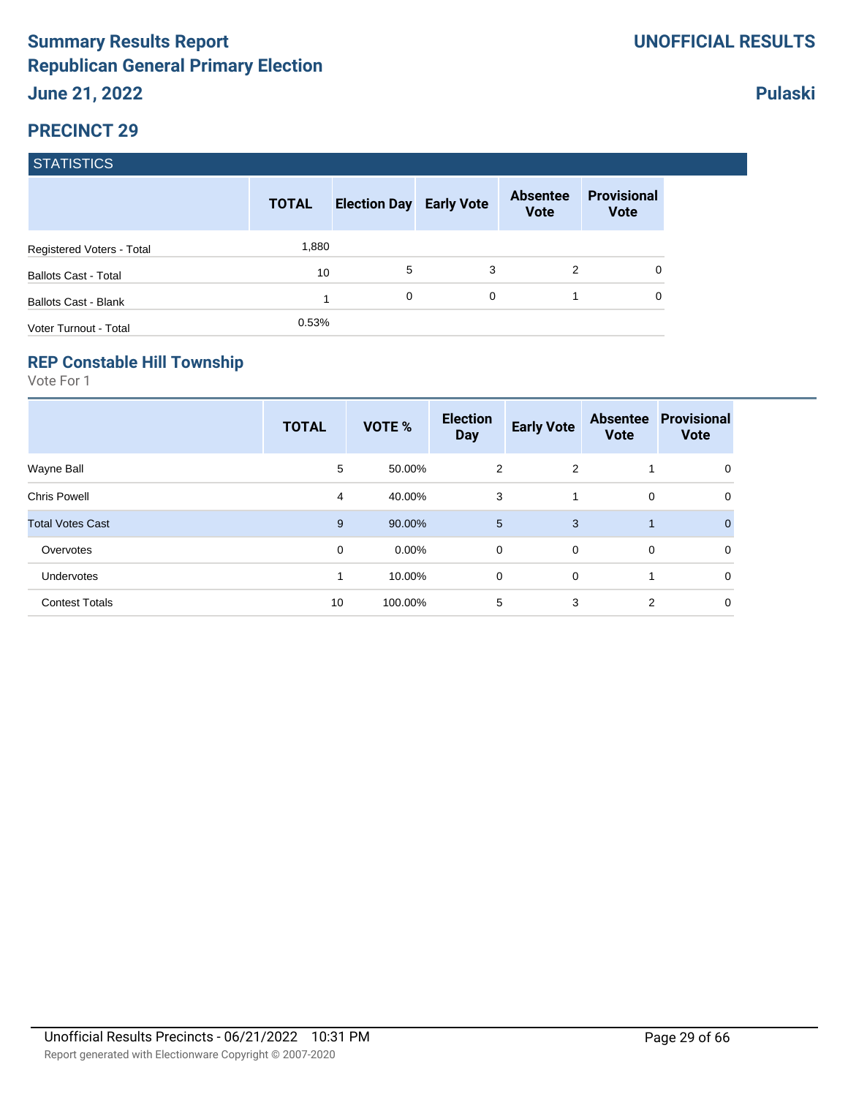|                             | <b>TOTAL</b> | <b>Election Day Early Vote</b> |   | <b>Absentee</b><br><b>Vote</b> | <b>Provisional</b><br><b>Vote</b> |
|-----------------------------|--------------|--------------------------------|---|--------------------------------|-----------------------------------|
| Registered Voters - Total   | 1,880        |                                |   |                                |                                   |
| <b>Ballots Cast - Total</b> | 10           | 5                              | 3 | 2                              |                                   |
| <b>Ballots Cast - Blank</b> |              | 0                              | 0 |                                |                                   |
| Voter Turnout - Total       | 0.53%        |                                |   |                                |                                   |

#### **REP Constable Hill Township**

Vote For 1

|                         | <b>TOTAL</b> | VOTE %   | <b>Election</b><br><b>Day</b> | <b>Early Vote</b> | <b>Absentee</b><br><b>Vote</b> | <b>Provisional</b><br><b>Vote</b> |
|-------------------------|--------------|----------|-------------------------------|-------------------|--------------------------------|-----------------------------------|
| Wayne Ball              | 5            | 50.00%   | $\overline{2}$                | 2                 | $\mathbf{1}$                   | 0                                 |
| <b>Chris Powell</b>     | 4            | 40.00%   | 3                             | 1                 | 0                              | 0                                 |
| <b>Total Votes Cast</b> | 9            | 90.00%   | 5                             | 3                 | $\mathbf{1}$                   | $\Omega$                          |
| Overvotes               | 0            | $0.00\%$ | $\mathbf 0$                   | $\mathbf 0$       | $\mathbf 0$                    | 0                                 |
| Undervotes              | 1            | 10.00%   | 0                             | $\mathbf 0$       | 1                              | $\mathbf 0$                       |
| <b>Contest Totals</b>   | 10           | 100.00%  | 5                             | 3                 | 2                              | $\mathbf 0$                       |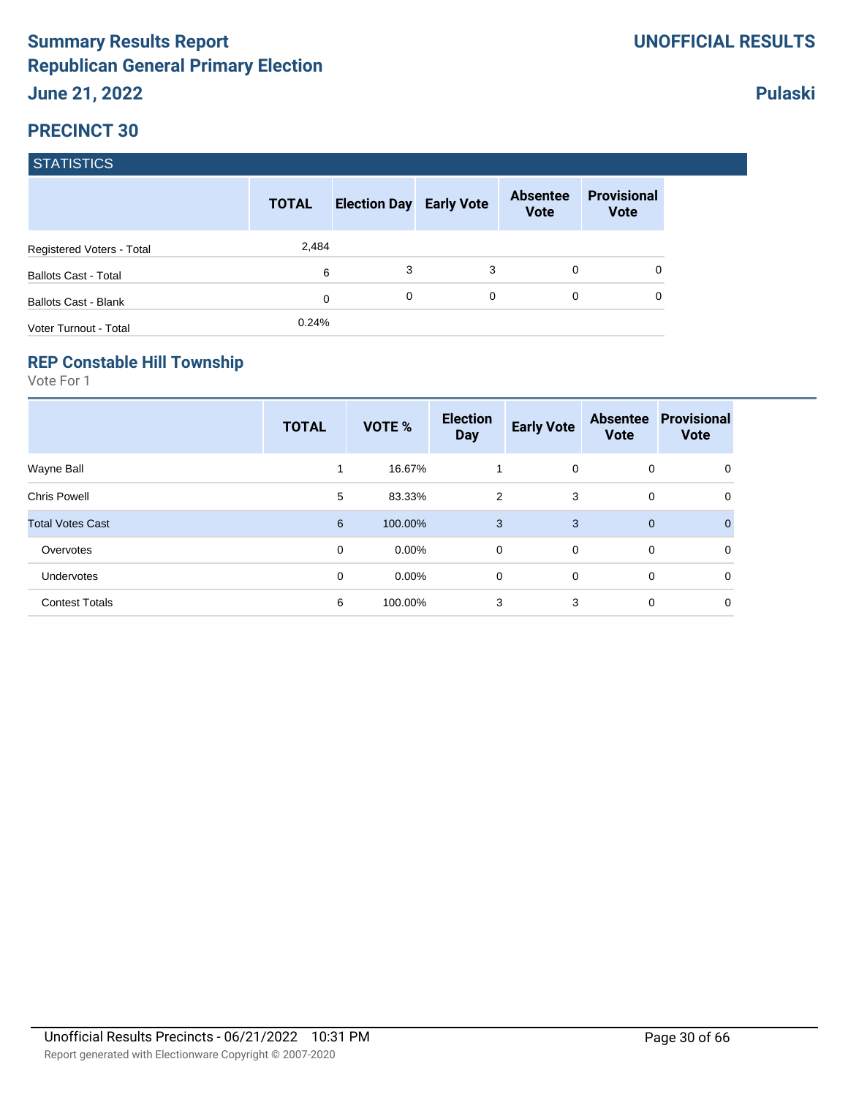|                             | <b>TOTAL</b> | <b>Election Day Early Vote</b> |   | <b>Absentee</b><br><b>Vote</b> | <b>Provisional</b><br><b>Vote</b> |
|-----------------------------|--------------|--------------------------------|---|--------------------------------|-----------------------------------|
| Registered Voters - Total   | 2,484        |                                |   |                                |                                   |
| <b>Ballots Cast - Total</b> | 6            | 3                              | 3 | $\Omega$                       |                                   |
| <b>Ballots Cast - Blank</b> | 0            | 0                              | 0 | $\Omega$                       |                                   |
| Voter Turnout - Total       | 0.24%        |                                |   |                                |                                   |

#### **REP Constable Hill Township**

Vote For 1

|                         | <b>TOTAL</b>   | <b>VOTE %</b> | <b>Election</b><br><b>Day</b> | <b>Early Vote</b> | <b>Absentee</b><br><b>Vote</b> | <b>Provisional</b><br><b>Vote</b> |
|-------------------------|----------------|---------------|-------------------------------|-------------------|--------------------------------|-----------------------------------|
| Wayne Ball              | 1              | 16.67%        | 1                             | $\mathbf 0$       | 0                              | 0                                 |
| <b>Chris Powell</b>     | 5              | 83.33%        | 2                             | 3                 | 0                              | 0                                 |
| <b>Total Votes Cast</b> | $6\phantom{1}$ | 100.00%       | 3                             | 3                 | $\mathbf 0$                    | $\mathbf{0}$                      |
| Overvotes               | 0              | $0.00\%$      | 0                             | $\mathbf 0$       | 0                              | 0                                 |
| Undervotes              | 0              | $0.00\%$      | 0                             | 0                 | 0                              | 0                                 |
| <b>Contest Totals</b>   | 6              | 100.00%       | 3                             | 3                 | 0                              | 0                                 |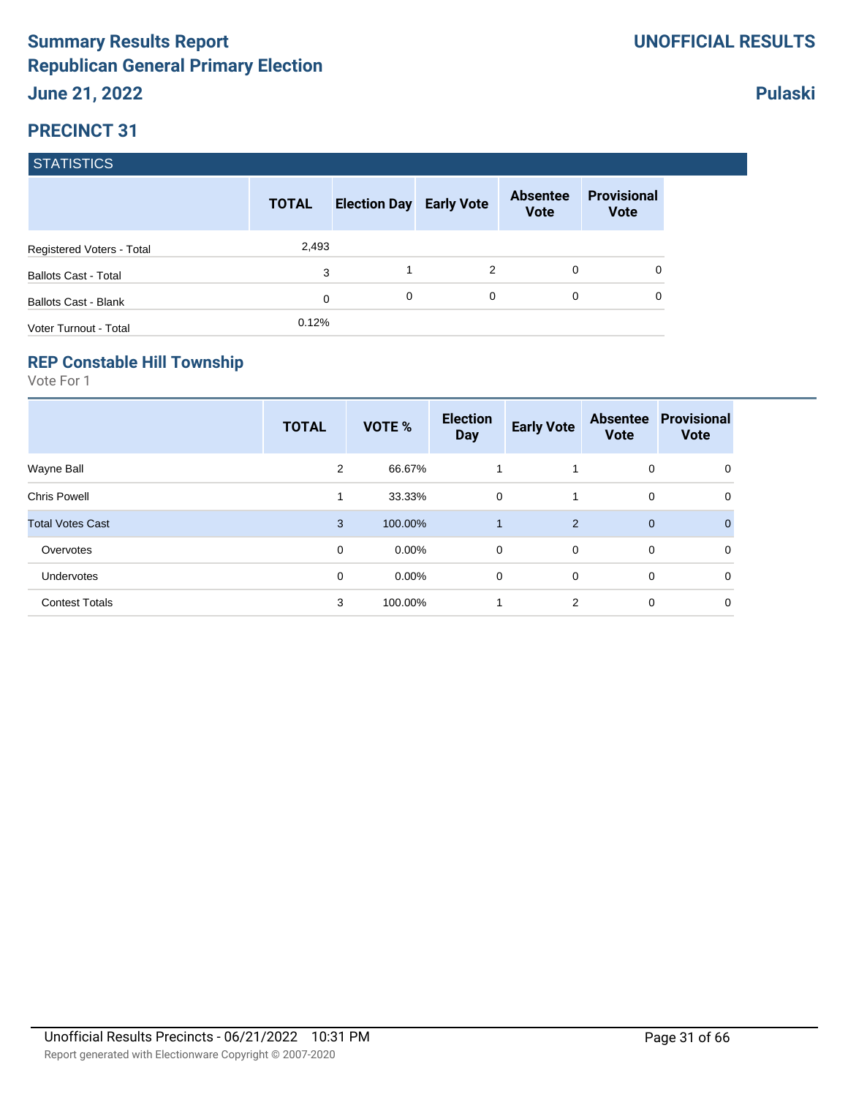|                             | <b>TOTAL</b> | <b>Election Day Early Vote</b> |   | <b>Absentee</b><br><b>Vote</b> | <b>Provisional</b><br><b>Vote</b> |
|-----------------------------|--------------|--------------------------------|---|--------------------------------|-----------------------------------|
| Registered Voters - Total   | 2,493        |                                |   |                                |                                   |
| <b>Ballots Cast - Total</b> | 3            |                                | 2 | $\Omega$                       |                                   |
| <b>Ballots Cast - Blank</b> | 0            | 0                              | 0 | 0                              |                                   |
| Voter Turnout - Total       | 0.12%        |                                |   |                                |                                   |

#### **REP Constable Hill Township**

Vote For 1

|                         | <b>TOTAL</b> | VOTE %   | <b>Election</b><br><b>Day</b> | <b>Early Vote</b> | <b>Absentee</b><br><b>Vote</b> | <b>Provisional</b><br><b>Vote</b> |
|-------------------------|--------------|----------|-------------------------------|-------------------|--------------------------------|-----------------------------------|
| Wayne Ball              | 2            | 66.67%   |                               | 1                 | 0                              | 0                                 |
| <b>Chris Powell</b>     | 1            | 33.33%   | 0                             | 1                 | 0                              | 0                                 |
| <b>Total Votes Cast</b> | 3            | 100.00%  |                               | 2                 | $\mathbf{0}$                   | 0                                 |
| Overvotes               | 0            | $0.00\%$ | 0                             | $\mathbf 0$       | 0                              | 0                                 |
| <b>Undervotes</b>       | 0            | $0.00\%$ | 0                             | $\mathbf 0$       | 0                              | $\mathbf 0$                       |
| <b>Contest Totals</b>   | 3            | 100.00%  |                               | $\overline{2}$    | 0                              | 0                                 |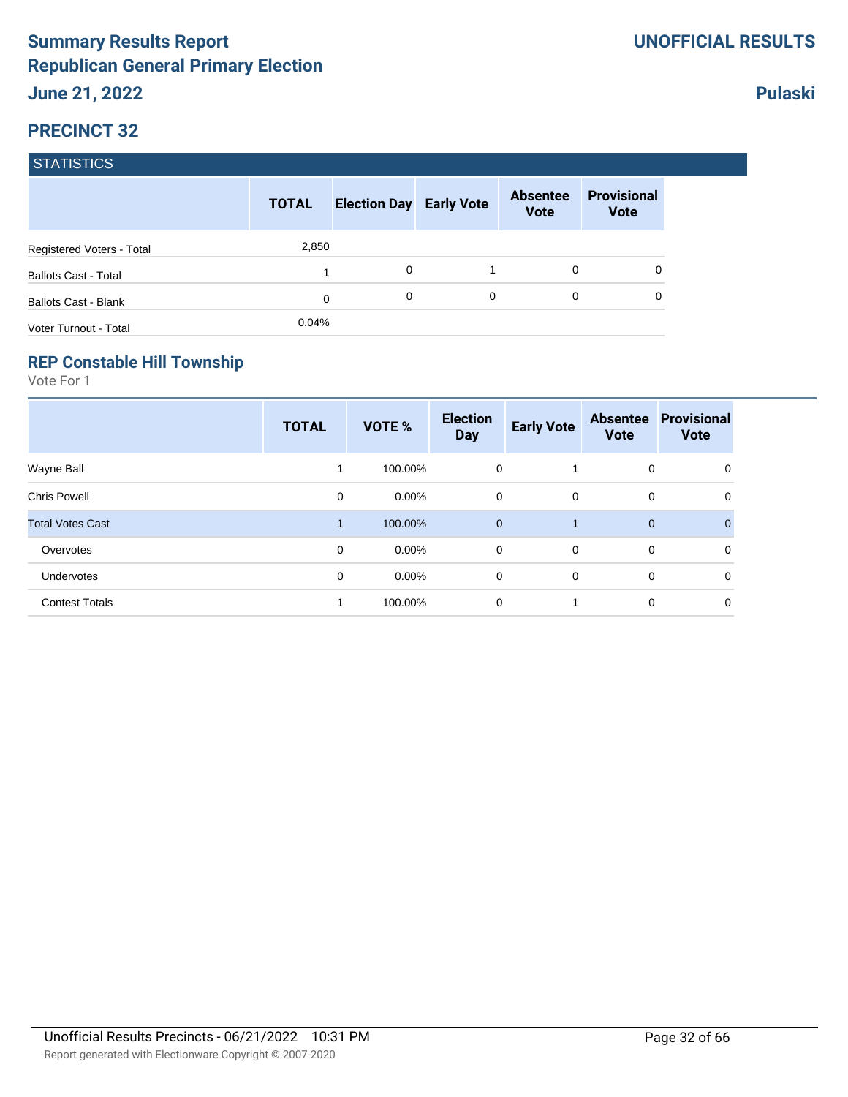|                             | <b>TOTAL</b> | <b>Election Day Early Vote</b> |   | <b>Absentee</b><br><b>Vote</b> | <b>Provisional</b><br><b>Vote</b> |
|-----------------------------|--------------|--------------------------------|---|--------------------------------|-----------------------------------|
| Registered Voters - Total   | 2,850        |                                |   |                                |                                   |
| <b>Ballots Cast - Total</b> |              | 0                              |   | 0                              |                                   |
| <b>Ballots Cast - Blank</b> | 0            | $\Omega$                       | 0 | 0                              |                                   |
| Voter Turnout - Total       | 0.04%        |                                |   |                                |                                   |

#### **REP Constable Hill Township**

Vote For 1

|                         | <b>TOTAL</b> | VOTE %   | <b>Election</b><br><b>Day</b> | <b>Early Vote</b> | <b>Absentee</b><br><b>Vote</b> | <b>Provisional</b><br><b>Vote</b> |
|-------------------------|--------------|----------|-------------------------------|-------------------|--------------------------------|-----------------------------------|
| Wayne Ball              |              | 100.00%  | 0                             |                   | 0                              | 0                                 |
| <b>Chris Powell</b>     | 0            | $0.00\%$ | 0                             | 0                 | 0                              | 0                                 |
| <b>Total Votes Cast</b> | 1            | 100.00%  | $\mathbf 0$                   | 1                 | $\mathbf{0}$                   | 0                                 |
| Overvotes               | 0            | $0.00\%$ | 0                             | $\mathbf 0$       | 0                              | 0                                 |
| <b>Undervotes</b>       | 0            | $0.00\%$ | 0                             | $\mathbf 0$       | 0                              | $\mathbf 0$                       |
| <b>Contest Totals</b>   |              | 100.00%  | 0                             | 1                 | 0                              | 0                                 |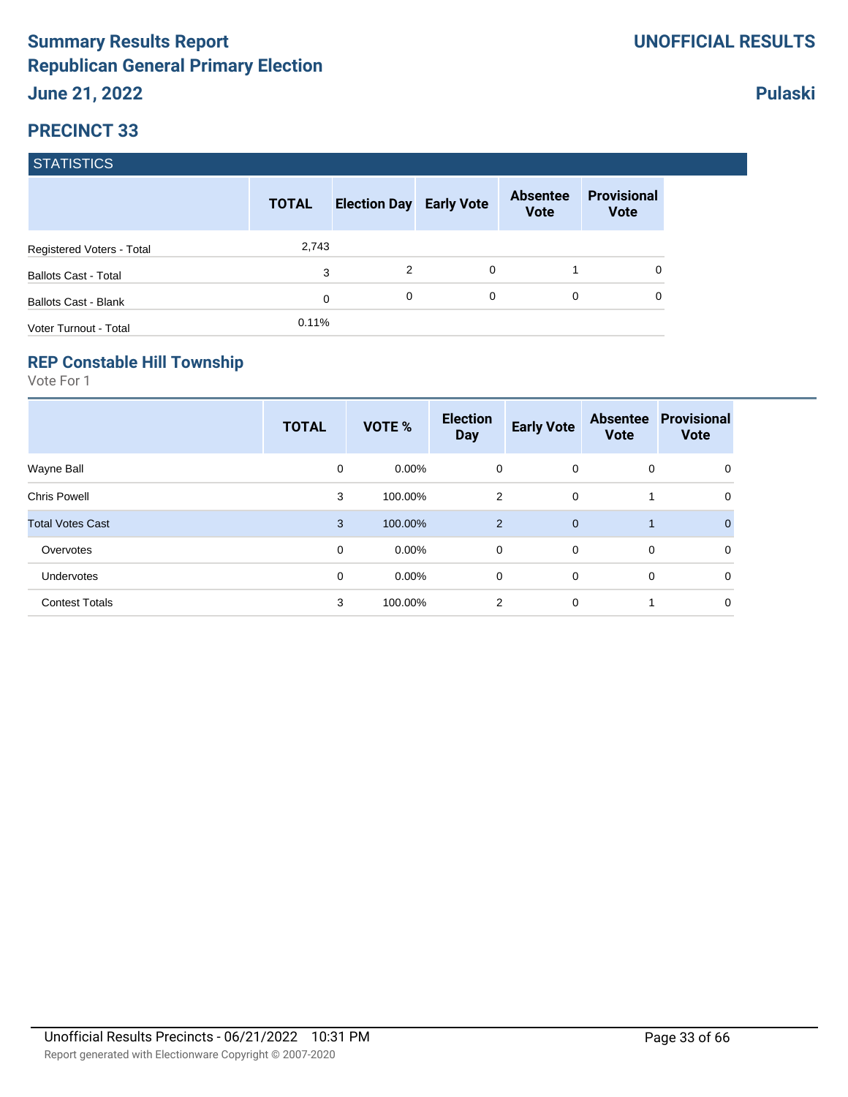|                             | <b>TOTAL</b> | <b>Election Day Early Vote</b> |   | <b>Absentee</b><br><b>Vote</b> | <b>Provisional</b><br><b>Vote</b> |
|-----------------------------|--------------|--------------------------------|---|--------------------------------|-----------------------------------|
| Registered Voters - Total   | 2,743        |                                |   |                                |                                   |
| <b>Ballots Cast - Total</b> | 3            | 2                              | 0 |                                |                                   |
| <b>Ballots Cast - Blank</b> | 0            | 0                              | 0 | 0                              |                                   |
| Voter Turnout - Total       | 0.11%        |                                |   |                                |                                   |

#### **REP Constable Hill Township**

Vote For 1

|                         | <b>TOTAL</b> | VOTE %   | <b>Election</b><br><b>Day</b> | <b>Early Vote</b> | <b>Absentee</b><br><b>Vote</b> | <b>Provisional</b><br><b>Vote</b> |
|-------------------------|--------------|----------|-------------------------------|-------------------|--------------------------------|-----------------------------------|
| Wayne Ball              | 0            | $0.00\%$ | 0                             | $\mathbf 0$       | 0                              | 0                                 |
| <b>Chris Powell</b>     | 3            | 100.00%  | $\overline{2}$                | 0                 | 1                              | 0                                 |
| <b>Total Votes Cast</b> | 3            | 100.00%  | $\overline{2}$                | $\overline{0}$    | $\mathbf{1}$                   |                                   |
| Overvotes               | 0            | $0.00\%$ | 0                             | $\mathbf 0$       | 0                              | 0                                 |
| Undervotes              | 0            | $0.00\%$ | 0                             | $\mathbf 0$       | 0                              | $\mathbf 0$                       |
| <b>Contest Totals</b>   | 3            | 100.00%  | $\overline{2}$                | $\mathbf 0$       | 1                              | 0                                 |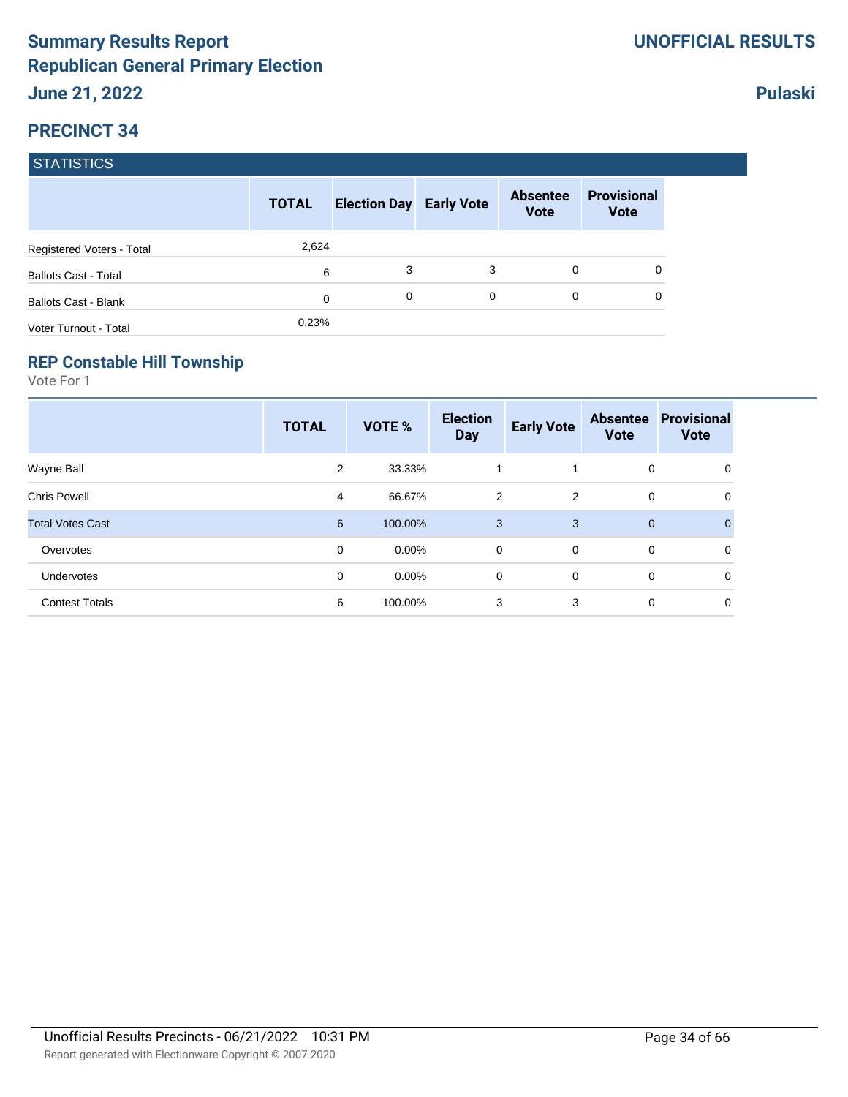|                             | <b>TOTAL</b> | <b>Election Day Early Vote</b> |   | <b>Absentee</b><br><b>Vote</b> | <b>Provisional</b><br><b>Vote</b> |
|-----------------------------|--------------|--------------------------------|---|--------------------------------|-----------------------------------|
| Registered Voters - Total   | 2,624        |                                |   |                                |                                   |
| <b>Ballots Cast - Total</b> | 6            | 3                              | 3 | $\Omega$                       |                                   |
| <b>Ballots Cast - Blank</b> | $\Omega$     | $\Omega$                       | 0 | 0                              |                                   |
| Voter Turnout - Total       | 0.23%        |                                |   |                                |                                   |

#### **REP Constable Hill Township**

Vote For 1

|                         | <b>TOTAL</b> | VOTE %   | <b>Election</b><br><b>Day</b> | <b>Early Vote</b> | <b>Absentee</b><br><b>Vote</b> | <b>Provisional</b><br><b>Vote</b> |
|-------------------------|--------------|----------|-------------------------------|-------------------|--------------------------------|-----------------------------------|
| Wayne Ball              | 2            | 33.33%   | 1                             |                   | 0                              | 0                                 |
| <b>Chris Powell</b>     | 4            | 66.67%   | $\overline{2}$                | 2                 | 0                              | 0                                 |
| <b>Total Votes Cast</b> | 6            | 100.00%  | 3                             | 3                 | $\mathbf{0}$                   | $\Omega$                          |
| Overvotes               | 0            | $0.00\%$ | 0                             | $\overline{0}$    | 0                              | 0                                 |
| Undervotes              | 0            | $0.00\%$ | 0                             | $\mathbf 0$       | 0                              | 0                                 |
| <b>Contest Totals</b>   | 6            | 100.00%  | 3                             | 3                 | 0                              | 0                                 |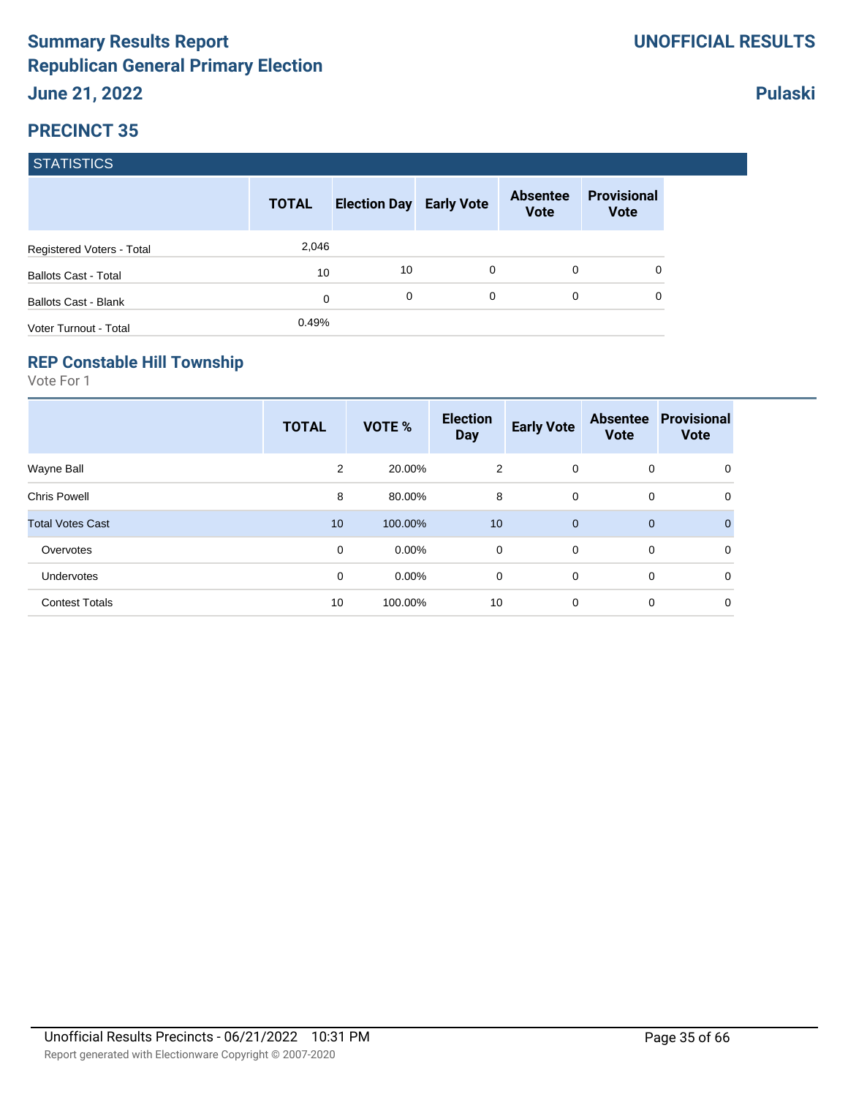|                             | <b>TOTAL</b> | <b>Election Day Early Vote</b> |   | <b>Absentee</b><br><b>Vote</b> | <b>Provisional</b><br><b>Vote</b> |
|-----------------------------|--------------|--------------------------------|---|--------------------------------|-----------------------------------|
| Registered Voters - Total   | 2,046        |                                |   |                                |                                   |
| <b>Ballots Cast - Total</b> | 10           | 10                             | 0 | $\Omega$                       | 0                                 |
| <b>Ballots Cast - Blank</b> | 0            | 0                              | 0 | $\Omega$                       | 0                                 |
| Voter Turnout - Total       | 0.49%        |                                |   |                                |                                   |

### **REP Constable Hill Township**

Vote For 1

|                         | <b>TOTAL</b> | VOTE %   | <b>Election</b><br><b>Day</b> | <b>Early Vote</b> | <b>Absentee</b><br><b>Vote</b> | <b>Provisional</b><br><b>Vote</b> |
|-------------------------|--------------|----------|-------------------------------|-------------------|--------------------------------|-----------------------------------|
| Wayne Ball              | 2            | 20.00%   | 2                             | $\mathbf 0$       | 0                              | 0                                 |
| <b>Chris Powell</b>     | 8            | 80.00%   | 8                             | $\mathbf 0$       | 0                              | 0                                 |
| <b>Total Votes Cast</b> | 10           | 100.00%  | 10                            | $\overline{0}$    | $\mathbf 0$                    | $\mathbf{0}$                      |
| Overvotes               | 0            | $0.00\%$ | $\mathbf 0$                   | $\Omega$          | 0                              | 0                                 |
| Undervotes              | 0            | $0.00\%$ | 0                             | $\mathbf 0$       | 0                              | 0                                 |
| <b>Contest Totals</b>   | 10           | 100.00%  | 10                            | $\mathbf 0$       | 0                              | 0                                 |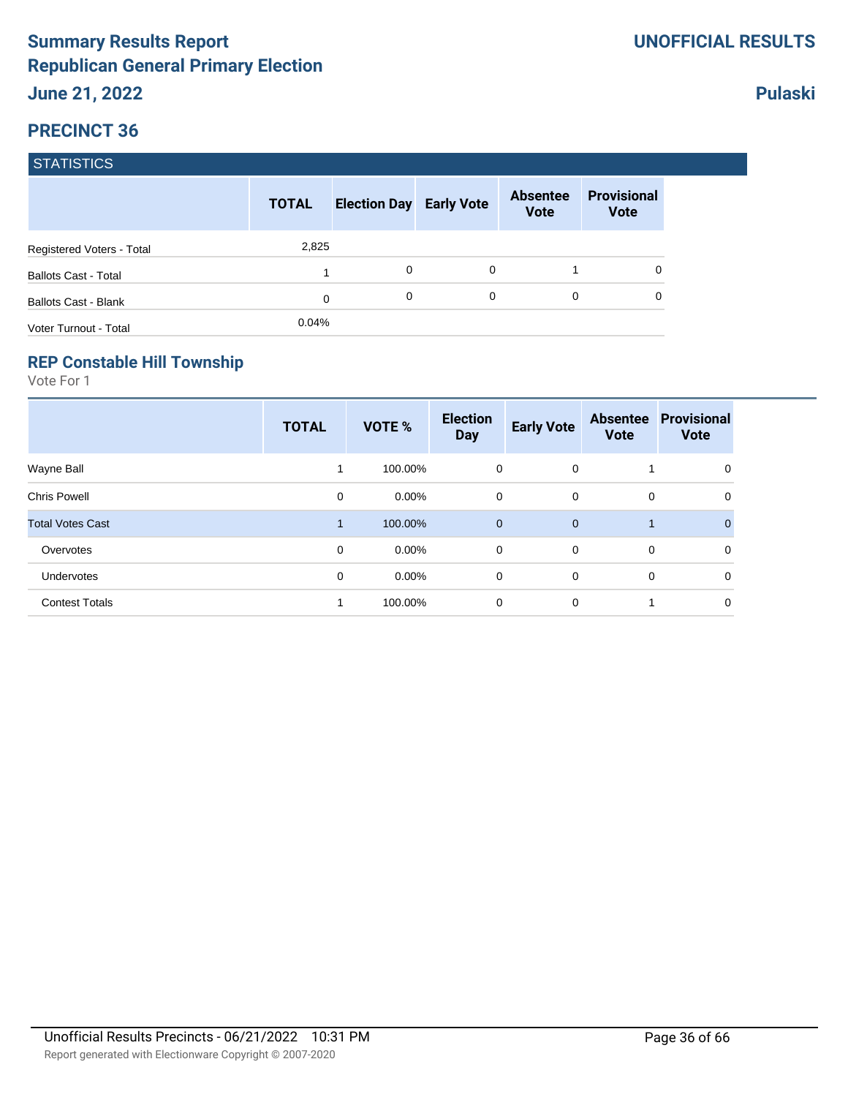|                             | <b>TOTAL</b> | <b>Election Day Early Vote</b> |   | <b>Absentee</b><br><b>Vote</b> | <b>Provisional</b><br><b>Vote</b> |
|-----------------------------|--------------|--------------------------------|---|--------------------------------|-----------------------------------|
| Registered Voters - Total   | 2,825        |                                |   |                                |                                   |
| <b>Ballots Cast - Total</b> |              | 0                              | 0 |                                | 0                                 |
| <b>Ballots Cast - Blank</b> | 0            | 0                              | 0 | 0                              | 0                                 |
| Voter Turnout - Total       | 0.04%        |                                |   |                                |                                   |

#### **REP Constable Hill Township**

Vote For 1

|                         | <b>TOTAL</b> | VOTE %   | <b>Election</b><br><b>Day</b> | <b>Early Vote</b> | <b>Absentee</b><br><b>Vote</b> | <b>Provisional</b><br><b>Vote</b> |
|-------------------------|--------------|----------|-------------------------------|-------------------|--------------------------------|-----------------------------------|
| Wayne Ball              |              | 100.00%  | 0                             | $\mathbf 0$       |                                | 0                                 |
| <b>Chris Powell</b>     | 0            | $0.00\%$ | 0                             | $\mathbf 0$       | 0                              | 0                                 |
| <b>Total Votes Cast</b> | 1            | 100.00%  | $\mathbf 0$                   | $\overline{0}$    | $\mathbf{1}$                   | $\Omega$                          |
| Overvotes               | 0            | $0.00\%$ | 0                             | $\mathbf 0$       | 0                              | 0                                 |
| Undervotes              | 0            | $0.00\%$ | 0                             | $\mathbf 0$       | 0                              | $\mathbf 0$                       |
| <b>Contest Totals</b>   | 1            | 100.00%  | 0                             | $\mathbf 0$       | 1                              | $\mathbf 0$                       |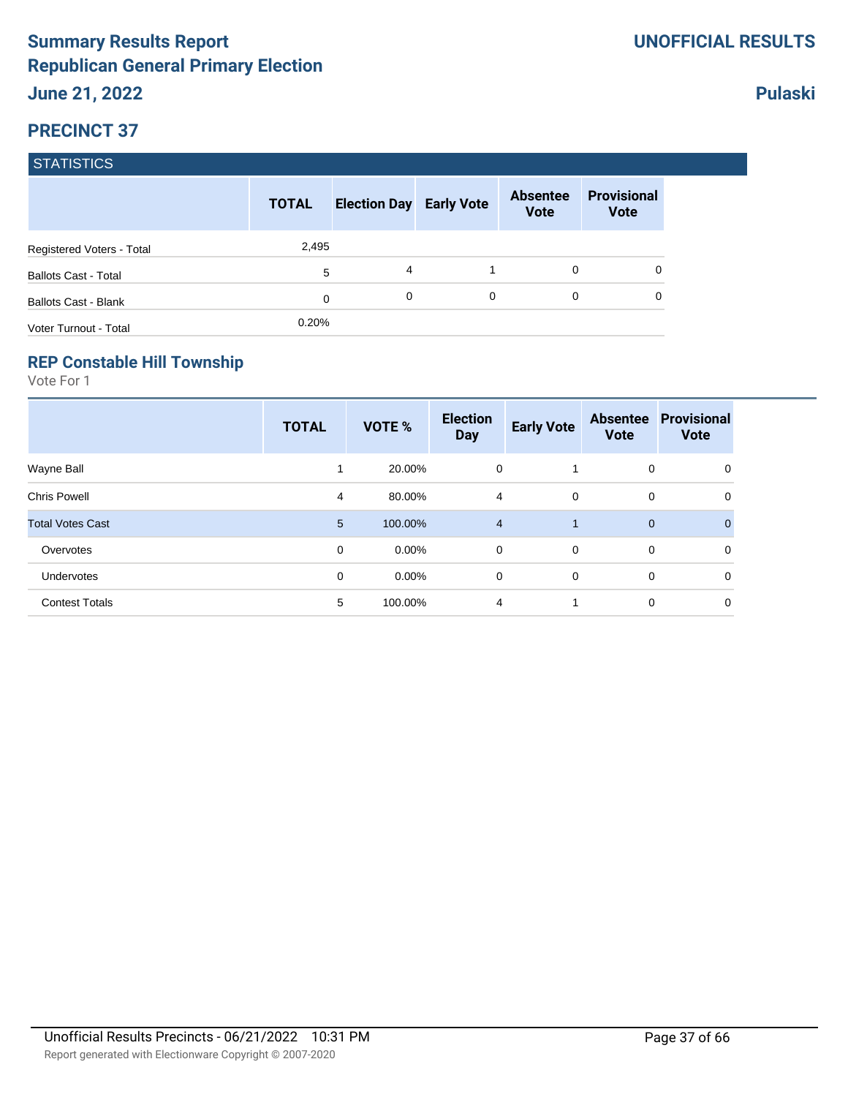|                             | <b>TOTAL</b> | <b>Election Day Early Vote</b> |   | <b>Absentee</b><br><b>Vote</b> | <b>Provisional</b><br><b>Vote</b> |
|-----------------------------|--------------|--------------------------------|---|--------------------------------|-----------------------------------|
| Registered Voters - Total   | 2,495        |                                |   |                                |                                   |
| <b>Ballots Cast - Total</b> | 5            | 4                              |   | 0                              |                                   |
| <b>Ballots Cast - Blank</b> | 0            | 0                              | 0 | 0                              |                                   |
| Voter Turnout - Total       | 0.20%        |                                |   |                                |                                   |

#### **REP Constable Hill Township**

Vote For 1

|                         | <b>TOTAL</b> | VOTE %   | <b>Election</b><br><b>Day</b> | <b>Early Vote</b> | <b>Absentee</b><br><b>Vote</b> | <b>Provisional</b><br><b>Vote</b> |
|-------------------------|--------------|----------|-------------------------------|-------------------|--------------------------------|-----------------------------------|
| Wayne Ball              |              | 20.00%   | 0                             | 1                 | 0                              | 0                                 |
| <b>Chris Powell</b>     | 4            | 80.00%   | 4                             | $\mathbf 0$       | 0                              | 0                                 |
| <b>Total Votes Cast</b> | 5            | 100.00%  | $\overline{4}$                | 1                 | $\mathbf{0}$                   | 0                                 |
| Overvotes               | 0            | $0.00\%$ | 0                             | $\mathbf 0$       | 0                              | 0                                 |
| <b>Undervotes</b>       | 0            | $0.00\%$ | 0                             | $\mathbf 0$       | 0                              | $\mathbf 0$                       |
| <b>Contest Totals</b>   | 5            | 100.00%  | $\overline{4}$                | 1                 | 0                              | 0                                 |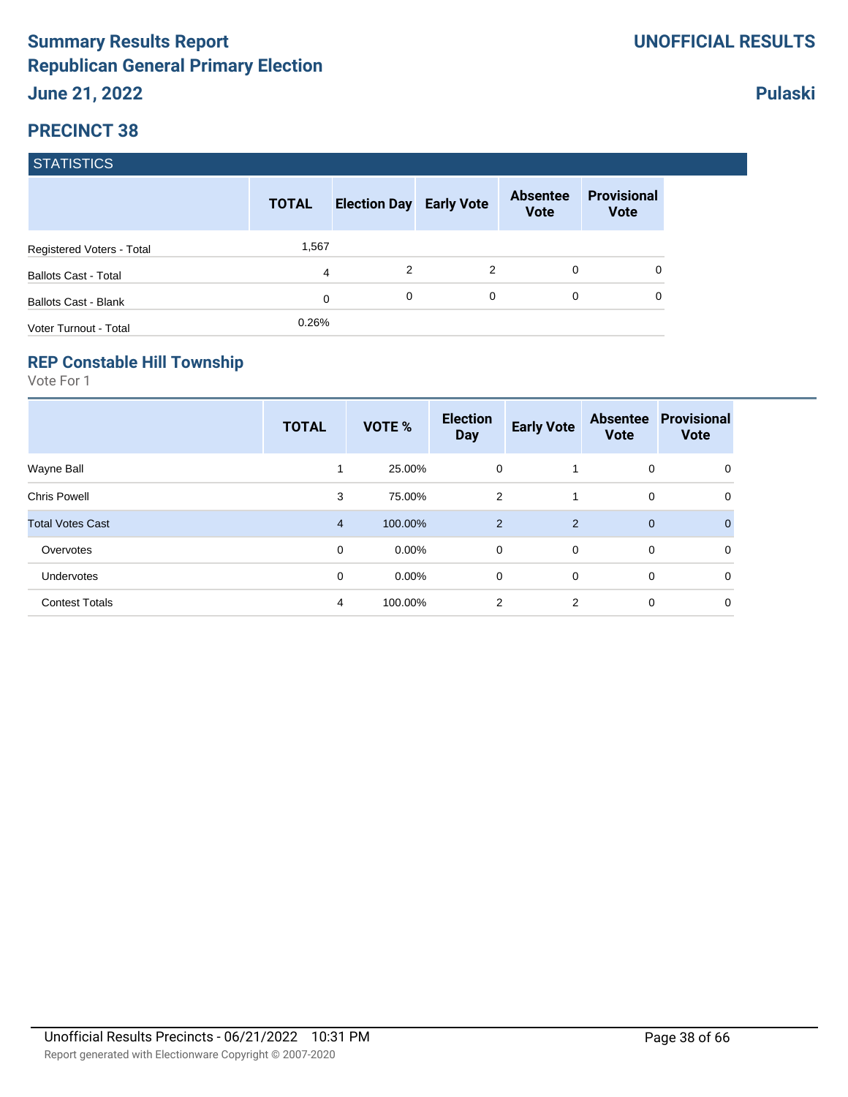|                             | <b>TOTAL</b> | <b>Election Day Early Vote</b> |   | <b>Absentee</b><br><b>Vote</b> | <b>Provisional</b><br><b>Vote</b> |
|-----------------------------|--------------|--------------------------------|---|--------------------------------|-----------------------------------|
| Registered Voters - Total   | 1,567        |                                |   |                                |                                   |
| <b>Ballots Cast - Total</b> | 4            | 2                              | 2 | $\Omega$                       |                                   |
| <b>Ballots Cast - Blank</b> | 0            | 0                              | 0 | 0                              |                                   |
| Voter Turnout - Total       | 0.26%        |                                |   |                                |                                   |

#### **REP Constable Hill Township**

Vote For 1

|                         | <b>TOTAL</b>   | VOTE %   | <b>Election</b><br><b>Day</b> | <b>Early Vote</b> | <b>Absentee</b><br><b>Vote</b> | <b>Provisional</b><br><b>Vote</b> |
|-------------------------|----------------|----------|-------------------------------|-------------------|--------------------------------|-----------------------------------|
| Wayne Ball              |                | 25.00%   | 0                             |                   | 0                              | 0                                 |
| <b>Chris Powell</b>     | 3              | 75.00%   | 2                             | 1                 | 0                              | 0                                 |
| <b>Total Votes Cast</b> | $\overline{4}$ | 100.00%  | 2                             | 2                 | $\mathbf{0}$                   | 0                                 |
| Overvotes               | 0              | $0.00\%$ | 0                             | $\mathbf 0$       | 0                              | 0                                 |
| <b>Undervotes</b>       | 0              | $0.00\%$ | 0                             | $\mathbf 0$       | 0                              | $\mathbf 0$                       |
| <b>Contest Totals</b>   | 4              | 100.00%  | 2                             | $\overline{2}$    | 0                              | 0                                 |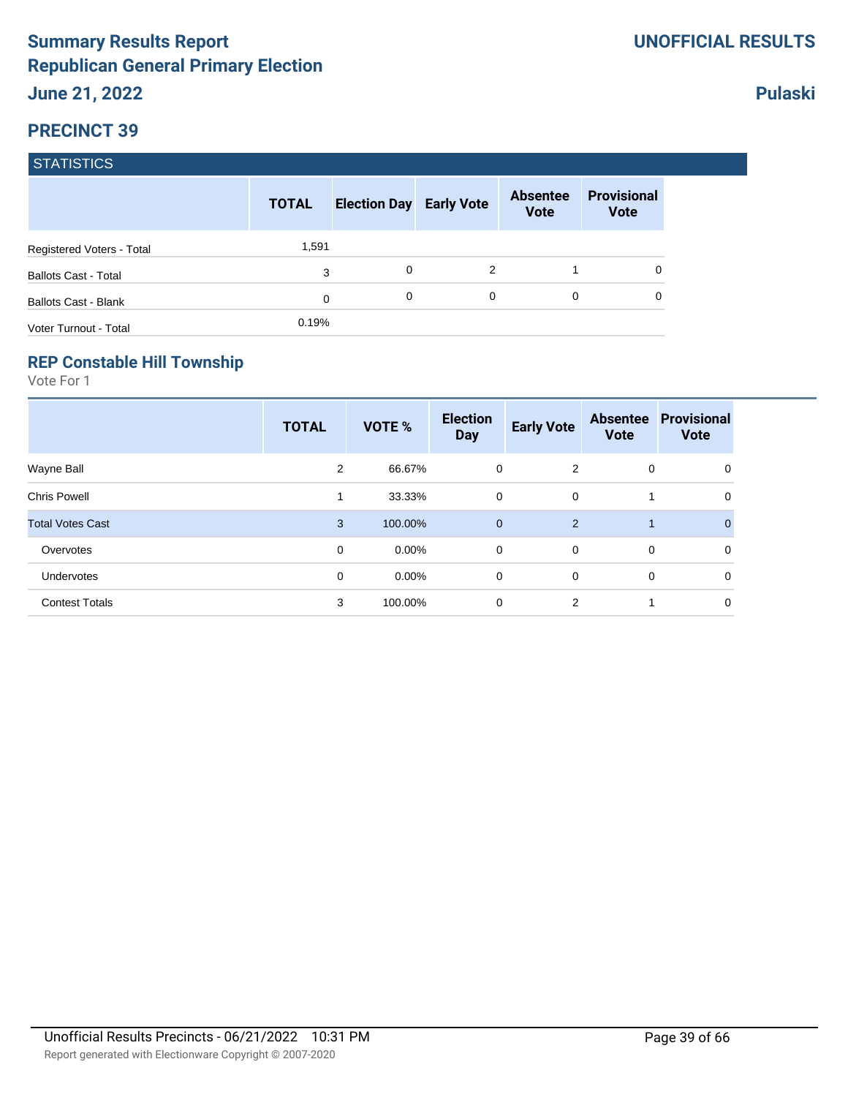|                             | <b>TOTAL</b> | <b>Election Day Early Vote</b> |               | <b>Absentee</b><br><b>Vote</b> | <b>Provisional</b><br><b>Vote</b> |
|-----------------------------|--------------|--------------------------------|---------------|--------------------------------|-----------------------------------|
| Registered Voters - Total   | 1,591        |                                |               |                                |                                   |
| <b>Ballots Cast - Total</b> | 3            | 0                              | $\mathcal{P}$ |                                |                                   |
| <b>Ballots Cast - Blank</b> | 0            | 0                              | 0             | $\Omega$                       |                                   |
| Voter Turnout - Total       | 0.19%        |                                |               |                                |                                   |

#### **REP Constable Hill Township**

Vote For 1

|                         | <b>TOTAL</b> | VOTE %   | <b>Election</b><br><b>Day</b> | <b>Early Vote</b> | <b>Absentee</b><br><b>Vote</b> | <b>Provisional</b><br><b>Vote</b> |
|-------------------------|--------------|----------|-------------------------------|-------------------|--------------------------------|-----------------------------------|
| Wayne Ball              | 2            | 66.67%   | 0                             | 2                 | 0                              | 0                                 |
| <b>Chris Powell</b>     | 1            | 33.33%   | 0                             | $\mathbf 0$       |                                | 0                                 |
| <b>Total Votes Cast</b> | 3            | 100.00%  | $\mathbf 0$                   | 2                 | $\mathbf 1$                    | $\Omega$                          |
| Overvotes               | 0            | $0.00\%$ | $\mathbf 0$                   | $\overline{0}$    | 0                              | 0                                 |
| Undervotes              | 0            | $0.00\%$ | 0                             | $\mathbf 0$       | 0                              | 0                                 |
| <b>Contest Totals</b>   | 3            | 100.00%  | 0                             | 2                 |                                | 0                                 |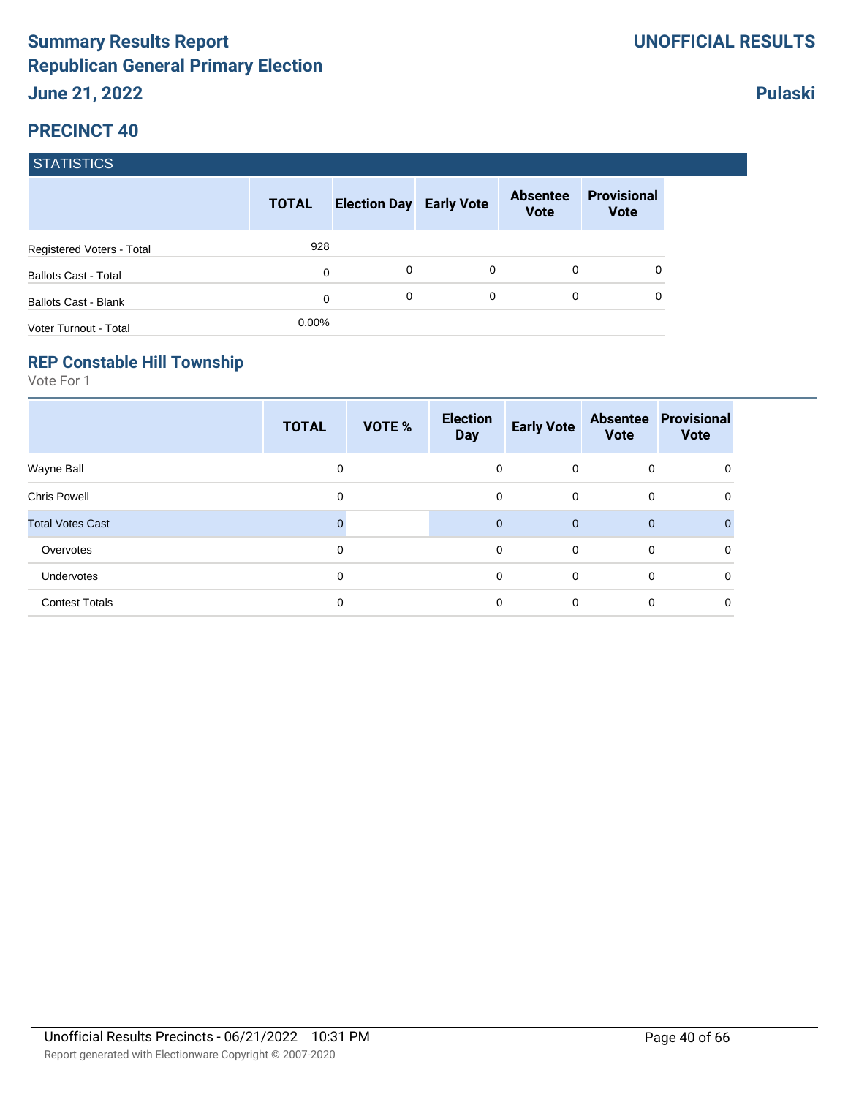|                             | <b>TOTAL</b> | <b>Election Day Early Vote</b> |   | <b>Absentee</b><br><b>Vote</b> | <b>Provisional</b><br><b>Vote</b> |
|-----------------------------|--------------|--------------------------------|---|--------------------------------|-----------------------------------|
| Registered Voters - Total   | 928          |                                |   |                                |                                   |
| <b>Ballots Cast - Total</b> | 0            | 0                              | 0 | 0                              | 0                                 |
| <b>Ballots Cast - Blank</b> | 0            | 0                              | 0 | 0                              | 0                                 |
| Voter Turnout - Total       | $0.00\%$     |                                |   |                                |                                   |

#### **REP Constable Hill Township**

Vote For 1

|                         | <b>TOTAL</b> | VOTE % | <b>Election</b><br><b>Day</b> | <b>Early Vote</b> | <b>Vote</b>  | <b>Absentee Provisional</b><br><b>Vote</b> |
|-------------------------|--------------|--------|-------------------------------|-------------------|--------------|--------------------------------------------|
| Wayne Ball              | 0            |        | 0                             | $\overline{0}$    | $\mathbf 0$  | 0                                          |
| <b>Chris Powell</b>     | 0            |        | 0                             | $\mathbf 0$       | 0            | 0                                          |
| <b>Total Votes Cast</b> |              |        | $\mathbf{0}$                  | $\mathbf{0}$      | $\mathbf{0}$ | $\Omega$                                   |
| Overvotes               | $\mathbf 0$  |        | 0                             | $\mathbf 0$       | 0            | 0                                          |
| Undervotes              | 0            |        | 0                             | $\Omega$          | 0            | $\Omega$                                   |
| <b>Contest Totals</b>   | 0            |        | 0                             | $\mathbf 0$       | 0            | $\mathbf 0$                                |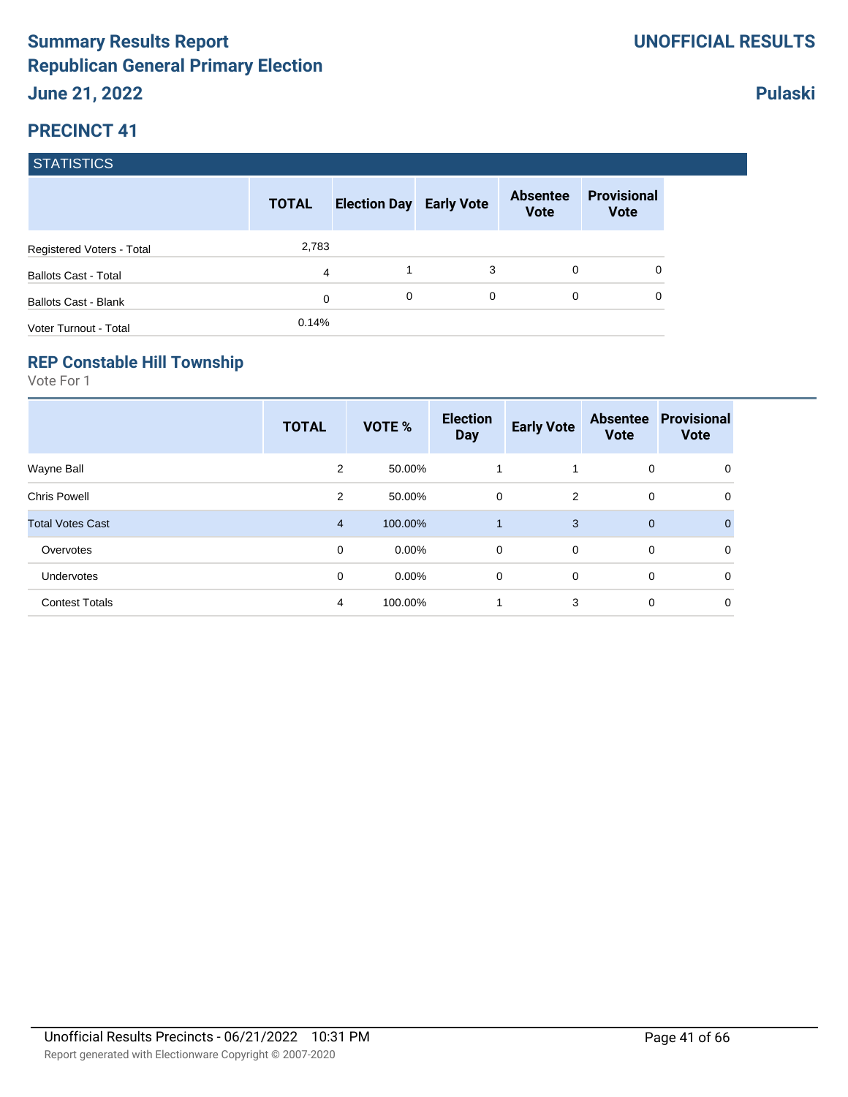|                             | <b>TOTAL</b> | <b>Election Day Early Vote</b> |             | <b>Absentee</b><br><b>Vote</b> | <b>Provisional</b><br><b>Vote</b> |
|-----------------------------|--------------|--------------------------------|-------------|--------------------------------|-----------------------------------|
| Registered Voters - Total   | 2,783        |                                |             |                                |                                   |
| <b>Ballots Cast - Total</b> | 4            |                                | 3           | $\Omega$                       | 0                                 |
| <b>Ballots Cast - Blank</b> | 0            | 0                              | $\mathbf 0$ | $\Omega$                       | 0                                 |
| Voter Turnout - Total       | 0.14%        |                                |             |                                |                                   |

#### **REP Constable Hill Township**

Vote For 1

|                         | <b>TOTAL</b>   | VOTE %   | <b>Election</b><br><b>Day</b> | <b>Early Vote</b> | <b>Absentee</b><br><b>Vote</b> | <b>Provisional</b><br><b>Vote</b> |
|-------------------------|----------------|----------|-------------------------------|-------------------|--------------------------------|-----------------------------------|
| Wayne Ball              | $\overline{2}$ | 50.00%   |                               |                   | 0                              | 0                                 |
| <b>Chris Powell</b>     | 2              | 50.00%   | 0                             | 2                 | 0                              | 0                                 |
| <b>Total Votes Cast</b> | $\overline{4}$ | 100.00%  |                               | 3                 | $\mathbf{0}$                   | 0                                 |
| Overvotes               | 0              | $0.00\%$ | 0                             | $\mathbf 0$       | 0                              | 0                                 |
| <b>Undervotes</b>       | 0              | $0.00\%$ | 0                             | $\mathbf 0$       | 0                              | $\mathbf 0$                       |
| <b>Contest Totals</b>   | 4              | 100.00%  |                               | 3                 | 0                              | 0                                 |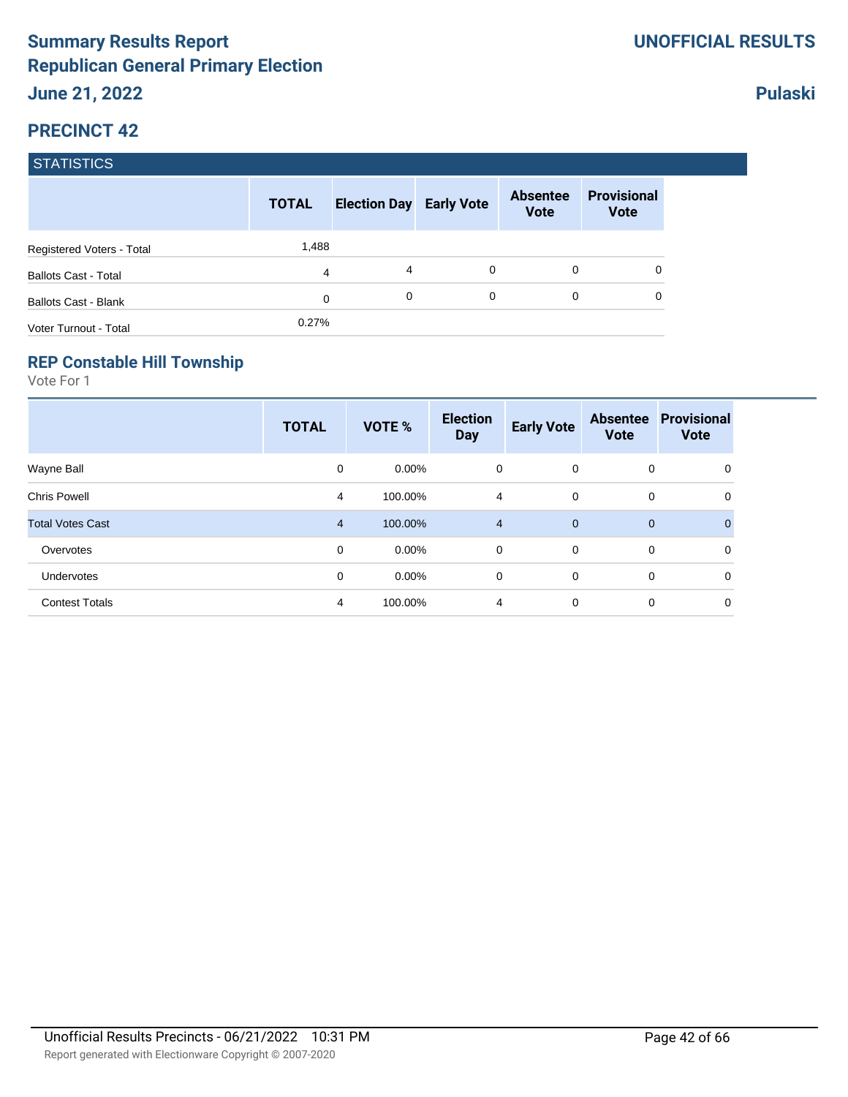|                             | <b>TOTAL</b> | <b>Election Day Early Vote</b> |   | <b>Absentee</b><br><b>Vote</b> | <b>Provisional</b><br><b>Vote</b> |
|-----------------------------|--------------|--------------------------------|---|--------------------------------|-----------------------------------|
| Registered Voters - Total   | 1,488        |                                |   |                                |                                   |
| <b>Ballots Cast - Total</b> | 4            | 4                              | 0 | $\Omega$                       | 0                                 |
| <b>Ballots Cast - Blank</b> | 0            | 0                              | 0 | 0                              | 0                                 |
| Voter Turnout - Total       | 0.27%        |                                |   |                                |                                   |

#### **REP Constable Hill Township**

Vote For 1

|                         | <b>TOTAL</b>   | <b>VOTE %</b> | <b>Election</b><br><b>Day</b> | <b>Early Vote</b> | <b>Absentee</b><br><b>Vote</b> | <b>Provisional</b><br><b>Vote</b> |
|-------------------------|----------------|---------------|-------------------------------|-------------------|--------------------------------|-----------------------------------|
| Wayne Ball              | 0              | $0.00\%$      | 0                             | $\overline{0}$    | 0                              | 0                                 |
| <b>Chris Powell</b>     | 4              | 100.00%       | 4                             | $\mathbf 0$       | 0                              | 0                                 |
| <b>Total Votes Cast</b> | $\overline{4}$ | 100.00%       | $\overline{4}$                | $\mathbf{0}$      | $\mathbf 0$                    | $\Omega$                          |
| Overvotes               | $\mathbf 0$    | $0.00\%$      | $\mathbf 0$                   | $\overline{0}$    | 0                              | $\mathbf 0$                       |
| Undervotes              | 0              | $0.00\%$      | 0                             | $\mathbf 0$       | 0                              | 0                                 |
| <b>Contest Totals</b>   | $\overline{4}$ | 100.00%       | 4                             | $\mathbf 0$       | 0                              | 0                                 |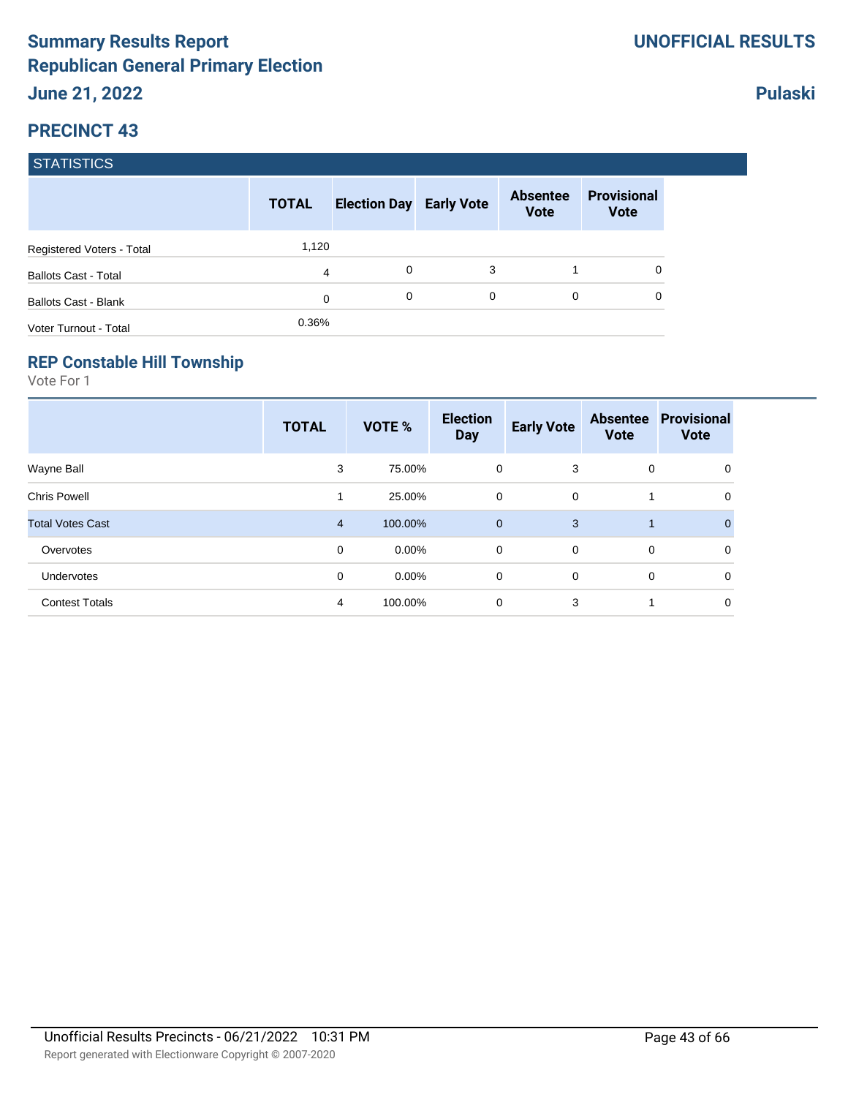|                             | <b>TOTAL</b> | <b>Election Day Early Vote</b> |   | <b>Absentee</b><br><b>Vote</b> | <b>Provisional</b><br><b>Vote</b> |
|-----------------------------|--------------|--------------------------------|---|--------------------------------|-----------------------------------|
| Registered Voters - Total   | 1,120        |                                |   |                                |                                   |
| <b>Ballots Cast - Total</b> | 4            | 0                              | 3 |                                | 0                                 |
| <b>Ballots Cast - Blank</b> | 0            | 0                              | 0 | 0                              | 0                                 |
| Voter Turnout - Total       | 0.36%        |                                |   |                                |                                   |

#### **REP Constable Hill Township**

Vote For 1

|                         | <b>TOTAL</b>   | VOTE %   | <b>Election</b><br><b>Day</b> | <b>Early Vote</b> | <b>Absentee</b><br><b>Vote</b> | <b>Provisional</b><br><b>Vote</b> |
|-------------------------|----------------|----------|-------------------------------|-------------------|--------------------------------|-----------------------------------|
| Wayne Ball              | 3              | 75.00%   | 0                             | 3                 | 0                              | 0                                 |
| <b>Chris Powell</b>     |                | 25.00%   | 0                             | 0                 | 1                              | 0                                 |
| <b>Total Votes Cast</b> | $\overline{4}$ | 100.00%  | $\mathbf 0$                   | 3                 | $\mathbf{1}$                   |                                   |
| Overvotes               | 0              | $0.00\%$ | 0                             | $\mathbf 0$       | 0                              | 0                                 |
| Undervotes              | 0              | $0.00\%$ | 0                             | $\mathbf 0$       | 0                              | $\mathbf 0$                       |
| <b>Contest Totals</b>   | 4              | 100.00%  | 0                             | 3                 | 1                              | $\mathbf 0$                       |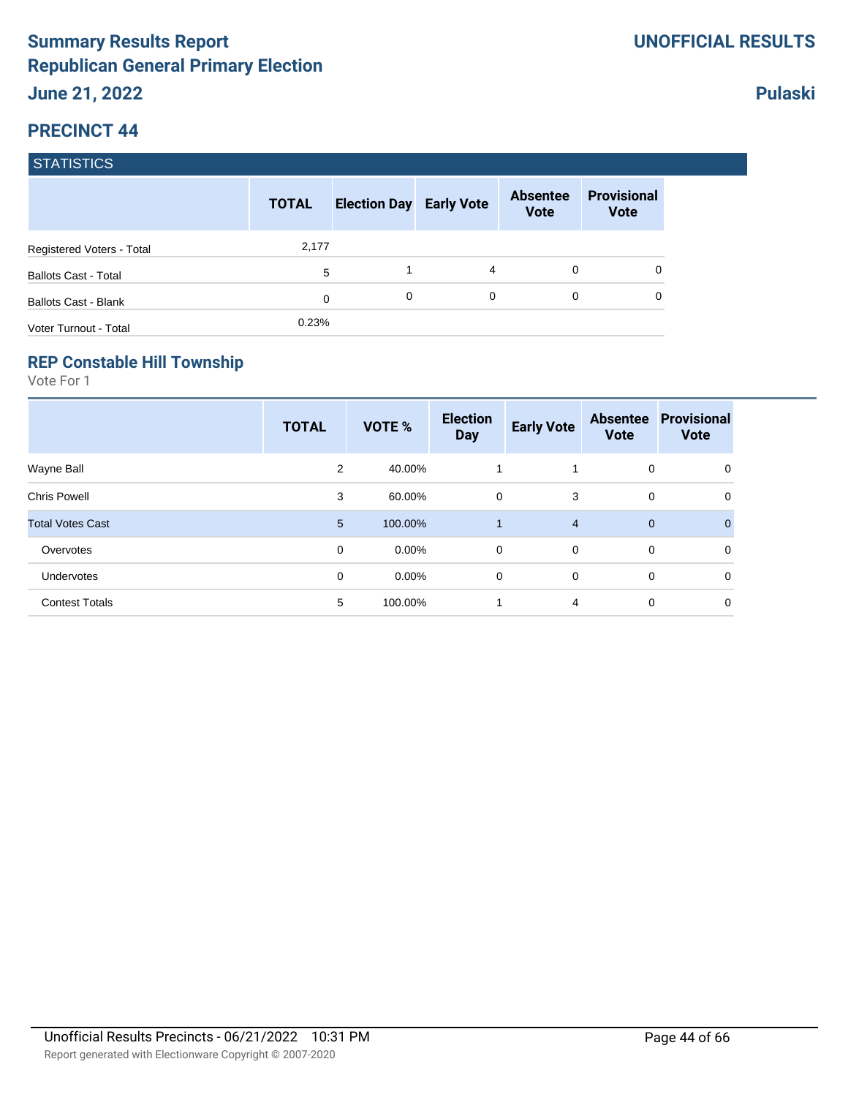|                             | <b>TOTAL</b> | <b>Election Day Early Vote</b> |   | <b>Absentee</b><br><b>Vote</b> | <b>Provisional</b><br><b>Vote</b> |
|-----------------------------|--------------|--------------------------------|---|--------------------------------|-----------------------------------|
| Registered Voters - Total   | 2,177        |                                |   |                                |                                   |
| <b>Ballots Cast - Total</b> | 5            |                                | 4 | 0                              |                                   |
| <b>Ballots Cast - Blank</b> | 0            | 0                              | 0 | 0                              |                                   |
| Voter Turnout - Total       | 0.23%        |                                |   |                                |                                   |

#### **REP Constable Hill Township**

Vote For 1

|                         | <b>TOTAL</b>   | VOTE %   | <b>Election</b><br><b>Day</b> | <b>Early Vote</b> | <b>Absentee</b><br><b>Vote</b> | <b>Provisional</b><br><b>Vote</b> |
|-------------------------|----------------|----------|-------------------------------|-------------------|--------------------------------|-----------------------------------|
| Wayne Ball              | $\overline{2}$ | 40.00%   |                               | 1                 | 0                              | 0                                 |
| <b>Chris Powell</b>     | 3              | 60.00%   | 0                             | 3                 | 0                              | 0                                 |
| <b>Total Votes Cast</b> | 5              | 100.00%  |                               | $\overline{4}$    | $\mathbf{0}$                   | 0                                 |
| Overvotes               | 0              | $0.00\%$ | 0                             | $\mathbf 0$       | 0                              | 0                                 |
| <b>Undervotes</b>       | 0              | $0.00\%$ | 0                             | $\mathbf 0$       | 0                              | $\mathbf 0$                       |
| <b>Contest Totals</b>   | 5              | 100.00%  |                               | 4                 | 0                              | 0                                 |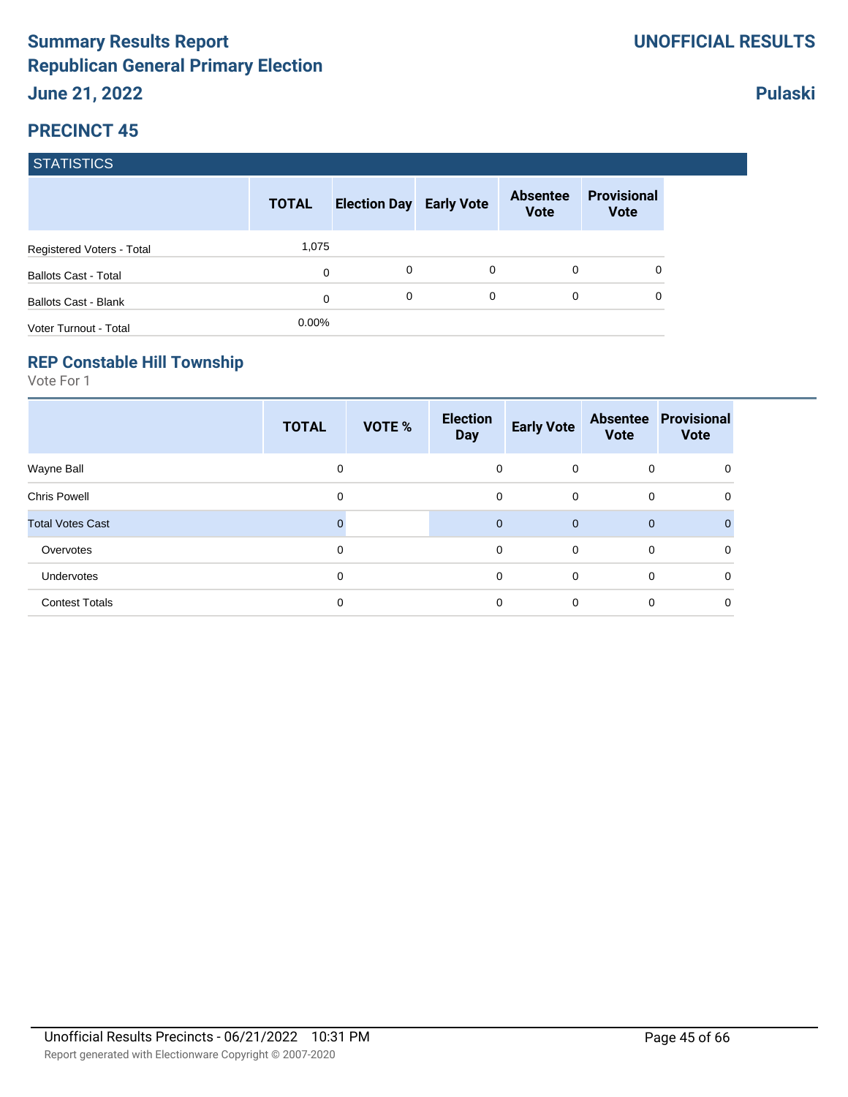|                             | <b>TOTAL</b> | <b>Election Day Early Vote</b> |   | <b>Absentee</b><br><b>Vote</b> | <b>Provisional</b><br><b>Vote</b> |
|-----------------------------|--------------|--------------------------------|---|--------------------------------|-----------------------------------|
| Registered Voters - Total   | 1,075        |                                |   |                                |                                   |
| <b>Ballots Cast - Total</b> | 0            | 0                              | 0 | 0                              | 0                                 |
| <b>Ballots Cast - Blank</b> | 0            | 0                              | 0 | $\Omega$                       | 0                                 |
| Voter Turnout - Total       | $0.00\%$     |                                |   |                                |                                   |

#### **REP Constable Hill Township**

Vote For 1

|                         | <b>TOTAL</b> | VOTE % | <b>Election</b><br><b>Day</b> | <b>Early Vote</b> | <b>Vote</b> | <b>Absentee Provisional</b><br><b>Vote</b> |
|-------------------------|--------------|--------|-------------------------------|-------------------|-------------|--------------------------------------------|
| Wayne Ball              | 0            |        | 0                             | $\mathbf 0$       | 0           | 0                                          |
| <b>Chris Powell</b>     | 0            |        | 0                             | $\mathbf 0$       | 0           | 0                                          |
| <b>Total Votes Cast</b> | 0            |        | $\mathbf{0}$                  | $\overline{0}$    | $\mathbf 0$ | $\Omega$                                   |
| Overvotes               | 0            |        | 0                             | $\mathbf 0$       | $\mathbf 0$ | 0                                          |
| Undervotes              | $\mathbf 0$  |        | 0                             | $\Omega$          | 0           | $\Omega$                                   |
| <b>Contest Totals</b>   | 0            |        | 0                             | $\mathbf 0$       | $\mathbf 0$ | 0                                          |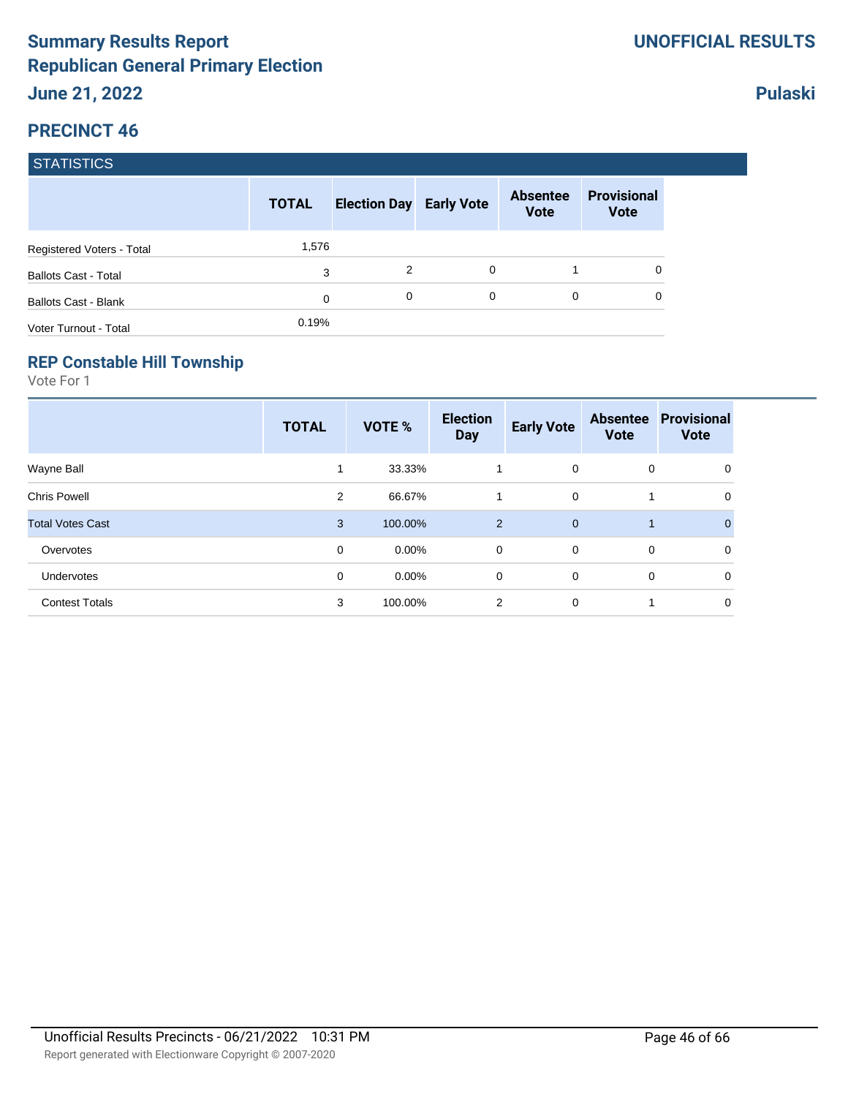|                             | <b>TOTAL</b> | <b>Election Day Early Vote</b> |          | <b>Absentee</b><br><b>Vote</b> | <b>Provisional</b><br><b>Vote</b> |
|-----------------------------|--------------|--------------------------------|----------|--------------------------------|-----------------------------------|
| Registered Voters - Total   | 1,576        |                                |          |                                |                                   |
| <b>Ballots Cast - Total</b> | 3            | 2                              | $\Omega$ |                                |                                   |
| <b>Ballots Cast - Blank</b> | 0            | 0                              | 0        | 0                              |                                   |
| Voter Turnout - Total       | 0.19%        |                                |          |                                |                                   |

#### **REP Constable Hill Township**

Vote For 1

|                         | <b>TOTAL</b> | VOTE %   | <b>Election</b><br><b>Day</b> | <b>Early Vote</b> | <b>Absentee</b><br><b>Vote</b> | Provisional<br><b>Vote</b> |
|-------------------------|--------------|----------|-------------------------------|-------------------|--------------------------------|----------------------------|
| Wayne Ball              | 1            | 33.33%   | 1                             | $\mathbf 0$       | 0                              | 0                          |
| <b>Chris Powell</b>     | 2            | 66.67%   | 1                             | $\mathbf 0$       |                                | 0                          |
| <b>Total Votes Cast</b> | 3            | 100.00%  | 2                             | $\mathbf{0}$      |                                | $\overline{0}$             |
| Overvotes               | 0            | $0.00\%$ | 0                             | $\mathbf 0$       | 0                              | 0                          |
| Undervotes              | 0            | $0.00\%$ | 0                             | $\mathbf 0$       | 0                              | 0                          |
| <b>Contest Totals</b>   | 3            | 100.00%  | 2                             | $\mathbf 0$       | 1                              | 0                          |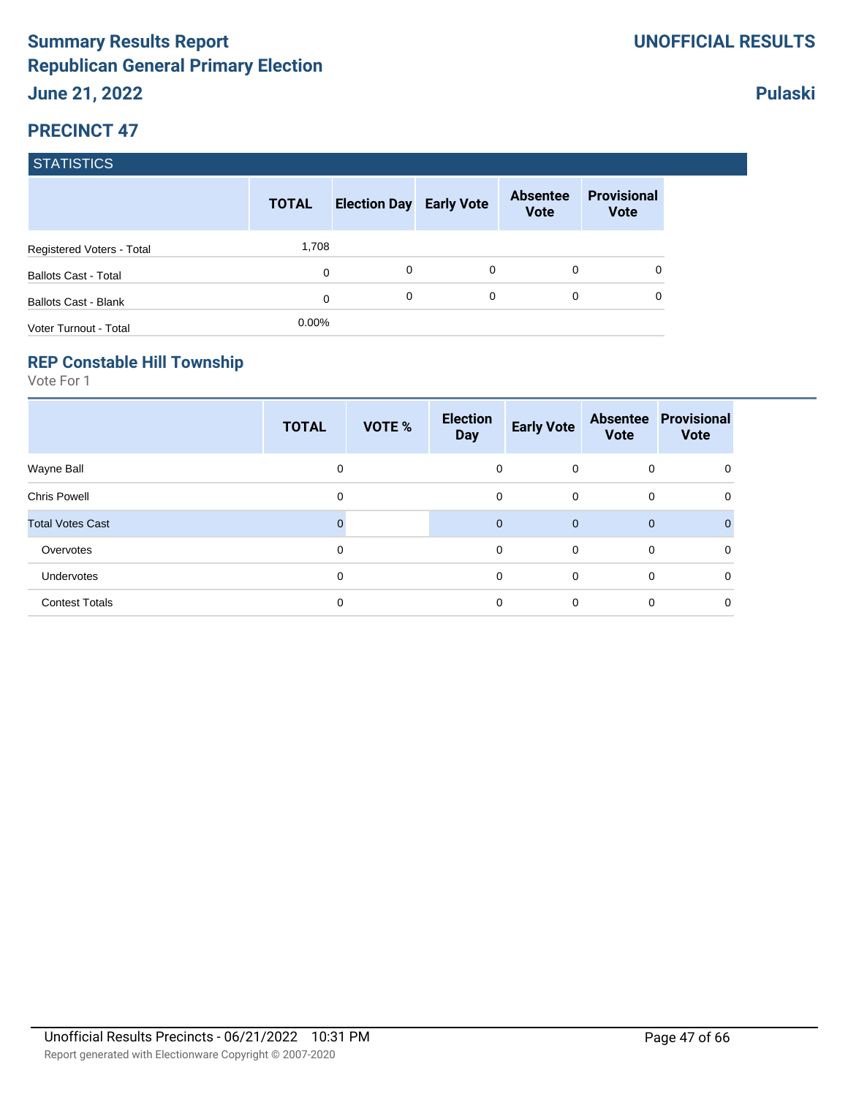|                             | <b>TOTAL</b> | <b>Election Day Early Vote</b> |          | <b>Absentee</b><br><b>Vote</b> | <b>Provisional</b><br><b>Vote</b> |
|-----------------------------|--------------|--------------------------------|----------|--------------------------------|-----------------------------------|
| Registered Voters - Total   | 1,708        |                                |          |                                |                                   |
| <b>Ballots Cast - Total</b> | 0            | 0                              | $\Omega$ | 0                              | 0                                 |
| <b>Ballots Cast - Blank</b> | 0            | 0                              | 0        | 0                              | 0                                 |
| Voter Turnout - Total       | $0.00\%$     |                                |          |                                |                                   |

#### **REP Constable Hill Township**

Vote For 1

|                         | <b>TOTAL</b> | VOTE % | <b>Election</b><br><b>Day</b> | <b>Early Vote</b> | <b>Vote</b>  | <b>Absentee Provisional</b><br><b>Vote</b> |
|-------------------------|--------------|--------|-------------------------------|-------------------|--------------|--------------------------------------------|
| Wayne Ball              | 0            |        | 0                             | $\overline{0}$    | $\mathbf 0$  | 0                                          |
| <b>Chris Powell</b>     | 0            |        | 0                             | $\mathbf 0$       | 0            | 0                                          |
| <b>Total Votes Cast</b> |              |        | $\mathbf{0}$                  | $\mathbf{0}$      | $\mathbf{0}$ | $\Omega$                                   |
| Overvotes               | $\mathbf 0$  |        | 0                             | $\mathbf 0$       | 0            | 0                                          |
| Undervotes              | 0            |        | 0                             | $\Omega$          | 0            | $\Omega$                                   |
| <b>Contest Totals</b>   | 0            |        | 0                             | $\mathbf 0$       | 0            | $\mathbf 0$                                |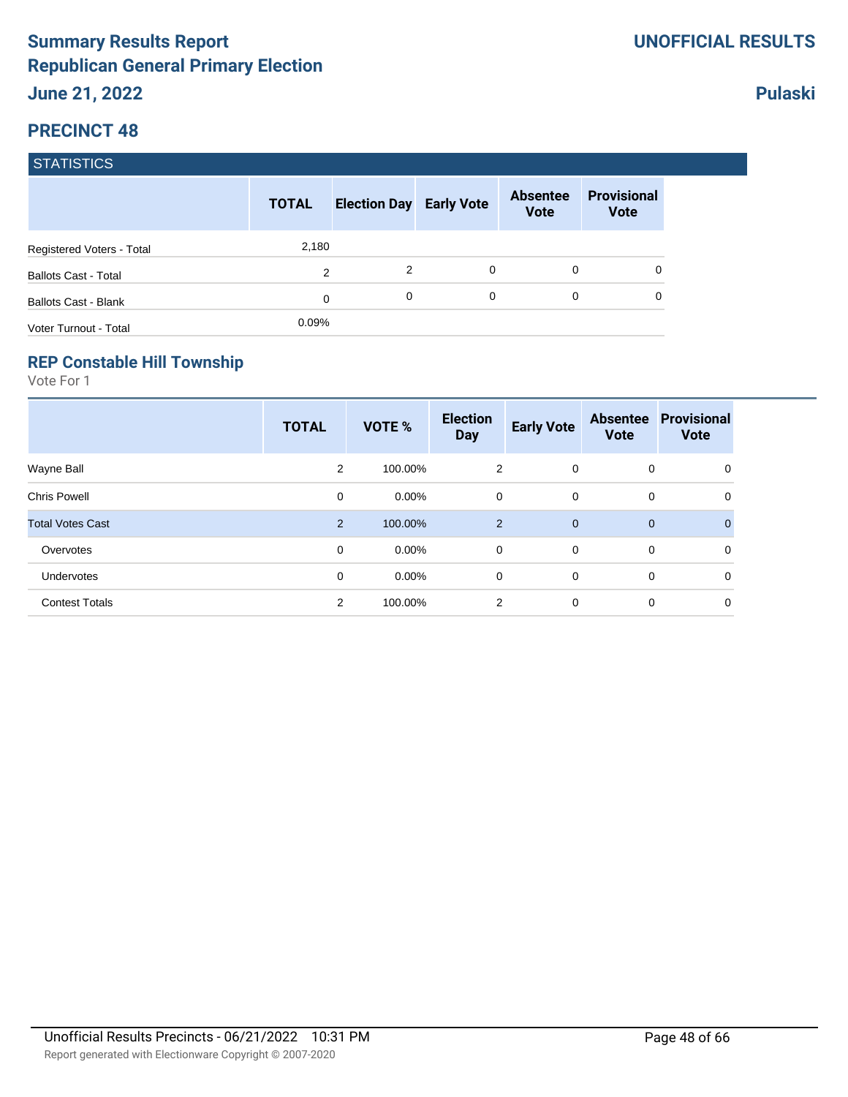|                             | <b>TOTAL</b> | <b>Election Day Early Vote</b> |   | <b>Absentee</b><br><b>Vote</b> | <b>Provisional</b><br><b>Vote</b> |
|-----------------------------|--------------|--------------------------------|---|--------------------------------|-----------------------------------|
| Registered Voters - Total   | 2,180        |                                |   |                                |                                   |
| <b>Ballots Cast - Total</b> | 2            | 2                              | 0 | $\Omega$                       |                                   |
| <b>Ballots Cast - Blank</b> | 0            | 0                              | 0 | $\Omega$                       |                                   |
| Voter Turnout - Total       | 0.09%        |                                |   |                                |                                   |

#### **REP Constable Hill Township**

Vote For 1

|                         | <b>TOTAL</b>   | <b>VOTE %</b> | <b>Election</b><br><b>Day</b> | <b>Early Vote</b> | <b>Absentee</b><br><b>Vote</b> | <b>Provisional</b><br><b>Vote</b> |
|-------------------------|----------------|---------------|-------------------------------|-------------------|--------------------------------|-----------------------------------|
| Wayne Ball              | $\overline{2}$ | 100.00%       | 2                             | $\overline{0}$    | 0                              | 0                                 |
| <b>Chris Powell</b>     | 0              | $0.00\%$      | 0                             | $\mathbf 0$       | 0                              | 0                                 |
| <b>Total Votes Cast</b> | $\overline{2}$ | 100.00%       | $\overline{2}$                | $\mathbf{0}$      | $\mathbf 0$                    | $\mathbf{0}$                      |
| Overvotes               | 0              | $0.00\%$      | $\mathbf 0$                   | $\overline{0}$    | 0                              | 0                                 |
| Undervotes              | 0              | $0.00\%$      | 0                             | $\mathbf 0$       | 0                              | 0                                 |
| <b>Contest Totals</b>   | $\overline{2}$ | 100.00%       | 2                             | $\mathbf 0$       | 0                              | 0                                 |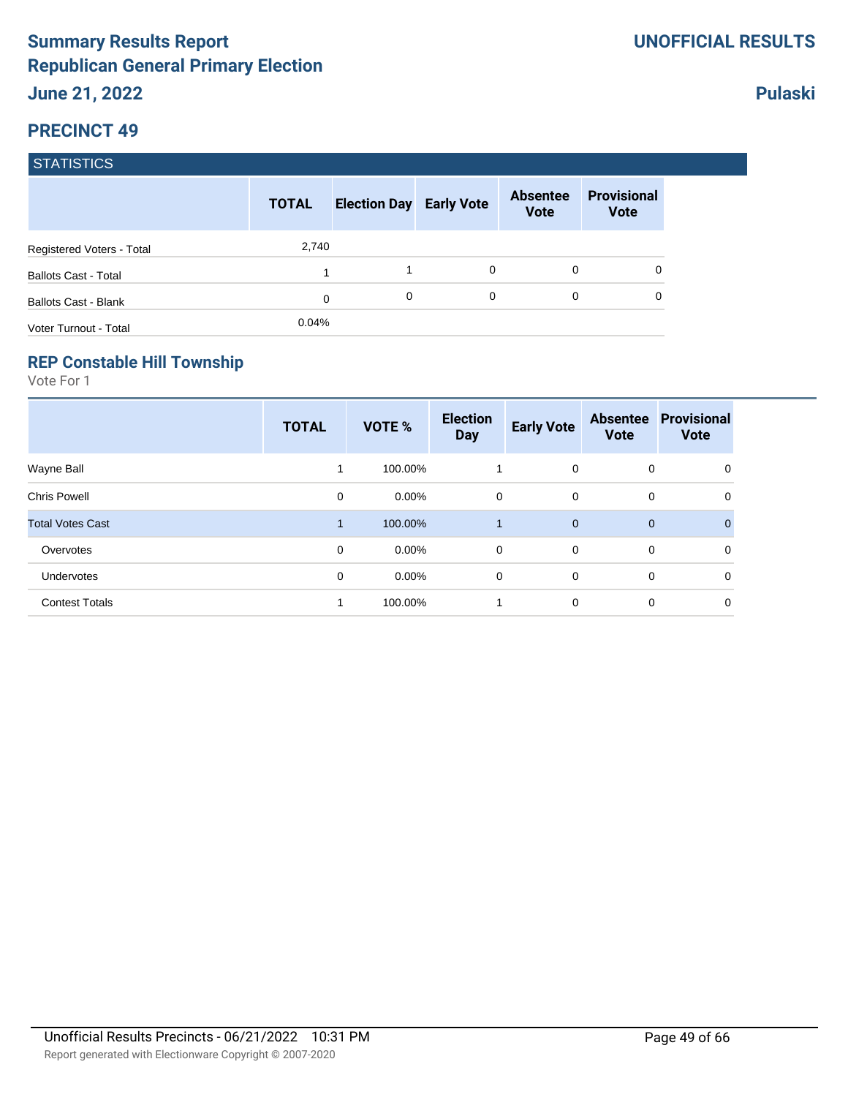|                             | <b>TOTAL</b> | <b>Election Day Early Vote</b> |   | <b>Absentee</b><br><b>Vote</b> | <b>Provisional</b><br><b>Vote</b> |
|-----------------------------|--------------|--------------------------------|---|--------------------------------|-----------------------------------|
| Registered Voters - Total   | 2,740        |                                |   |                                |                                   |
| <b>Ballots Cast - Total</b> | и            |                                | 0 | 0                              | 0                                 |
| <b>Ballots Cast - Blank</b> | 0            | 0                              | 0 | 0                              | 0                                 |
| Voter Turnout - Total       | 0.04%        |                                |   |                                |                                   |

#### **REP Constable Hill Township**

Vote For 1

|                         | <b>TOTAL</b> | VOTE %   | <b>Election</b><br><b>Day</b> | <b>Early Vote</b> | <b>Absentee</b><br><b>Vote</b> | <b>Provisional</b><br><b>Vote</b> |
|-------------------------|--------------|----------|-------------------------------|-------------------|--------------------------------|-----------------------------------|
| Wayne Ball              | 1            | 100.00%  | 1                             | $\mathbf 0$       | 0                              | 0                                 |
| <b>Chris Powell</b>     | 0            | $0.00\%$ | 0                             | $\mathbf 0$       | 0                              | 0                                 |
| <b>Total Votes Cast</b> | 1            | 100.00%  | 1                             | $\overline{0}$    | $\mathbf 0$                    | $\mathbf{0}$                      |
| Overvotes               | 0            | $0.00\%$ | 0                             | $\Omega$          | 0                              | 0                                 |
| Undervotes              | 0            | $0.00\%$ | 0                             | $\mathbf 0$       | 0                              | 0                                 |
| <b>Contest Totals</b>   | 1            | 100.00%  | 1                             | $\mathbf 0$       | 0                              | 0                                 |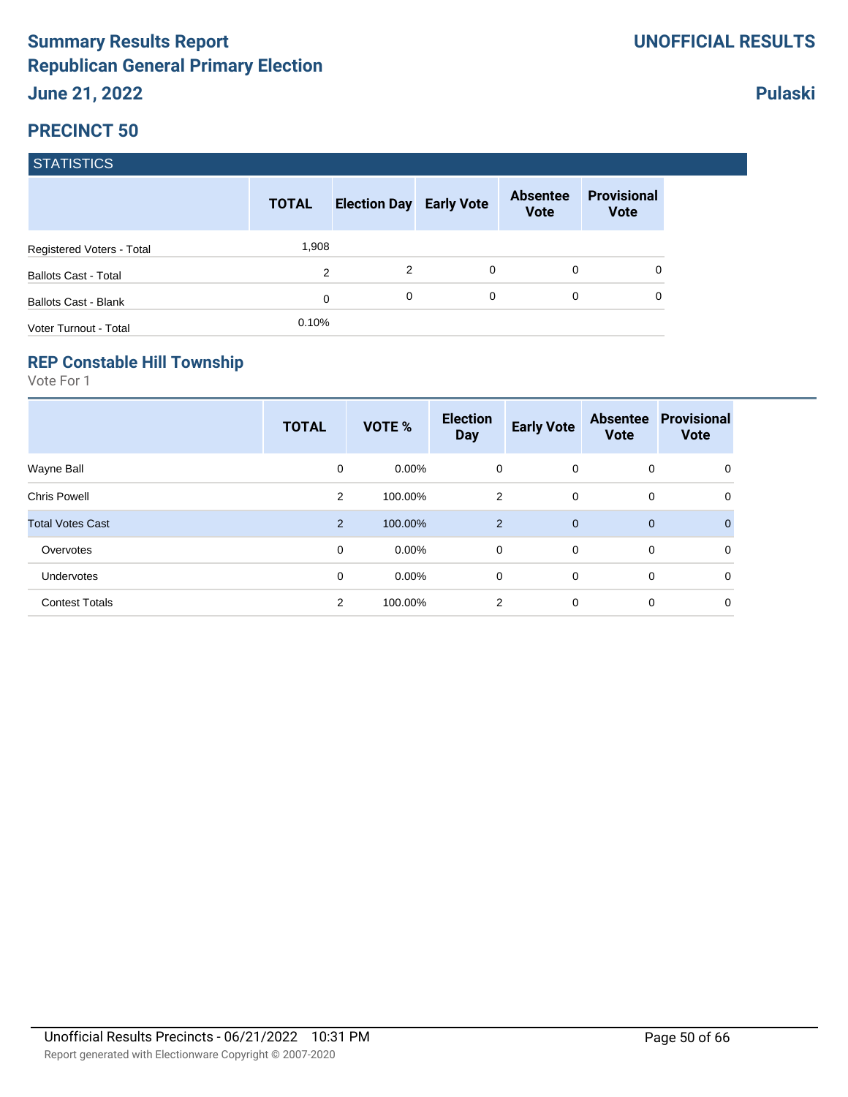|                             | <b>TOTAL</b>   | <b>Election Day Early Vote</b> |   | <b>Absentee</b><br><b>Vote</b> | <b>Provisional</b><br><b>Vote</b> |
|-----------------------------|----------------|--------------------------------|---|--------------------------------|-----------------------------------|
| Registered Voters - Total   | 1,908          |                                |   |                                |                                   |
| <b>Ballots Cast - Total</b> | $\overline{2}$ | 2                              | 0 | 0                              |                                   |
| <b>Ballots Cast - Blank</b> | 0              | 0                              | 0 | $\Omega$                       |                                   |
| Voter Turnout - Total       | 0.10%          |                                |   |                                |                                   |

#### **REP Constable Hill Township**

Vote For 1

|                         | <b>TOTAL</b>   | VOTE %   | <b>Election</b><br><b>Day</b> | <b>Early Vote</b> | <b>Absentee</b><br><b>Vote</b> | <b>Provisional</b><br><b>Vote</b> |
|-------------------------|----------------|----------|-------------------------------|-------------------|--------------------------------|-----------------------------------|
| Wayne Ball              | 0              | $0.00\%$ | 0                             | $\mathbf{0}$      | 0                              | 0                                 |
| <b>Chris Powell</b>     | $\overline{2}$ | 100.00%  | 2                             | $\mathbf 0$       | 0                              | 0                                 |
| <b>Total Votes Cast</b> | $\overline{2}$ | 100.00%  | $\overline{2}$                | $\overline{0}$    | $\mathbf 0$                    | $\mathbf{0}$                      |
| Overvotes               | 0              | $0.00\%$ | $\mathbf 0$                   | $\mathbf 0$       | 0                              | 0                                 |
| Undervotes              | 0              | $0.00\%$ | 0                             | $\mathbf 0$       | 0                              | 0                                 |
| <b>Contest Totals</b>   | 2              | 100.00%  | 2                             | $\mathbf 0$       | 0                              | 0                                 |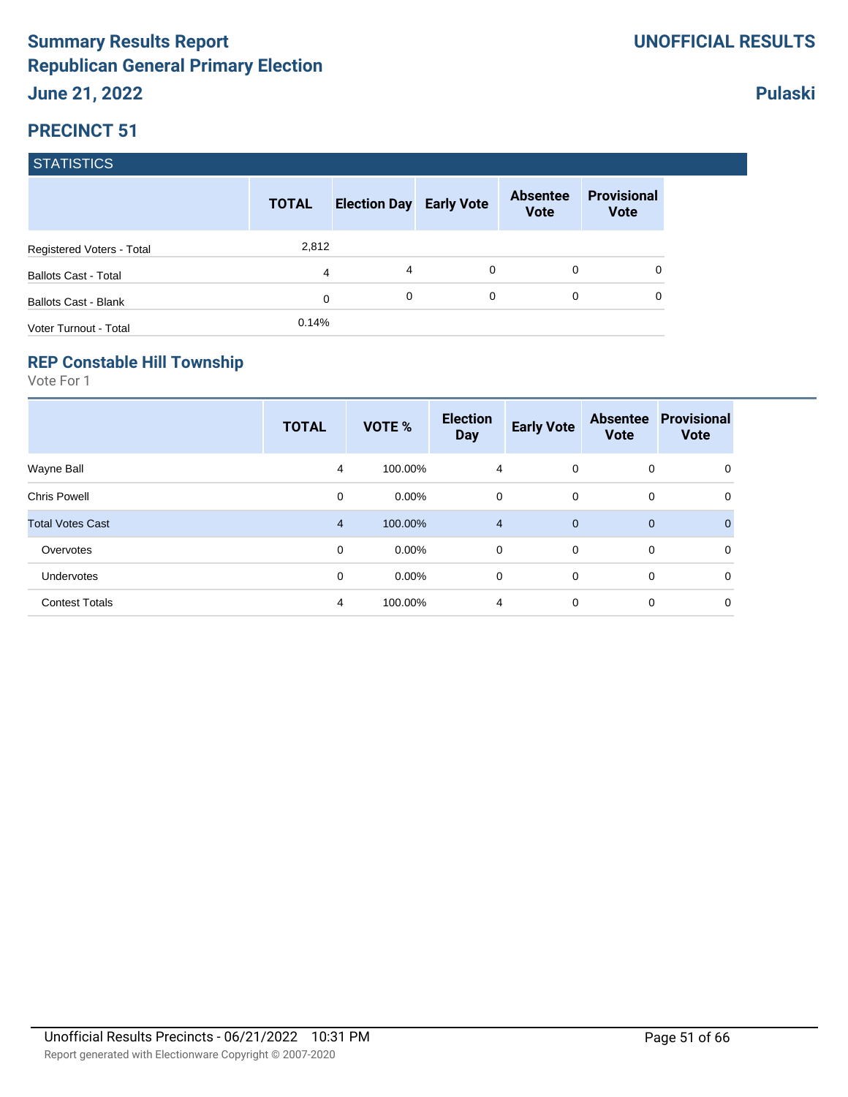|                             | <b>TOTAL</b> | <b>Election Day Early Vote</b> |             | <b>Absentee</b><br><b>Vote</b> | <b>Provisional</b><br><b>Vote</b> |
|-----------------------------|--------------|--------------------------------|-------------|--------------------------------|-----------------------------------|
| Registered Voters - Total   | 2,812        |                                |             |                                |                                   |
| <b>Ballots Cast - Total</b> | 4            | 4                              | 0           | 0                              | 0                                 |
| <b>Ballots Cast - Blank</b> | 0            | 0                              | $\mathbf 0$ | $\Omega$                       | 0                                 |
| Voter Turnout - Total       | 0.14%        |                                |             |                                |                                   |

#### **REP Constable Hill Township**

Vote For 1

|                         | <b>TOTAL</b>   | VOTE %   | <b>Election</b><br><b>Day</b> | <b>Early Vote</b> | <b>Absentee</b><br><b>Vote</b> | <b>Provisional</b><br><b>Vote</b> |
|-------------------------|----------------|----------|-------------------------------|-------------------|--------------------------------|-----------------------------------|
| Wayne Ball              | 4              | 100.00%  | $\overline{4}$                | $\mathbf{0}$      | 0                              | 0                                 |
| <b>Chris Powell</b>     | 0              | $0.00\%$ | 0                             | $\mathbf 0$       | 0                              | 0                                 |
| <b>Total Votes Cast</b> | $\overline{4}$ | 100.00%  | $\overline{4}$                | $\overline{0}$    | $\mathbf 0$                    | $\mathbf{0}$                      |
| Overvotes               | 0              | $0.00\%$ | $\mathbf 0$                   | $\mathbf 0$       | 0                              | 0                                 |
| Undervotes              | 0              | $0.00\%$ | 0                             | $\mathbf 0$       | 0                              | 0                                 |
| <b>Contest Totals</b>   | 4              | 100.00%  | 4                             | $\mathbf 0$       | 0                              | 0                                 |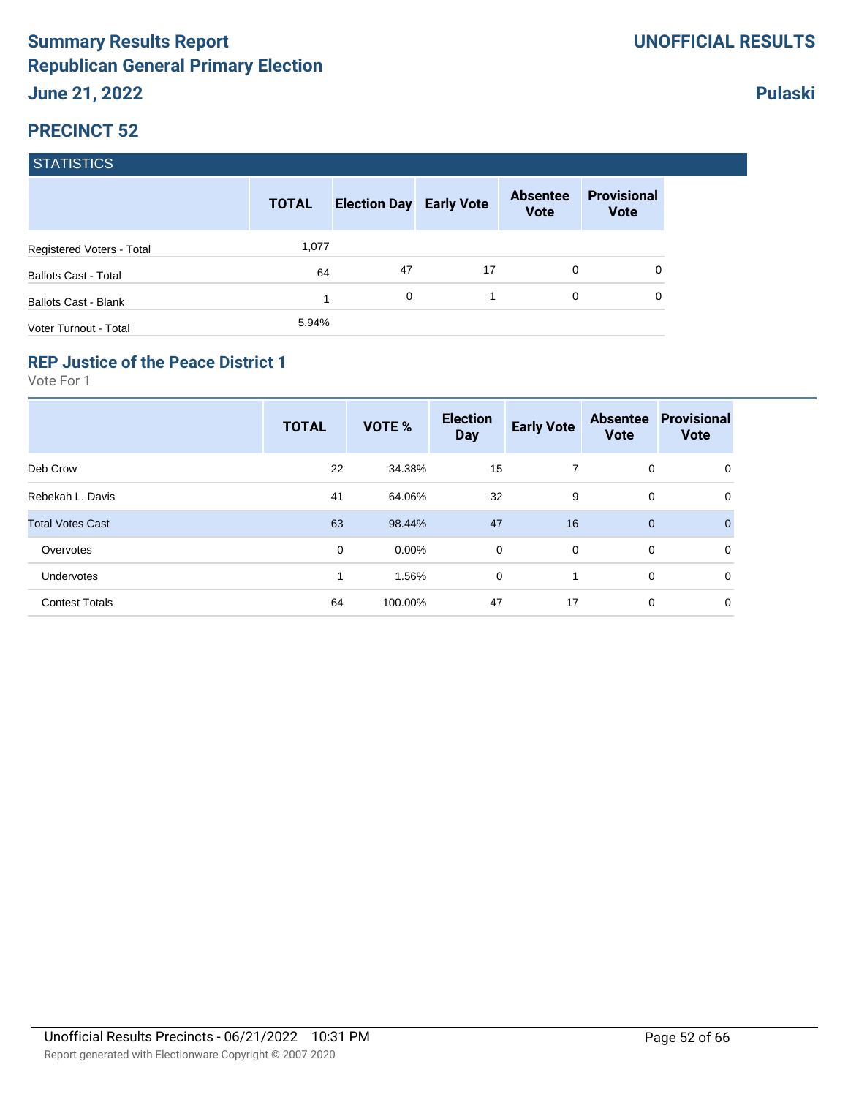|                             | <b>TOTAL</b> | <b>Election Day Early Vote</b> |    | <b>Absentee</b><br><b>Vote</b> | <b>Provisional</b><br><b>Vote</b> |
|-----------------------------|--------------|--------------------------------|----|--------------------------------|-----------------------------------|
| Registered Voters - Total   | 1,077        |                                |    |                                |                                   |
| <b>Ballots Cast - Total</b> | 64           | 47                             | 17 | 0                              | 0                                 |
| <b>Ballots Cast - Blank</b> |              | 0                              |    | $\Omega$                       | 0                                 |
| Voter Turnout - Total       | 5.94%        |                                |    |                                |                                   |

#### **REP Justice of the Peace District 1**

Vote For 1

|                         | <b>TOTAL</b> | VOTE %   | <b>Election</b><br><b>Day</b> | <b>Early Vote</b> | <b>Absentee</b><br><b>Vote</b> | <b>Provisional</b><br><b>Vote</b> |
|-------------------------|--------------|----------|-------------------------------|-------------------|--------------------------------|-----------------------------------|
| Deb Crow                | 22           | 34.38%   | 15                            | 7                 | 0                              | 0                                 |
| Rebekah L. Davis        | 41           | 64.06%   | 32                            | 9                 | 0                              | 0                                 |
| <b>Total Votes Cast</b> | 63           | 98.44%   | 47                            | 16                | $\mathbf{0}$                   | $\Omega$                          |
| Overvotes               | 0            | $0.00\%$ | 0                             | $\mathbf 0$       | 0                              | 0                                 |
| <b>Undervotes</b>       |              | 1.56%    | 0                             | 1                 | 0                              | 0                                 |
| <b>Contest Totals</b>   | 64           | 100.00%  | 47                            | 17                | 0                              | 0                                 |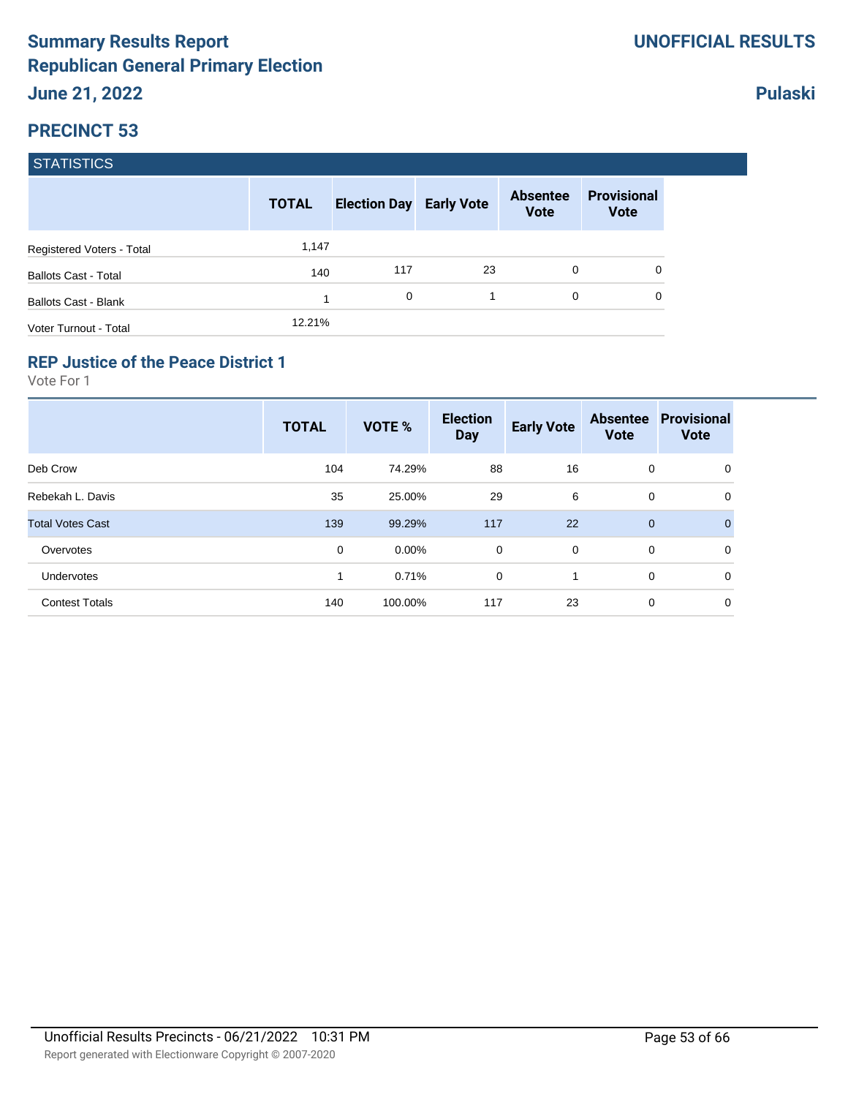|                             | <b>TOTAL</b> | <b>Election Day Early Vote</b> |    | <b>Absentee</b><br><b>Vote</b> | <b>Provisional</b><br><b>Vote</b> |
|-----------------------------|--------------|--------------------------------|----|--------------------------------|-----------------------------------|
| Registered Voters - Total   | 1,147        |                                |    |                                |                                   |
| <b>Ballots Cast - Total</b> | 140          | 117                            | 23 | $\Omega$                       | 0                                 |
| <b>Ballots Cast - Blank</b> |              | 0                              |    | $\Omega$                       | 0                                 |
| Voter Turnout - Total       | 12.21%       |                                |    |                                |                                   |

#### **REP Justice of the Peace District 1**

Vote For 1

|                         | <b>TOTAL</b> | VOTE %   | <b>Election</b><br><b>Day</b> | <b>Early Vote</b> | <b>Absentee</b><br><b>Vote</b> | <b>Provisional</b><br><b>Vote</b> |
|-------------------------|--------------|----------|-------------------------------|-------------------|--------------------------------|-----------------------------------|
| Deb Crow                | 104          | 74.29%   | 88                            | 16                | 0                              | 0                                 |
| Rebekah L. Davis        | 35           | 25.00%   | 29                            | 6                 | 0                              | 0                                 |
| <b>Total Votes Cast</b> | 139          | 99.29%   | 117                           | 22                | $\mathbf 0$                    | $\overline{0}$                    |
| Overvotes               | 0            | $0.00\%$ | 0                             | $\mathbf 0$       | 0                              | 0                                 |
| Undervotes              | 1            | 0.71%    | 0                             |                   | 0                              | 0                                 |
| <b>Contest Totals</b>   | 140          | 100.00%  | 117                           | 23                | 0                              | 0                                 |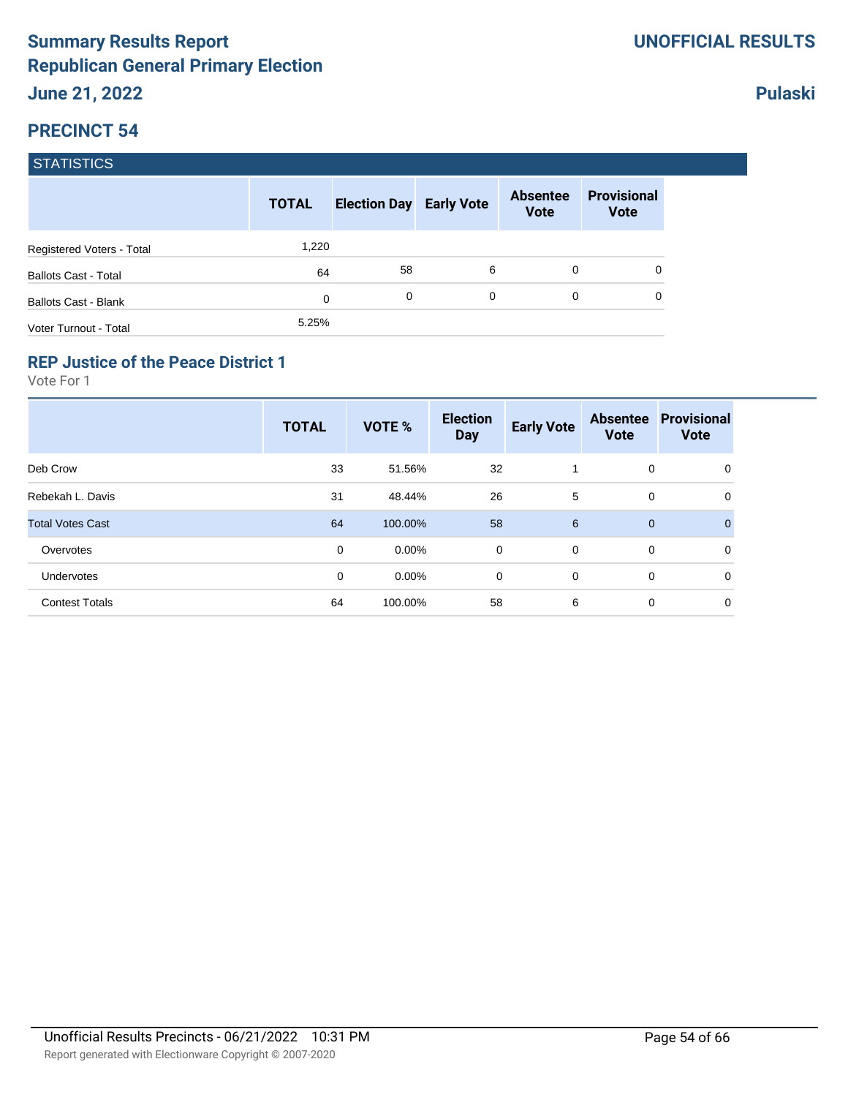|                             | <b>TOTAL</b> | <b>Election Day Early Vote</b> |          | <b>Absentee</b><br><b>Vote</b> | <b>Provisional</b><br><b>Vote</b> |
|-----------------------------|--------------|--------------------------------|----------|--------------------------------|-----------------------------------|
| Registered Voters - Total   | 1,220        |                                |          |                                |                                   |
| <b>Ballots Cast - Total</b> | 64           | 58                             | 6        | 0                              | 0                                 |
| <b>Ballots Cast - Blank</b> | 0            | 0                              | $\Omega$ | 0                              | 0                                 |
| Voter Turnout - Total       | 5.25%        |                                |          |                                |                                   |

#### **REP Justice of the Peace District 1**

Vote For 1

|                         | <b>TOTAL</b> | VOTE %   | <b>Election</b><br><b>Day</b> | <b>Early Vote</b> | <b>Absentee</b><br><b>Vote</b> | <b>Provisional</b><br><b>Vote</b> |
|-------------------------|--------------|----------|-------------------------------|-------------------|--------------------------------|-----------------------------------|
| Deb Crow                | 33           | 51.56%   | 32                            |                   | 0                              | 0                                 |
| Rebekah L. Davis        | 31           | 48.44%   | 26                            | 5                 | 0                              | 0                                 |
| <b>Total Votes Cast</b> | 64           | 100.00%  | 58                            | 6                 | $\mathbf{0}$                   | $\Omega$                          |
| Overvotes               | 0            | $0.00\%$ | 0                             | $\overline{0}$    | 0                              | 0                                 |
| Undervotes              | 0            | $0.00\%$ | 0                             | $\mathbf 0$       | 0                              | 0                                 |
| <b>Contest Totals</b>   | 64           | 100.00%  | 58                            | 6                 | 0                              | 0                                 |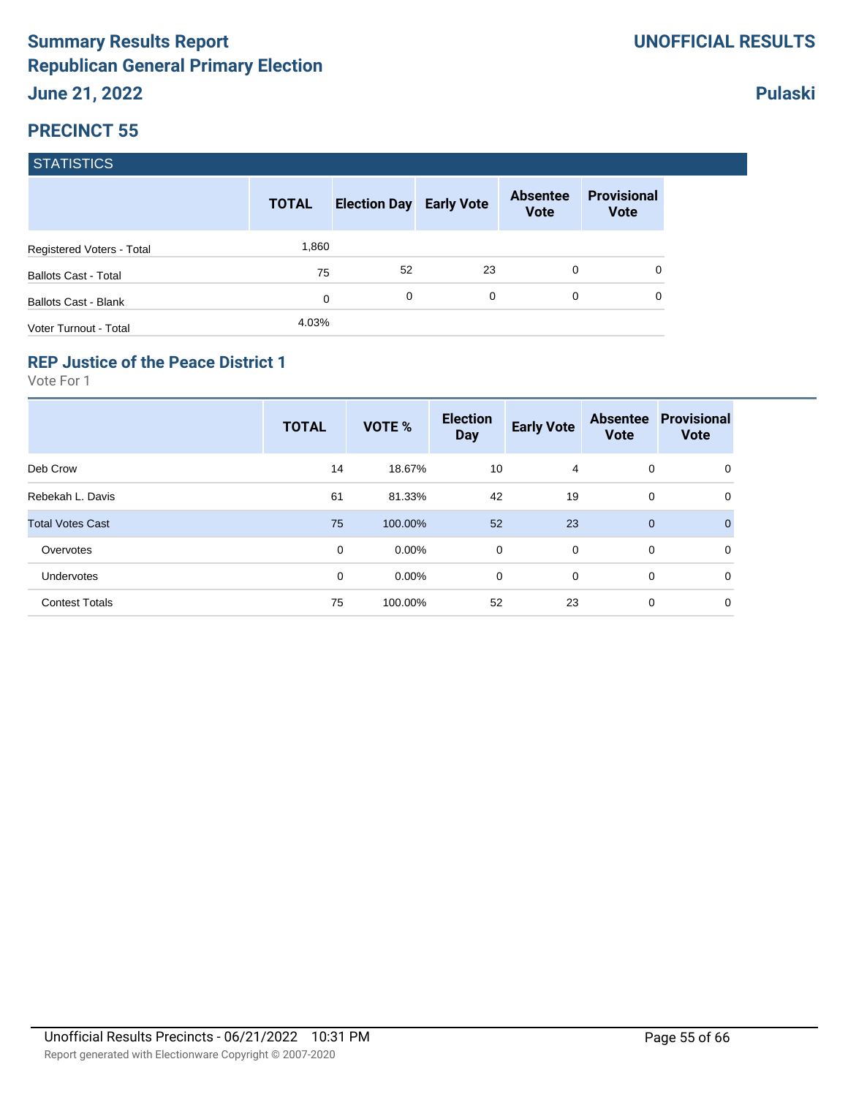|                             | <b>TOTAL</b> | <b>Election Day Early Vote</b> |          | <b>Absentee</b><br><b>Vote</b> | <b>Provisional</b><br><b>Vote</b> |
|-----------------------------|--------------|--------------------------------|----------|--------------------------------|-----------------------------------|
| Registered Voters - Total   | 1,860        |                                |          |                                |                                   |
| <b>Ballots Cast - Total</b> | 75           | 52                             | 23       | $\Omega$                       | 0                                 |
| <b>Ballots Cast - Blank</b> | 0            | 0                              | $\Omega$ | $\Omega$                       | 0                                 |
| Voter Turnout - Total       | 4.03%        |                                |          |                                |                                   |

### **REP Justice of the Peace District 1**

Vote For 1

|                         | <b>TOTAL</b> | <b>VOTE %</b> | <b>Election</b><br><b>Day</b> | <b>Early Vote</b> | <b>Absentee</b><br><b>Vote</b> | <b>Provisional</b><br><b>Vote</b> |
|-------------------------|--------------|---------------|-------------------------------|-------------------|--------------------------------|-----------------------------------|
| Deb Crow                | 14           | 18.67%        | 10                            | 4                 | 0                              | 0                                 |
| Rebekah L. Davis        | 61           | 81.33%        | 42                            | 19                | 0                              | 0                                 |
| <b>Total Votes Cast</b> | 75           | 100.00%       | 52                            | 23                | $\mathbf 0$                    | $\Omega$                          |
| Overvotes               | 0            | $0.00\%$      | $\mathbf 0$                   | $\Omega$          | $\mathbf 0$                    | 0                                 |
| Undervotes              | 0            | $0.00\%$      | 0                             | $\mathbf 0$       | 0                              | 0                                 |
| <b>Contest Totals</b>   | 75           | 100.00%       | 52                            | 23                | 0                              | 0                                 |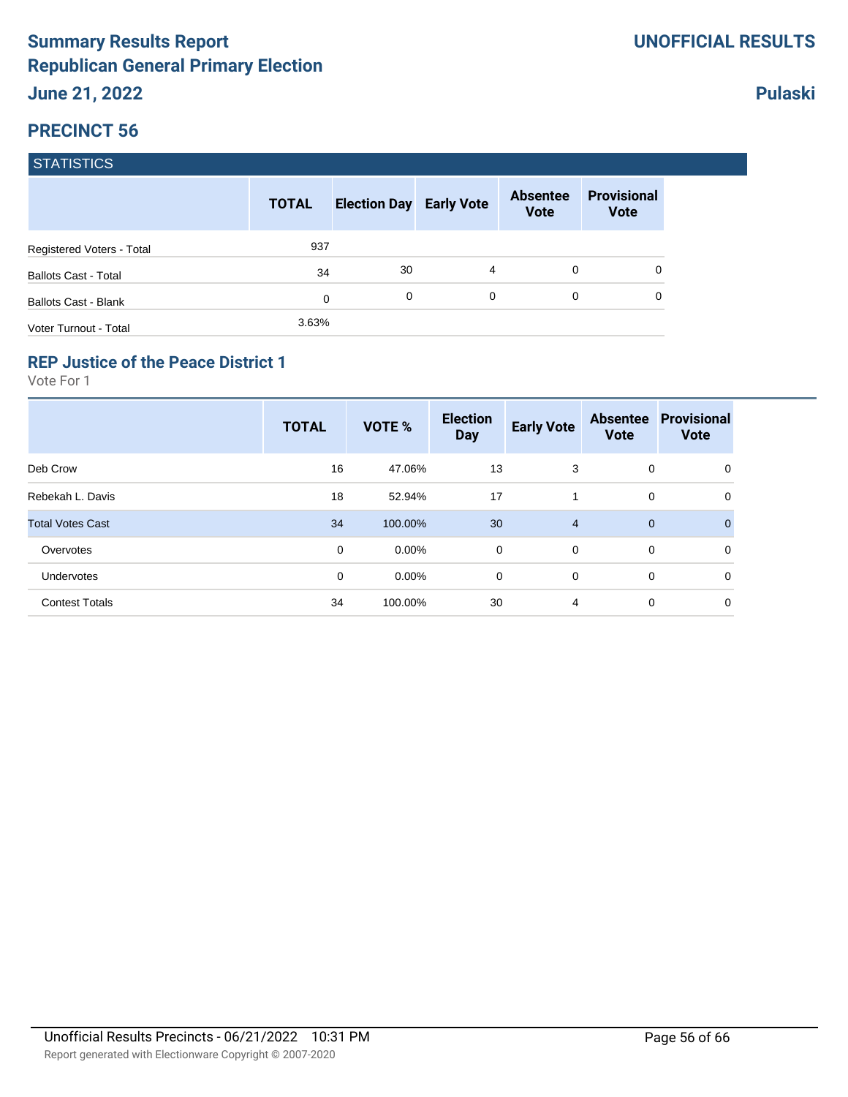|                             | <b>TOTAL</b> | <b>Election Day Early Vote</b> |          | <b>Absentee</b><br><b>Vote</b> | <b>Provisional</b><br><b>Vote</b> |
|-----------------------------|--------------|--------------------------------|----------|--------------------------------|-----------------------------------|
| Registered Voters - Total   | 937          |                                |          |                                |                                   |
| <b>Ballots Cast - Total</b> | 34           | 30                             | 4        | 0                              | 0                                 |
| <b>Ballots Cast - Blank</b> | 0            | 0                              | $\Omega$ | 0                              | 0                                 |
| Voter Turnout - Total       | 3.63%        |                                |          |                                |                                   |

#### **REP Justice of the Peace District 1**

Vote For 1

|                         | <b>TOTAL</b> | VOTE %   | <b>Election</b><br><b>Day</b> | <b>Early Vote</b> | <b>Absentee</b><br><b>Vote</b> | <b>Provisional</b><br><b>Vote</b> |
|-------------------------|--------------|----------|-------------------------------|-------------------|--------------------------------|-----------------------------------|
| Deb Crow                | 16           | 47.06%   | 13                            | 3                 | 0                              | 0                                 |
| Rebekah L. Davis        | 18           | 52.94%   | 17                            |                   | 0                              | 0                                 |
| <b>Total Votes Cast</b> | 34           | 100.00%  | 30                            | $\overline{4}$    | $\mathbf 0$                    | $\mathbf{0}$                      |
| Overvotes               | 0            | $0.00\%$ | 0                             | $\mathbf 0$       | 0                              | 0                                 |
| Undervotes              | 0            | $0.00\%$ | 0                             | 0                 | 0                              | 0                                 |
| <b>Contest Totals</b>   | 34           | 100.00%  | 30                            | 4                 | 0                              | 0                                 |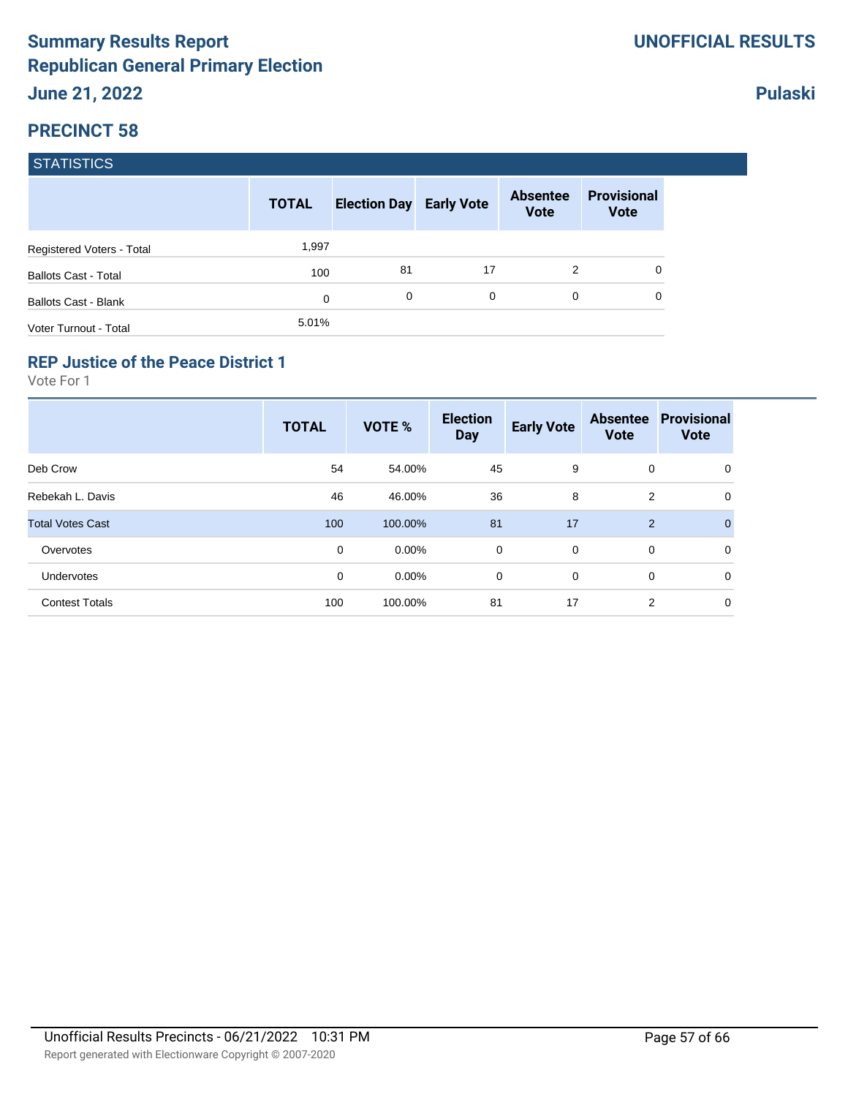|                             | <b>TOTAL</b> | <b>Election Day Early Vote</b> |    | <b>Absentee</b><br><b>Vote</b> | <b>Provisional</b><br><b>Vote</b> |
|-----------------------------|--------------|--------------------------------|----|--------------------------------|-----------------------------------|
| Registered Voters - Total   | 1,997        |                                |    |                                |                                   |
| <b>Ballots Cast - Total</b> | 100          | 81                             | 17 | 2                              | 0                                 |
| <b>Ballots Cast - Blank</b> | 0            | 0                              | 0  | $\Omega$                       |                                   |
| Voter Turnout - Total       | 5.01%        |                                |    |                                |                                   |

#### **REP Justice of the Peace District 1**

Vote For 1

|                         | <b>TOTAL</b> | <b>VOTE %</b> | <b>Election</b><br><b>Day</b> | <b>Early Vote</b> | <b>Absentee</b><br><b>Vote</b> | <b>Provisional</b><br><b>Vote</b> |
|-------------------------|--------------|---------------|-------------------------------|-------------------|--------------------------------|-----------------------------------|
| Deb Crow                | 54           | 54.00%        | 45                            | 9                 | 0                              | 0                                 |
| Rebekah L. Davis        | 46           | 46.00%        | 36                            | 8                 | 2                              | 0                                 |
| <b>Total Votes Cast</b> | 100          | 100.00%       | 81                            | 17                | $\overline{2}$                 | $\mathbf{0}$                      |
| Overvotes               | 0            | $0.00\%$      | $\mathbf 0$                   | $\Omega$          | 0                              | 0                                 |
| Undervotes              | 0            | $0.00\%$      | 0                             | $\mathbf 0$       | 0                              | 0                                 |
| <b>Contest Totals</b>   | 100          | 100.00%       | 81                            | 17                | 2                              | 0                                 |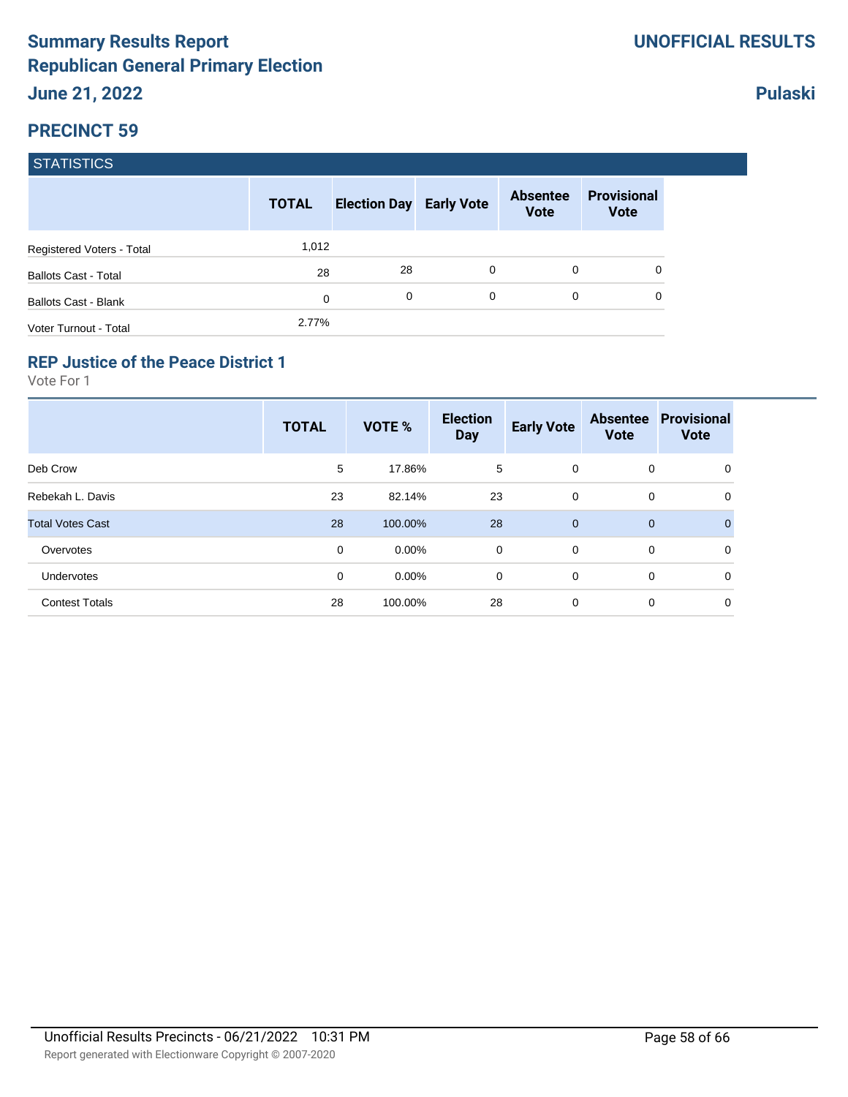|                             | <b>TOTAL</b> | <b>Election Day Early Vote</b> |          | <b>Absentee</b><br><b>Vote</b> | <b>Provisional</b><br><b>Vote</b> |
|-----------------------------|--------------|--------------------------------|----------|--------------------------------|-----------------------------------|
| Registered Voters - Total   | 1,012        |                                |          |                                |                                   |
| <b>Ballots Cast - Total</b> | 28           | 28                             | $\Omega$ | 0                              | 0                                 |
| Ballots Cast - Blank        | 0            | 0                              | $\Omega$ | $\Omega$                       | 0                                 |
| Voter Turnout - Total       | 2.77%        |                                |          |                                |                                   |

### **REP Justice of the Peace District 1**

Vote For 1

|                         | <b>TOTAL</b> | <b>VOTE %</b> | <b>Election</b><br><b>Day</b> | <b>Early Vote</b> | <b>Absentee</b><br><b>Vote</b> | <b>Provisional</b><br><b>Vote</b> |
|-------------------------|--------------|---------------|-------------------------------|-------------------|--------------------------------|-----------------------------------|
| Deb Crow                | 5            | 17.86%        | 5                             | $\mathbf 0$       | 0                              | 0                                 |
| Rebekah L. Davis        | 23           | 82.14%        | 23                            | $\mathbf 0$       | 0                              | 0                                 |
| <b>Total Votes Cast</b> | 28           | 100.00%       | 28                            | $\mathbf{0}$      | $\mathbf 0$                    | $\overline{0}$                    |
| Overvotes               | 0            | $0.00\%$      | 0                             | $\mathbf 0$       | $\mathbf 0$                    | 0                                 |
| Undervotes              | 0            | $0.00\%$      | 0                             | $\mathbf 0$       | 0                              | 0                                 |
| <b>Contest Totals</b>   | 28           | 100.00%       | 28                            | $\mathbf 0$       | 0                              | 0                                 |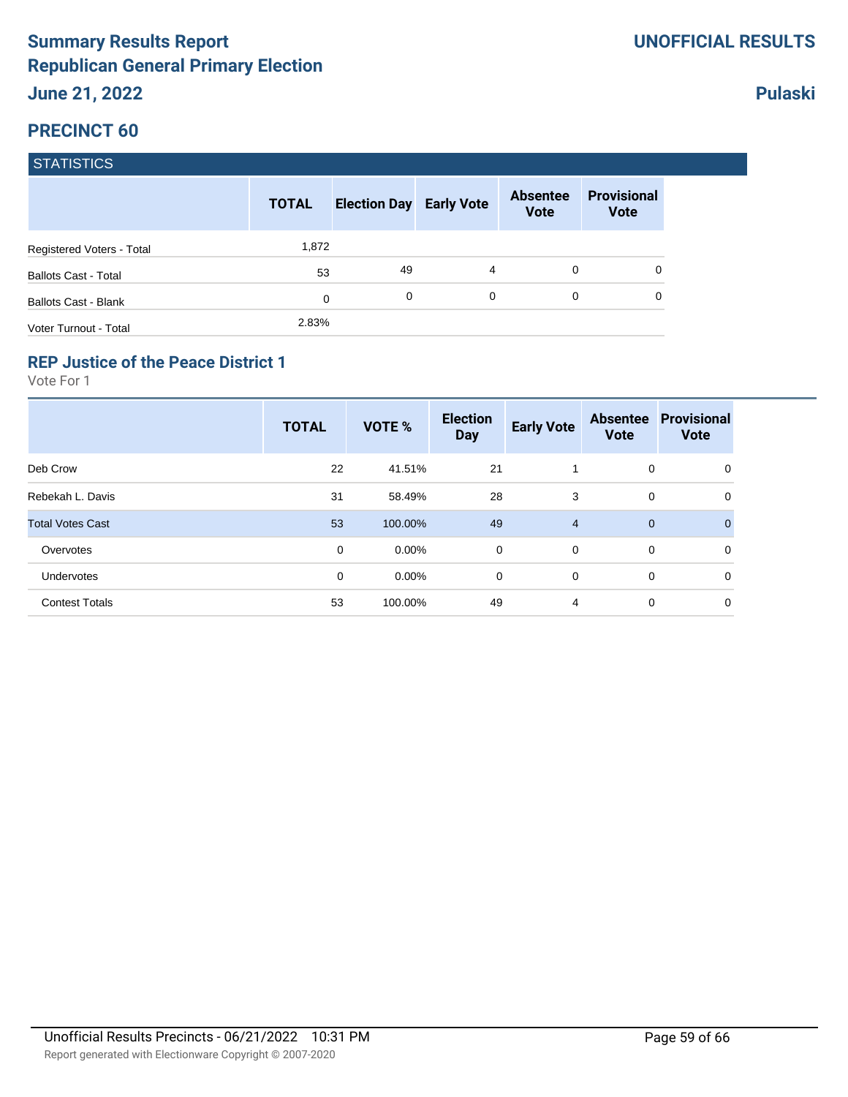|                             | <b>TOTAL</b> | <b>Election Day Early Vote</b> |   | <b>Absentee</b><br><b>Vote</b> | <b>Provisional</b><br><b>Vote</b> |
|-----------------------------|--------------|--------------------------------|---|--------------------------------|-----------------------------------|
| Registered Voters - Total   | 1,872        |                                |   |                                |                                   |
| <b>Ballots Cast - Total</b> | 53           | 49                             | 4 | 0                              | 0                                 |
| <b>Ballots Cast - Blank</b> | 0            | 0                              | 0 | 0                              | 0                                 |
| Voter Turnout - Total       | 2.83%        |                                |   |                                |                                   |

#### **REP Justice of the Peace District 1**

Vote For 1

|                         | <b>TOTAL</b> | <b>VOTE %</b> | <b>Election</b><br><b>Day</b> | <b>Early Vote</b> | <b>Absentee</b><br><b>Vote</b> | <b>Provisional</b><br><b>Vote</b> |
|-------------------------|--------------|---------------|-------------------------------|-------------------|--------------------------------|-----------------------------------|
| Deb Crow                | 22           | 41.51%        | 21                            |                   | 0                              | 0                                 |
| Rebekah L. Davis        | 31           | 58.49%        | 28                            | 3                 | 0                              | 0                                 |
| <b>Total Votes Cast</b> | 53           | 100.00%       | 49                            | $\overline{4}$    | $\mathbf 0$                    | $\Omega$                          |
| Overvotes               | 0            | $0.00\%$      | $\mathbf 0$                   | $\Omega$          | 0                              | 0                                 |
| Undervotes              | 0            | $0.00\%$      | 0                             | $\mathbf 0$       | 0                              | 0                                 |
| <b>Contest Totals</b>   | 53           | 100.00%       | 49                            | 4                 | 0                              | 0                                 |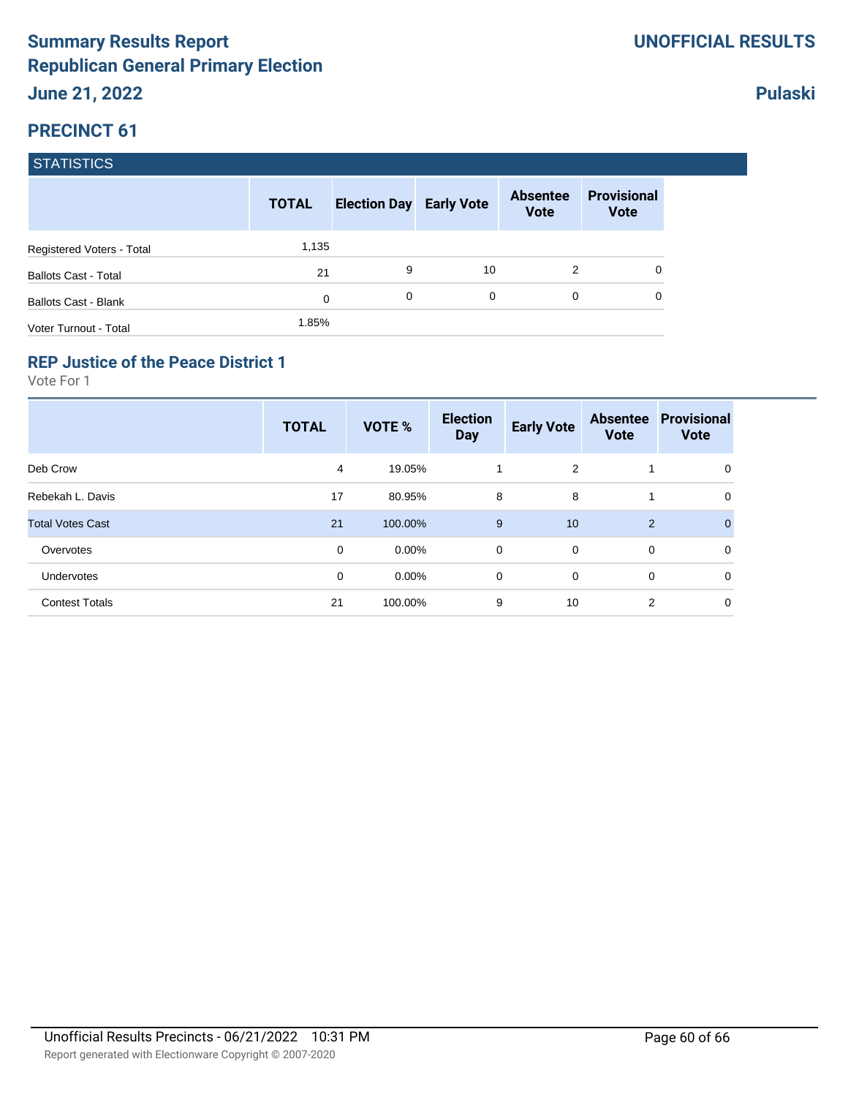|                             | <b>TOTAL</b> | <b>Election Day Early Vote</b> |    | <b>Absentee</b><br><b>Vote</b> | <b>Provisional</b><br><b>Vote</b> |
|-----------------------------|--------------|--------------------------------|----|--------------------------------|-----------------------------------|
| Registered Voters - Total   | 1,135        |                                |    |                                |                                   |
| <b>Ballots Cast - Total</b> | 21           | 9                              | 10 | 2                              | 0                                 |
| <b>Ballots Cast - Blank</b> | 0            | 0                              | 0  | 0                              | 0                                 |
| Voter Turnout - Total       | 1.85%        |                                |    |                                |                                   |

#### **REP Justice of the Peace District 1**

Vote For 1

|                         | <b>TOTAL</b> | <b>VOTE %</b> | <b>Election</b><br><b>Day</b> | <b>Early Vote</b> | <b>Absentee</b><br><b>Vote</b> | <b>Provisional</b><br><b>Vote</b> |
|-------------------------|--------------|---------------|-------------------------------|-------------------|--------------------------------|-----------------------------------|
| Deb Crow                | 4            | 19.05%        |                               | 2                 |                                | 0                                 |
| Rebekah L. Davis        | 17           | 80.95%        | 8                             | 8                 | 4                              | 0                                 |
| <b>Total Votes Cast</b> | 21           | 100.00%       | 9                             | 10                | 2                              | $\Omega$                          |
| Overvotes               | 0            | $0.00\%$      | $\mathbf 0$                   | $\mathbf 0$       | 0                              | $\mathbf 0$                       |
| <b>Undervotes</b>       | 0            | $0.00\%$      | 0                             | 0                 | 0                              | 0                                 |
| <b>Contest Totals</b>   | 21           | 100.00%       | 9                             | 10                | 2                              | 0                                 |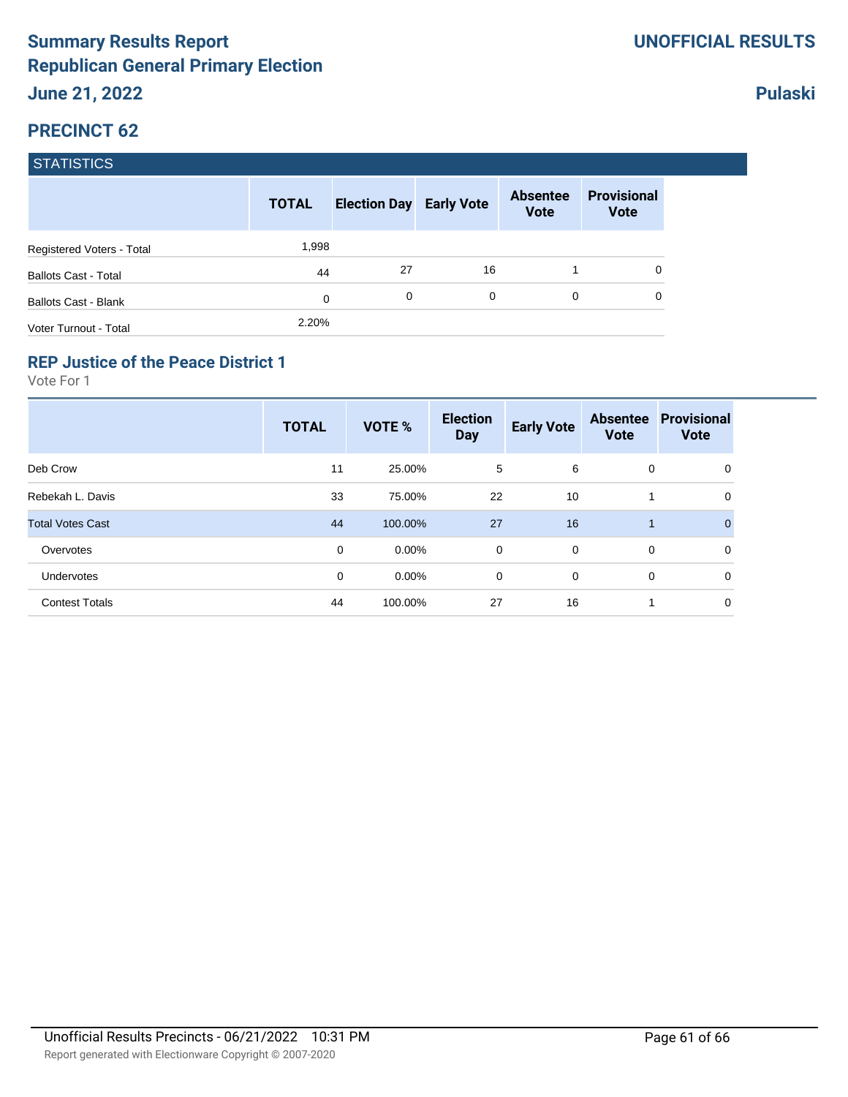|                             | <b>TOTAL</b> | <b>Election Day Early Vote</b> |          | <b>Absentee</b><br><b>Vote</b> | <b>Provisional</b><br><b>Vote</b> |
|-----------------------------|--------------|--------------------------------|----------|--------------------------------|-----------------------------------|
| Registered Voters - Total   | 1,998        |                                |          |                                |                                   |
| <b>Ballots Cast - Total</b> | 44           | 27                             | 16       |                                | 0                                 |
| <b>Ballots Cast - Blank</b> | $\mathbf 0$  | 0                              | $\Omega$ | 0                              | 0                                 |
| Voter Turnout - Total       | 2.20%        |                                |          |                                |                                   |

#### **REP Justice of the Peace District 1**

Vote For 1

|                         | <b>TOTAL</b> | <b>VOTE %</b> | <b>Election</b><br><b>Day</b> | <b>Early Vote</b> | <b>Absentee</b><br><b>Vote</b> | <b>Provisional</b><br><b>Vote</b> |
|-------------------------|--------------|---------------|-------------------------------|-------------------|--------------------------------|-----------------------------------|
| Deb Crow                | 11           | 25.00%        | 5                             | 6                 | 0                              | 0                                 |
| Rebekah L. Davis        | 33           | 75.00%        | 22                            | 10                |                                | 0                                 |
| <b>Total Votes Cast</b> | 44           | 100.00%       | 27                            | 16                |                                | $\Omega$                          |
| Overvotes               | 0            | $0.00\%$      | $\mathbf 0$                   | $\Omega$          | $\mathbf 0$                    | 0                                 |
| Undervotes              | 0            | $0.00\%$      | 0                             | $\mathbf 0$       | 0                              | 0                                 |
| <b>Contest Totals</b>   | 44           | 100.00%       | 27                            | 16                |                                | 0                                 |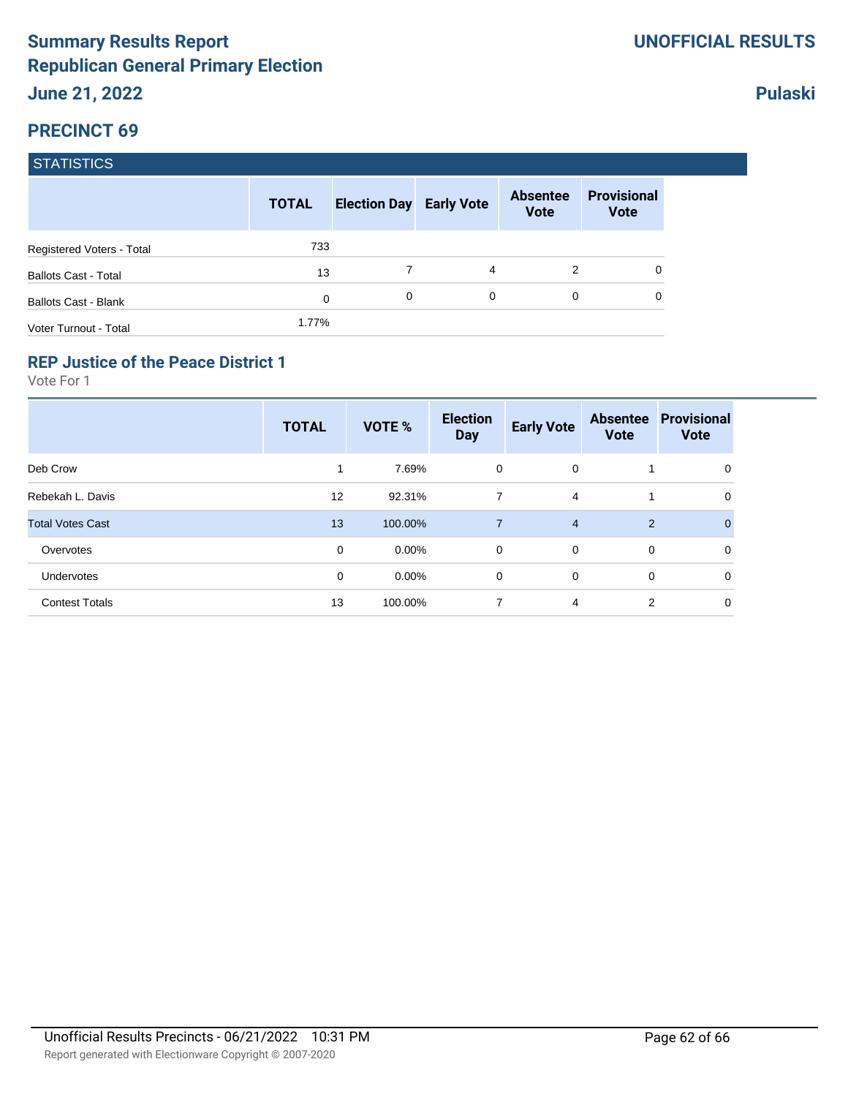|                             | <b>TOTAL</b> | <b>Election Day Early Vote</b> |   | <b>Absentee</b><br><b>Vote</b> | <b>Provisional</b><br><b>Vote</b> |
|-----------------------------|--------------|--------------------------------|---|--------------------------------|-----------------------------------|
| Registered Voters - Total   | 733          |                                |   |                                |                                   |
| <b>Ballots Cast - Total</b> | 13           |                                | 4 | 2                              | 0                                 |
| <b>Ballots Cast - Blank</b> | 0            | 0                              | 0 | 0                              | 0                                 |
| Voter Turnout - Total       | 1.77%        |                                |   |                                |                                   |

### **REP Justice of the Peace District 1**

Vote For 1

|                         | <b>TOTAL</b> | <b>VOTE %</b> | <b>Election</b><br><b>Day</b> | <b>Early Vote</b> | <b>Absentee</b><br><b>Vote</b> | <b>Provisional</b><br><b>Vote</b> |
|-------------------------|--------------|---------------|-------------------------------|-------------------|--------------------------------|-----------------------------------|
| Deb Crow                | 1            | 7.69%         | 0                             | $\mathbf 0$       | 1                              | 0                                 |
| Rebekah L. Davis        | 12           | 92.31%        | 7                             | $\overline{4}$    | 1                              | 0                                 |
| <b>Total Votes Cast</b> | 13           | 100.00%       | $\overline{7}$                | $\overline{4}$    | $\overline{2}$                 |                                   |
| Overvotes               | $\mathbf 0$  | $0.00\%$      | $\mathbf 0$                   | $\mathbf 0$       | $\mathbf 0$                    | 0                                 |
| <b>Undervotes</b>       | 0            | $0.00\%$      | 0                             | $\mathbf 0$       | 0                              | $\mathbf 0$                       |
| <b>Contest Totals</b>   | 13           | 100.00%       | 7                             | $\overline{4}$    | 2                              | 0                                 |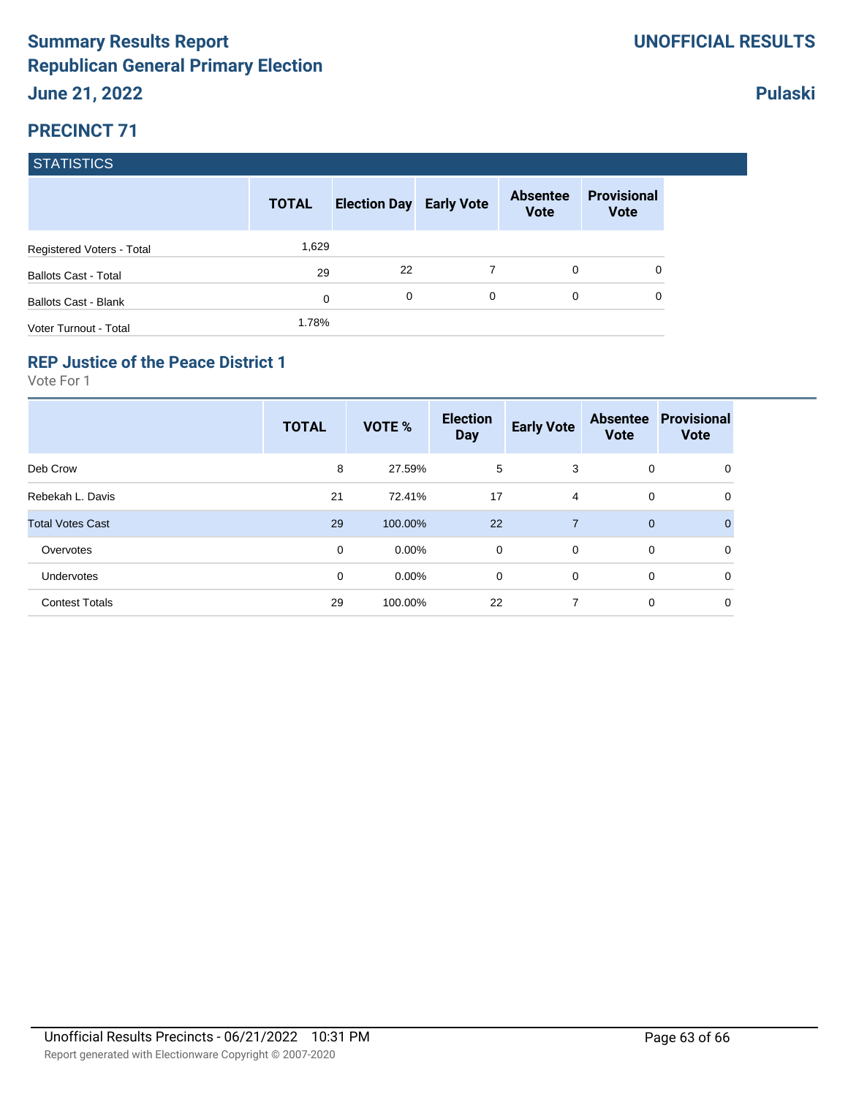|                             | <b>TOTAL</b> | <b>Election Day Early Vote</b> |   | <b>Absentee</b><br><b>Vote</b> | <b>Provisional</b><br><b>Vote</b> |
|-----------------------------|--------------|--------------------------------|---|--------------------------------|-----------------------------------|
| Registered Voters - Total   | 1,629        |                                |   |                                |                                   |
| <b>Ballots Cast - Total</b> | 29           | 22                             | 7 | $\Omega$                       | 0                                 |
| <b>Ballots Cast - Blank</b> | 0            | 0                              | 0 | 0                              | 0                                 |
| Voter Turnout - Total       | 1.78%        |                                |   |                                |                                   |

### **REP Justice of the Peace District 1**

Vote For 1

|                         | <b>TOTAL</b> | <b>VOTE %</b> | <b>Election</b><br><b>Day</b> | <b>Early Vote</b> | <b>Absentee</b><br><b>Vote</b> | <b>Provisional</b><br><b>Vote</b> |
|-------------------------|--------------|---------------|-------------------------------|-------------------|--------------------------------|-----------------------------------|
| Deb Crow                | 8            | 27.59%        | 5                             | 3                 | 0                              | 0                                 |
| Rebekah L. Davis        | 21           | 72.41%        | 17                            | 4                 | 0                              | 0                                 |
| <b>Total Votes Cast</b> | 29           | 100.00%       | 22                            | $\overline{7}$    | $\mathbf 0$                    | $\overline{0}$                    |
| Overvotes               | 0            | $0.00\%$      | 0                             | $\mathbf 0$       | 0                              | 0                                 |
| Undervotes              | 0            | $0.00\%$      | 0                             | 0                 | 0                              | 0                                 |
| <b>Contest Totals</b>   | 29           | 100.00%       | 22                            | $\overline{7}$    | $\mathbf 0$                    | 0                                 |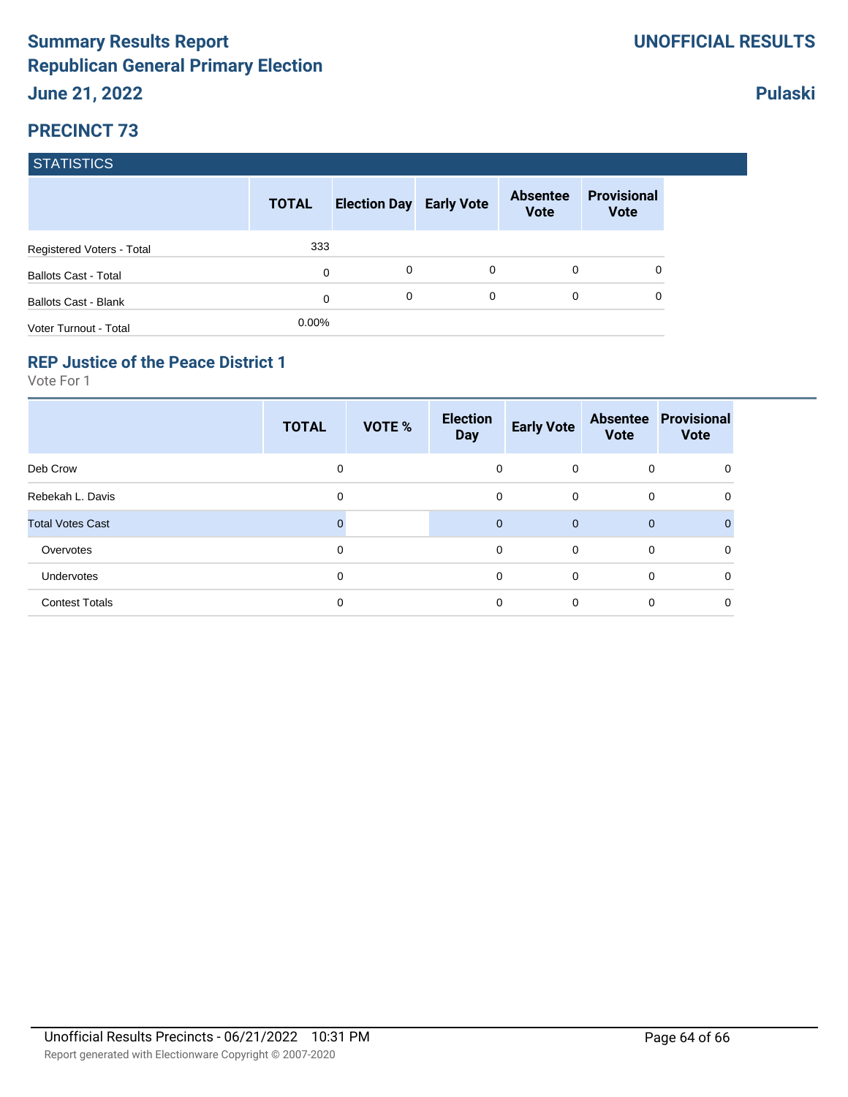|                             | <b>TOTAL</b> | <b>Election Day Early Vote</b> |          | <b>Absentee</b><br><b>Vote</b> | <b>Provisional</b><br><b>Vote</b> |
|-----------------------------|--------------|--------------------------------|----------|--------------------------------|-----------------------------------|
| Registered Voters - Total   | 333          |                                |          |                                |                                   |
| <b>Ballots Cast - Total</b> | 0            | 0                              | 0        | 0                              | 0                                 |
| Ballots Cast - Blank        | 0            | 0                              | $\Omega$ | $\Omega$                       | 0                                 |
| Voter Turnout - Total       | $0.00\%$     |                                |          |                                |                                   |

### **REP Justice of the Peace District 1**

|                         | <b>TOTAL</b> | <b>VOTE %</b> | <b>Election</b><br><b>Day</b> | <b>Early Vote</b> | <b>Vote</b> | <b>Absentee Provisional</b><br><b>Vote</b> |
|-------------------------|--------------|---------------|-------------------------------|-------------------|-------------|--------------------------------------------|
| Deb Crow                | 0            |               | 0                             | $\mathbf 0$       | 0           | 0                                          |
| Rebekah L. Davis        | 0            |               | 0                             | 0                 | 0           | 0                                          |
| <b>Total Votes Cast</b> |              |               | $\mathbf{0}$                  | $\overline{0}$    | $\mathbf 0$ | $\Omega$                                   |
| Overvotes               | 0            |               | 0                             | $\mathbf 0$       | 0           | 0                                          |
| Undervotes              | 0            |               | 0                             | 0                 | 0           | 0                                          |
| <b>Contest Totals</b>   | 0            |               | 0                             | $\mathbf 0$       | 0           | 0                                          |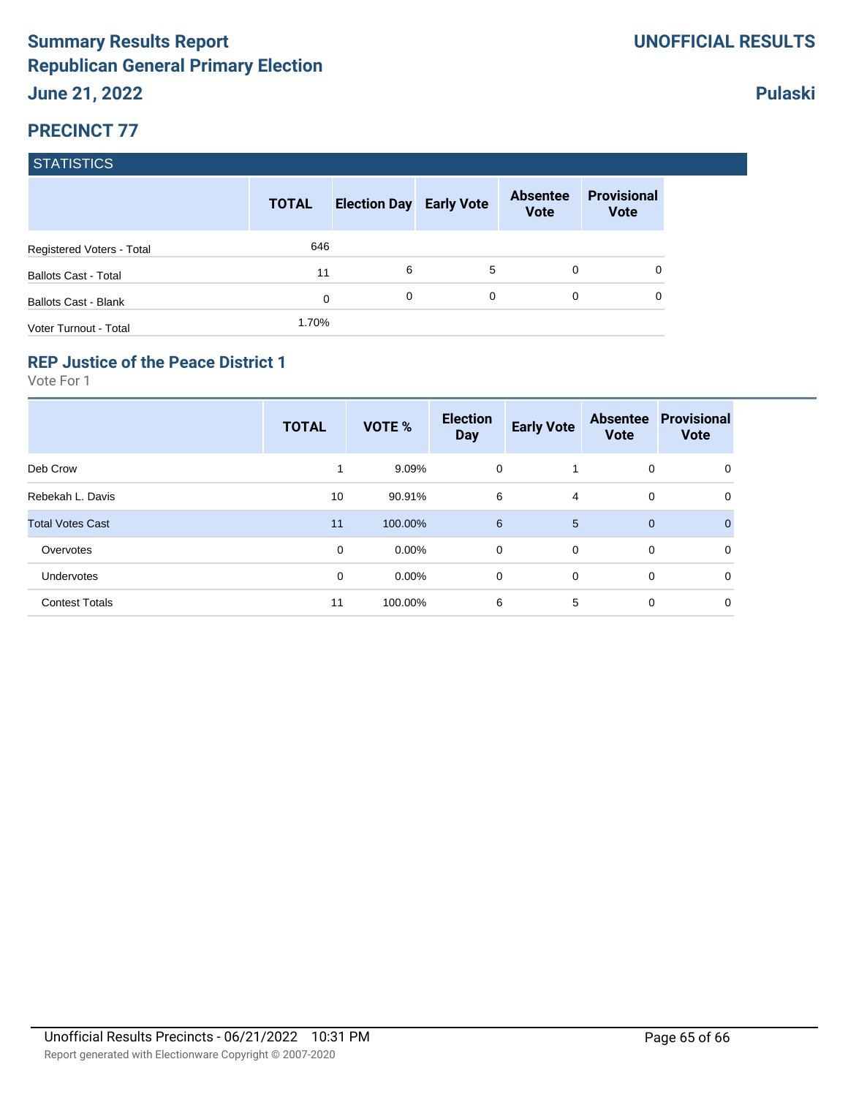|                             | <b>TOTAL</b> | <b>Election Day Early Vote</b> |   | <b>Absentee</b><br><b>Vote</b> | <b>Provisional</b><br><b>Vote</b> |
|-----------------------------|--------------|--------------------------------|---|--------------------------------|-----------------------------------|
| Registered Voters - Total   | 646          |                                |   |                                |                                   |
| <b>Ballots Cast - Total</b> | 11           | 6                              | 5 | 0                              | 0                                 |
| <b>Ballots Cast - Blank</b> | $\mathbf 0$  | 0                              | 0 | 0                              | 0                                 |
| Voter Turnout - Total       | 1.70%        |                                |   |                                |                                   |

### **REP Justice of the Peace District 1**

Vote For 1

|                         | <b>TOTAL</b> | VOTE %   | <b>Election</b><br><b>Day</b> | <b>Early Vote</b> | <b>Absentee</b><br><b>Vote</b> | <b>Provisional</b><br><b>Vote</b> |
|-------------------------|--------------|----------|-------------------------------|-------------------|--------------------------------|-----------------------------------|
| Deb Crow                |              | 9.09%    | 0                             |                   | 0                              | 0                                 |
| Rebekah L. Davis        | 10           | 90.91%   | 6                             | 4                 | 0                              | 0                                 |
| <b>Total Votes Cast</b> | 11           | 100.00%  | $6\phantom{1}6$               | $5\overline{5}$   | $\mathbf{0}$                   | $\Omega$                          |
| Overvotes               | 0            | $0.00\%$ | 0                             | $\overline{0}$    | 0                              | 0                                 |
| Undervotes              | 0            | $0.00\%$ | 0                             | $\mathbf 0$       | 0                              | 0                                 |
| <b>Contest Totals</b>   | 11           | 100.00%  | 6                             | 5                 | 0                              | 0                                 |